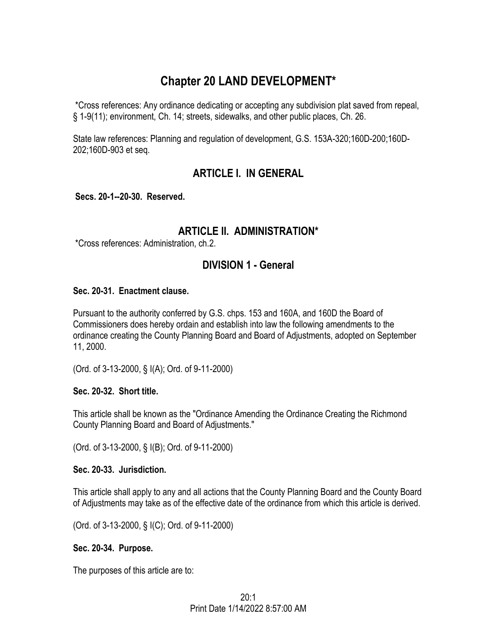# **Chapter 20 LAND DEVELOPMENT\***

\*Cross references: Any ordinance dedicating or accepting any subdivision plat saved from repeal, § 1-9(11); environment, Ch. 14; streets, sidewalks, and other public places, Ch. 26.

State law references: Planning and regulation of development, G.S. 153A-320;160D-200;160D-202;160D-903 et seq.

# **ARTICLE I. IN GENERAL**

**Secs. 20-1--20-30. Reserved.** 

# **ARTICLE II. ADMINISTRATION\***

\*Cross references: Administration, ch.2.

# **DIVISION 1 - General**

## **Sec. 20-31. Enactment clause.**

Pursuant to the authority conferred by G.S. chps. 153 and 160A, and 160D the Board of Commissioners does hereby ordain and establish into law the following amendments to the ordinance creating the County Planning Board and Board of Adjustments, adopted on September 11, 2000.

(Ord. of 3-13-2000, § I(A); Ord. of 9-11-2000)

### **Sec. 20-32. Short title.**

This article shall be known as the "Ordinance Amending the Ordinance Creating the Richmond County Planning Board and Board of Adjustments."

(Ord. of 3-13-2000, § I(B); Ord. of 9-11-2000)

### **Sec. 20-33. Jurisdiction.**

This article shall apply to any and all actions that the County Planning Board and the County Board of Adjustments may take as of the effective date of the ordinance from which this article is derived.

(Ord. of 3-13-2000, § I(C); Ord. of 9-11-2000)

## **Sec. 20-34. Purpose.**

The purposes of this article are to: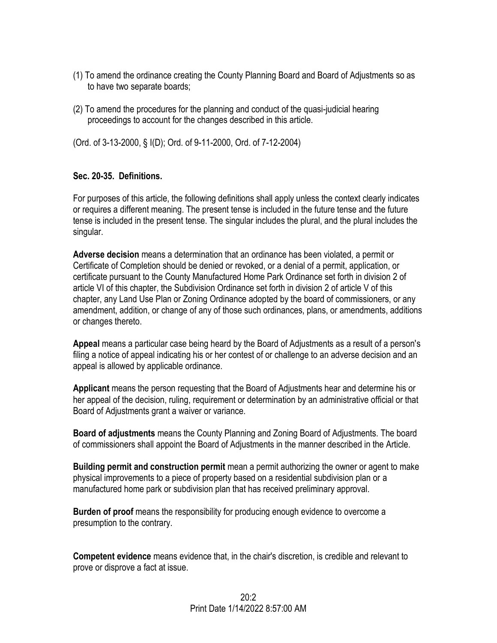- (1) To amend the ordinance creating the County Planning Board and Board of Adjustments so as to have two separate boards;
- (2) To amend the procedures for the planning and conduct of the quasi-judicial hearing proceedings to account for the changes described in this article.

(Ord. of 3-13-2000, § I(D); Ord. of 9-11-2000, Ord. of 7-12-2004)

## **Sec. 20-35. Definitions.**

For purposes of this article, the following definitions shall apply unless the context clearly indicates or requires a different meaning. The present tense is included in the future tense and the future tense is included in the present tense. The singular includes the plural, and the plural includes the singular.

**Adverse decision** means a determination that an ordinance has been violated, a permit or Certificate of Completion should be denied or revoked, or a denial of a permit, application, or certificate pursuant to the County Manufactured Home Park Ordinance set forth in division 2 of article VI of this chapter, the Subdivision Ordinance set forth in division 2 of article V of this chapter, any Land Use Plan or Zoning Ordinance adopted by the board of commissioners, or any amendment, addition, or change of any of those such ordinances, plans, or amendments, additions or changes thereto.

**Appeal** means a particular case being heard by the Board of Adjustments as a result of a person's filing a notice of appeal indicating his or her contest of or challenge to an adverse decision and an appeal is allowed by applicable ordinance.

**Applicant** means the person requesting that the Board of Adjustments hear and determine his or her appeal of the decision, ruling, requirement or determination by an administrative official or that Board of Adjustments grant a waiver or variance.

**Board of adjustments** means the County Planning and Zoning Board of Adjustments. The board of commissioners shall appoint the Board of Adjustments in the manner described in the Article.

**Building permit and construction permit** mean a permit authorizing the owner or agent to make physical improvements to a piece of property based on a residential subdivision plan or a manufactured home park or subdivision plan that has received preliminary approval.

**Burden of proof** means the responsibility for producing enough evidence to overcome a presumption to the contrary.

**Competent evidence** means evidence that, in the chair's discretion, is credible and relevant to prove or disprove a fact at issue.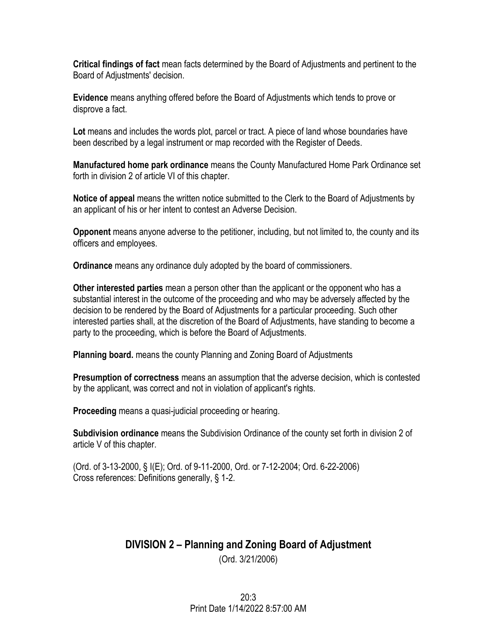**Critical findings of fact** mean facts determined by the Board of Adjustments and pertinent to the Board of Adjustments' decision.

**Evidence** means anything offered before the Board of Adjustments which tends to prove or disprove a fact.

**Lot** means and includes the words plot, parcel or tract. A piece of land whose boundaries have been described by a legal instrument or map recorded with the Register of Deeds.

**Manufactured home park ordinance** means the County Manufactured Home Park Ordinance set forth in division 2 of article VI of this chapter.

**Notice of appeal** means the written notice submitted to the Clerk to the Board of Adjustments by an applicant of his or her intent to contest an Adverse Decision.

**Opponent** means anyone adverse to the petitioner, including, but not limited to, the county and its officers and employees.

**Ordinance** means any ordinance duly adopted by the board of commissioners.

**Other interested parties** mean a person other than the applicant or the opponent who has a substantial interest in the outcome of the proceeding and who may be adversely affected by the decision to be rendered by the Board of Adjustments for a particular proceeding. Such other interested parties shall, at the discretion of the Board of Adjustments, have standing to become a party to the proceeding, which is before the Board of Adjustments.

**Planning board.** means the county Planning and Zoning Board of Adjustments

**Presumption of correctness** means an assumption that the adverse decision, which is contested by the applicant, was correct and not in violation of applicant's rights.

**Proceeding** means a quasi-judicial proceeding or hearing.

**Subdivision ordinance** means the Subdivision Ordinance of the county set forth in division 2 of article V of this chapter.

(Ord. of 3-13-2000, § I(E); Ord. of 9-11-2000, Ord. or 7-12-2004; Ord. 6-22-2006) Cross references: Definitions generally, § 1-2.

# **DIVISION 2 – Planning and Zoning Board of Adjustment** (Ord. 3/21/2006)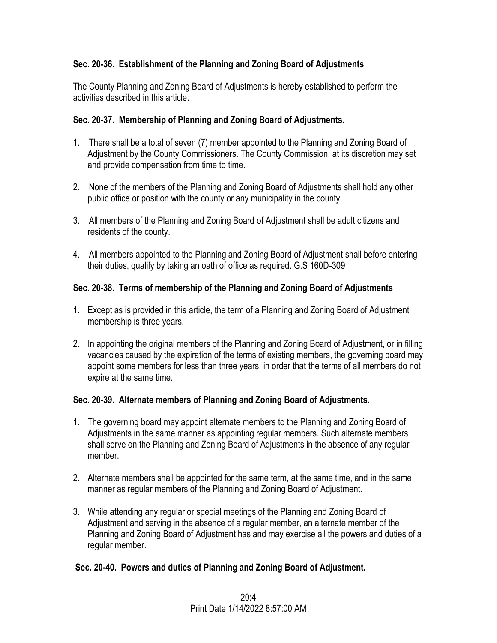## **Sec. 20-36. Establishment of the Planning and Zoning Board of Adjustments**

The County Planning and Zoning Board of Adjustments is hereby established to perform the activities described in this article.

## **Sec. 20-37. Membership of Planning and Zoning Board of Adjustments.**

- 1. There shall be a total of seven (7) member appointed to the Planning and Zoning Board of Adjustment by the County Commissioners. The County Commission, at its discretion may set and provide compensation from time to time.
- 2. None of the members of the Planning and Zoning Board of Adjustments shall hold any other public office or position with the county or any municipality in the county.
- 3. All members of the Planning and Zoning Board of Adjustment shall be adult citizens and residents of the county.
- 4. All members appointed to the Planning and Zoning Board of Adjustment shall before entering their duties, qualify by taking an oath of office as required. G.S 160D-309

## **Sec. 20-38. Terms of membership of the Planning and Zoning Board of Adjustments**

- 1. Except as is provided in this article, the term of a Planning and Zoning Board of Adjustment membership is three years.
- 2. In appointing the original members of the Planning and Zoning Board of Adjustment, or in filling vacancies caused by the expiration of the terms of existing members, the governing board may appoint some members for less than three years, in order that the terms of all members do not expire at the same time.

## **Sec. 20-39. Alternate members of Planning and Zoning Board of Adjustments.**

- 1. The governing board may appoint alternate members to the Planning and Zoning Board of Adjustments in the same manner as appointing regular members. Such alternate members shall serve on the Planning and Zoning Board of Adjustments in the absence of any regular member.
- 2. Alternate members shall be appointed for the same term, at the same time, and in the same manner as regular members of the Planning and Zoning Board of Adjustment.
- 3. While attending any regular or special meetings of the Planning and Zoning Board of Adjustment and serving in the absence of a regular member, an alternate member of the Planning and Zoning Board of Adjustment has and may exercise all the powers and duties of a regular member.

### **Sec. 20-40. Powers and duties of Planning and Zoning Board of Adjustment.**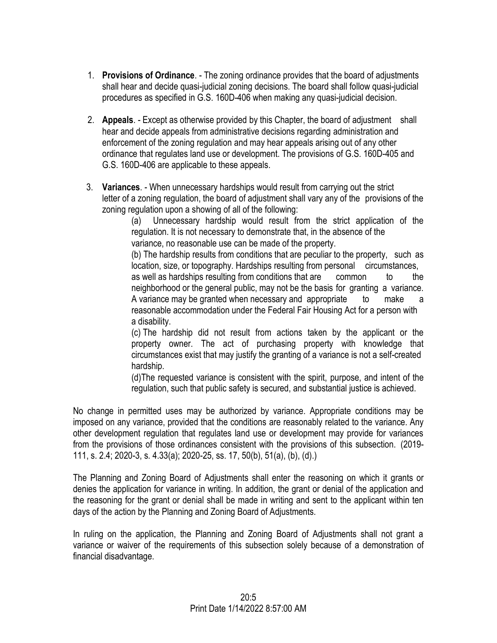- 1. **Provisions of Ordinance**. The zoning ordinance provides that the board of adjustments shall hear and decide quasi-judicial zoning decisions. The board shall follow quasi-judicial procedures as specified in G.S. 160D-406 when making any quasi-judicial decision.
- 2. **Appeals**. Except as otherwise provided by this Chapter, the board of adjustment shall hear and decide appeals from administrative decisions regarding administration and enforcement of the zoning regulation and may hear appeals arising out of any other ordinance that regulates land use or development. The provisions of G.S. 160D-405 and G.S. 160D-406 are applicable to these appeals.
- 3. **Variances**. When unnecessary hardships would result from carrying out the strict letter of a zoning regulation, the board of adjustment shall vary any of the provisions of the zoning regulation upon a showing of all of the following:

(a) Unnecessary hardship would result from the strict application of the regulation. It is not necessary to demonstrate that, in the absence of the variance, no reasonable use can be made of the property.

(b) The hardship results from conditions that are peculiar to the property, such as location, size, or topography. Hardships resulting from personal circumstances, as well as hardships resulting from conditions that are common to the neighborhood or the general public, may not be the basis for granting a variance. A variance may be granted when necessary and appropriate to make a reasonable accommodation under the Federal Fair Housing Act for a person with a disability.

(c) The hardship did not result from actions taken by the applicant or the property owner. The act of purchasing property with knowledge that circumstances exist that may justify the granting of a variance is not a self-created hardship.

(d)The requested variance is consistent with the spirit, purpose, and intent of the regulation, such that public safety is secured, and substantial justice is achieved.

No change in permitted uses may be authorized by variance. Appropriate conditions may be imposed on any variance, provided that the conditions are reasonably related to the variance. Any other development regulation that regulates land use or development may provide for variances from the provisions of those ordinances consistent with the provisions of this subsection. (2019- 111, s. 2.4; 2020-3, s. 4.33(a); 2020-25, ss. 17, 50(b), 51(a), (b), (d).)

The Planning and Zoning Board of Adjustments shall enter the reasoning on which it grants or denies the application for variance in writing. In addition, the grant or denial of the application and the reasoning for the grant or denial shall be made in writing and sent to the applicant within ten days of the action by the Planning and Zoning Board of Adjustments.

In ruling on the application, the Planning and Zoning Board of Adjustments shall not grant a variance or waiver of the requirements of this subsection solely because of a demonstration of financial disadvantage.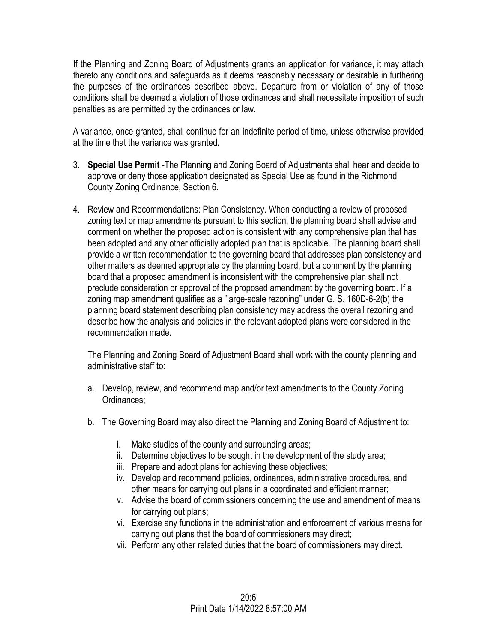If the Planning and Zoning Board of Adjustments grants an application for variance, it may attach thereto any conditions and safeguards as it deems reasonably necessary or desirable in furthering the purposes of the ordinances described above. Departure from or violation of any of those conditions shall be deemed a violation of those ordinances and shall necessitate imposition of such penalties as are permitted by the ordinances or law.

A variance, once granted, shall continue for an indefinite period of time, unless otherwise provided at the time that the variance was granted.

- 3. **Special Use Permit** -The Planning and Zoning Board of Adjustments shall hear and decide to approve or deny those application designated as Special Use as found in the Richmond County Zoning Ordinance, Section 6.
- 4. Review and Recommendations: Plan Consistency. When conducting a review of proposed zoning text or map amendments pursuant to this section, the planning board shall advise and comment on whether the proposed action is consistent with any comprehensive plan that has been adopted and any other officially adopted plan that is applicable. The planning board shall provide a written recommendation to the governing board that addresses plan consistency and other matters as deemed appropriate by the planning board, but a comment by the planning board that a proposed amendment is inconsistent with the comprehensive plan shall not preclude consideration or approval of the proposed amendment by the governing board. If a zoning map amendment qualifies as a "large-scale rezoning" under G. S. 160D-6-2(b) the planning board statement describing plan consistency may address the overall rezoning and describe how the analysis and policies in the relevant adopted plans were considered in the recommendation made.

The Planning and Zoning Board of Adjustment Board shall work with the county planning and administrative staff to:

- a. Develop, review, and recommend map and/or text amendments to the County Zoning Ordinances;
- b. The Governing Board may also direct the Planning and Zoning Board of Adjustment to:
	- i. Make studies of the county and surrounding areas;
	- ii. Determine objectives to be sought in the development of the study area;
	- iii. Prepare and adopt plans for achieving these objectives;
	- iv. Develop and recommend policies, ordinances, administrative procedures, and other means for carrying out plans in a coordinated and efficient manner;
	- v. Advise the board of commissioners concerning the use and amendment of means for carrying out plans;
	- vi. Exercise any functions in the administration and enforcement of various means for carrying out plans that the board of commissioners may direct;
	- vii. Perform any other related duties that the board of commissioners may direct.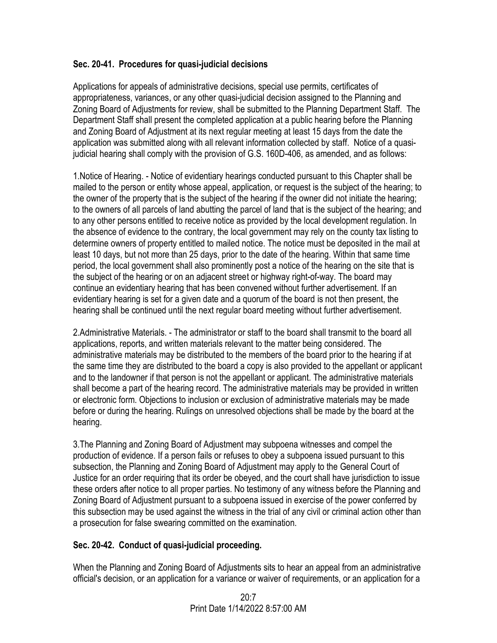### **Sec. 20-41. Procedures for quasi-judicial decisions**

Applications for appeals of administrative decisions, special use permits, certificates of appropriateness, variances, or any other quasi-judicial decision assigned to the Planning and Zoning Board of Adjustments for review, shall be submitted to the Planning Department Staff. The Department Staff shall present the completed application at a public hearing before the Planning and Zoning Board of Adjustment at its next regular meeting at least 15 days from the date the application was submitted along with all relevant information collected by staff. Notice of a quasijudicial hearing shall comply with the provision of G.S. 160D-406, as amended, and as follows:

1.Notice of Hearing. - Notice of evidentiary hearings conducted pursuant to this Chapter shall be mailed to the person or entity whose appeal, application, or request is the subject of the hearing; to the owner of the property that is the subject of the hearing if the owner did not initiate the hearing; to the owners of all parcels of land abutting the parcel of land that is the subject of the hearing; and to any other persons entitled to receive notice as provided by the local development regulation. In the absence of evidence to the contrary, the local government may rely on the county tax listing to determine owners of property entitled to mailed notice. The notice must be deposited in the mail at least 10 days, but not more than 25 days, prior to the date of the hearing. Within that same time period, the local government shall also prominently post a notice of the hearing on the site that is the subject of the hearing or on an adjacent street or highway right-of-way. The board may continue an evidentiary hearing that has been convened without further advertisement. If an evidentiary hearing is set for a given date and a quorum of the board is not then present, the hearing shall be continued until the next regular board meeting without further advertisement.

2.Administrative Materials. - The administrator or staff to the board shall transmit to the board all applications, reports, and written materials relevant to the matter being considered. The administrative materials may be distributed to the members of the board prior to the hearing if at the same time they are distributed to the board a copy is also provided to the appellant or applicant and to the landowner if that person is not the appellant or applicant. The administrative materials shall become a part of the hearing record. The administrative materials may be provided in written or electronic form. Objections to inclusion or exclusion of administrative materials may be made before or during the hearing. Rulings on unresolved objections shall be made by the board at the hearing.

3.The Planning and Zoning Board of Adjustment may subpoena witnesses and compel the production of evidence. If a person fails or refuses to obey a subpoena issued pursuant to this subsection, the Planning and Zoning Board of Adjustment may apply to the General Court of Justice for an order requiring that its order be obeyed, and the court shall have jurisdiction to issue these orders after notice to all proper parties. No testimony of any witness before the Planning and Zoning Board of Adjustment pursuant to a subpoena issued in exercise of the power conferred by this subsection may be used against the witness in the trial of any civil or criminal action other than a prosecution for false swearing committed on the examination.

## **Sec. 20-42. Conduct of quasi-judicial proceeding.**

When the Planning and Zoning Board of Adjustments sits to hear an appeal from an administrative official's decision, or an application for a variance or waiver of requirements, or an application for a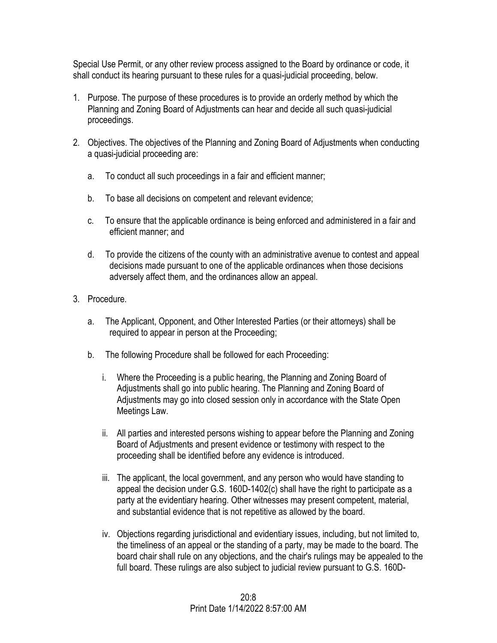Special Use Permit, or any other review process assigned to the Board by ordinance or code, it shall conduct its hearing pursuant to these rules for a quasi-judicial proceeding, below.

- 1. Purpose. The purpose of these procedures is to provide an orderly method by which the Planning and Zoning Board of Adjustments can hear and decide all such quasi-judicial proceedings.
- 2. Objectives. The objectives of the Planning and Zoning Board of Adjustments when conducting a quasi-judicial proceeding are:
	- a. To conduct all such proceedings in a fair and efficient manner;
	- b. To base all decisions on competent and relevant evidence;
	- c. To ensure that the applicable ordinance is being enforced and administered in a fair and efficient manner; and
	- d. To provide the citizens of the county with an administrative avenue to contest and appeal decisions made pursuant to one of the applicable ordinances when those decisions adversely affect them, and the ordinances allow an appeal.
- 3. Procedure.
	- a. The Applicant, Opponent, and Other Interested Parties (or their attorneys) shall be required to appear in person at the Proceeding;
	- b. The following Procedure shall be followed for each Proceeding:
		- i. Where the Proceeding is a public hearing, the Planning and Zoning Board of Adjustments shall go into public hearing. The Planning and Zoning Board of Adjustments may go into closed session only in accordance with the State Open Meetings Law.
		- ii. All parties and interested persons wishing to appear before the Planning and Zoning Board of Adjustments and present evidence or testimony with respect to the proceeding shall be identified before any evidence is introduced.
		- iii. The applicant, the local government, and any person who would have standing to appeal the decision under G.S. 160D-1402(c) shall have the right to participate as a party at the evidentiary hearing. Other witnesses may present competent, material, and substantial evidence that is not repetitive as allowed by the board.
		- iv. Objections regarding jurisdictional and evidentiary issues, including, but not limited to, the timeliness of an appeal or the standing of a party, may be made to the board. The board chair shall rule on any objections, and the chair's rulings may be appealed to the full board. These rulings are also subject to judicial review pursuant to G.S. 160D-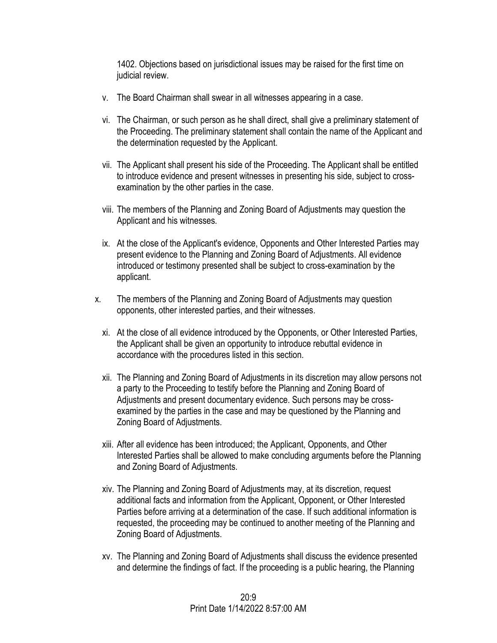1402. Objections based on jurisdictional issues may be raised for the first time on judicial review.

- v. The Board Chairman shall swear in all witnesses appearing in a case.
- vi. The Chairman, or such person as he shall direct, shall give a preliminary statement of the Proceeding. The preliminary statement shall contain the name of the Applicant and the determination requested by the Applicant.
- vii. The Applicant shall present his side of the Proceeding. The Applicant shall be entitled to introduce evidence and present witnesses in presenting his side, subject to crossexamination by the other parties in the case.
- viii. The members of the Planning and Zoning Board of Adjustments may question the Applicant and his witnesses.
- ix. At the close of the Applicant's evidence, Opponents and Other Interested Parties may present evidence to the Planning and Zoning Board of Adjustments. All evidence introduced or testimony presented shall be subject to cross-examination by the applicant.
- x. The members of the Planning and Zoning Board of Adjustments may question opponents, other interested parties, and their witnesses.
	- xi. At the close of all evidence introduced by the Opponents, or Other Interested Parties, the Applicant shall be given an opportunity to introduce rebuttal evidence in accordance with the procedures listed in this section.
	- xii. The Planning and Zoning Board of Adjustments in its discretion may allow persons not a party to the Proceeding to testify before the Planning and Zoning Board of Adjustments and present documentary evidence. Such persons may be crossexamined by the parties in the case and may be questioned by the Planning and Zoning Board of Adjustments.
	- xiii. After all evidence has been introduced; the Applicant, Opponents, and Other Interested Parties shall be allowed to make concluding arguments before the Planning and Zoning Board of Adjustments.
	- xiv. The Planning and Zoning Board of Adjustments may, at its discretion, request additional facts and information from the Applicant, Opponent, or Other Interested Parties before arriving at a determination of the case. If such additional information is requested, the proceeding may be continued to another meeting of the Planning and Zoning Board of Adjustments.
	- xv. The Planning and Zoning Board of Adjustments shall discuss the evidence presented and determine the findings of fact. If the proceeding is a public hearing, the Planning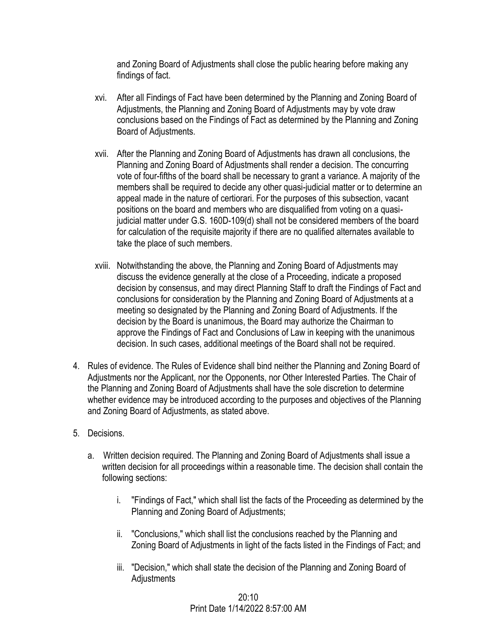and Zoning Board of Adjustments shall close the public hearing before making any findings of fact.

- xvi. After all Findings of Fact have been determined by the Planning and Zoning Board of Adjustments, the Planning and Zoning Board of Adjustments may by vote draw conclusions based on the Findings of Fact as determined by the Planning and Zoning Board of Adjustments.
- xvii. After the Planning and Zoning Board of Adjustments has drawn all conclusions, the Planning and Zoning Board of Adjustments shall render a decision. The concurring vote of four-fifths of the board shall be necessary to grant a variance. A majority of the members shall be required to decide any other quasi-judicial matter or to determine an appeal made in the nature of certiorari. For the purposes of this subsection, vacant positions on the board and members who are disqualified from voting on a quasijudicial matter under G.S. 160D-109(d) shall not be considered members of the board for calculation of the requisite majority if there are no qualified alternates available to take the place of such members.
- xviii. Notwithstanding the above, the Planning and Zoning Board of Adjustments may discuss the evidence generally at the close of a Proceeding, indicate a proposed decision by consensus, and may direct Planning Staff to draft the Findings of Fact and conclusions for consideration by the Planning and Zoning Board of Adjustments at a meeting so designated by the Planning and Zoning Board of Adjustments. If the decision by the Board is unanimous, the Board may authorize the Chairman to approve the Findings of Fact and Conclusions of Law in keeping with the unanimous decision. In such cases, additional meetings of the Board shall not be required.
- 4. Rules of evidence. The Rules of Evidence shall bind neither the Planning and Zoning Board of Adjustments nor the Applicant, nor the Opponents, nor Other Interested Parties. The Chair of the Planning and Zoning Board of Adjustments shall have the sole discretion to determine whether evidence may be introduced according to the purposes and objectives of the Planning and Zoning Board of Adjustments, as stated above.
- 5. Decisions.
	- a. Written decision required. The Planning and Zoning Board of Adjustments shall issue a written decision for all proceedings within a reasonable time. The decision shall contain the following sections:
		- i. "Findings of Fact," which shall list the facts of the Proceeding as determined by the Planning and Zoning Board of Adjustments;
		- ii. "Conclusions," which shall list the conclusions reached by the Planning and Zoning Board of Adjustments in light of the facts listed in the Findings of Fact; and
		- iii. "Decision," which shall state the decision of the Planning and Zoning Board of Adjustments

 $20:10$ Print Date 1/14/2022 8:57:00 AM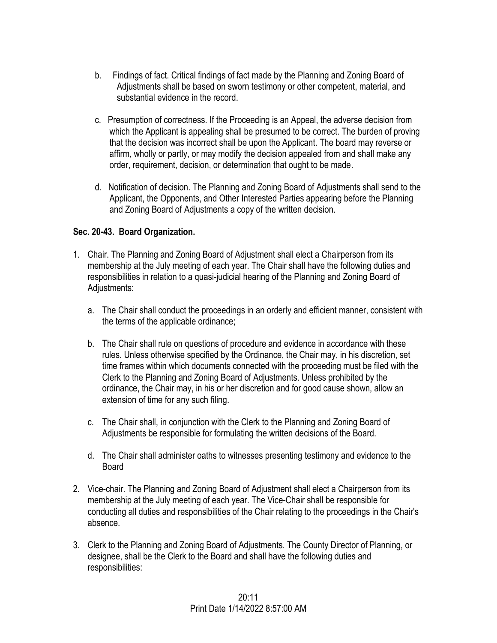- b. Findings of fact. Critical findings of fact made by the Planning and Zoning Board of Adjustments shall be based on sworn testimony or other competent, material, and substantial evidence in the record.
- c. Presumption of correctness. If the Proceeding is an Appeal, the adverse decision from which the Applicant is appealing shall be presumed to be correct. The burden of proving that the decision was incorrect shall be upon the Applicant. The board may reverse or affirm, wholly or partly, or may modify the decision appealed from and shall make any order, requirement, decision, or determination that ought to be made.
- d. Notification of decision. The Planning and Zoning Board of Adjustments shall send to the Applicant, the Opponents, and Other Interested Parties appearing before the Planning and Zoning Board of Adjustments a copy of the written decision.

## **Sec. 20-43. Board Organization.**

- 1. Chair. The Planning and Zoning Board of Adjustment shall elect a Chairperson from its membership at the July meeting of each year. The Chair shall have the following duties and responsibilities in relation to a quasi-judicial hearing of the Planning and Zoning Board of Adjustments:
	- a. The Chair shall conduct the proceedings in an orderly and efficient manner, consistent with the terms of the applicable ordinance;
	- b. The Chair shall rule on questions of procedure and evidence in accordance with these rules. Unless otherwise specified by the Ordinance, the Chair may, in his discretion, set time frames within which documents connected with the proceeding must be filed with the Clerk to the Planning and Zoning Board of Adjustments. Unless prohibited by the ordinance, the Chair may, in his or her discretion and for good cause shown, allow an extension of time for any such filing.
	- c. The Chair shall, in conjunction with the Clerk to the Planning and Zoning Board of Adjustments be responsible for formulating the written decisions of the Board.
	- d. The Chair shall administer oaths to witnesses presenting testimony and evidence to the Board
- 2. Vice-chair. The Planning and Zoning Board of Adjustment shall elect a Chairperson from its membership at the July meeting of each year. The Vice-Chair shall be responsible for conducting all duties and responsibilities of the Chair relating to the proceedings in the Chair's absence.
- 3. Clerk to the Planning and Zoning Board of Adjustments. The County Director of Planning, or designee, shall be the Clerk to the Board and shall have the following duties and responsibilities: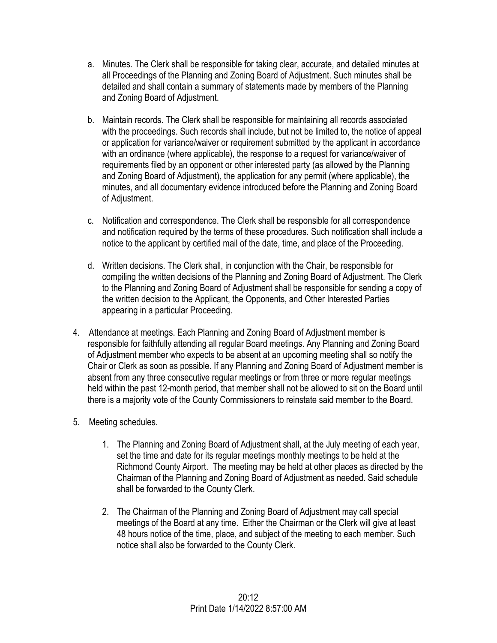- a. Minutes. The Clerk shall be responsible for taking clear, accurate, and detailed minutes at all Proceedings of the Planning and Zoning Board of Adjustment. Such minutes shall be detailed and shall contain a summary of statements made by members of the Planning and Zoning Board of Adjustment.
- b. Maintain records. The Clerk shall be responsible for maintaining all records associated with the proceedings. Such records shall include, but not be limited to, the notice of appeal or application for variance/waiver or requirement submitted by the applicant in accordance with an ordinance (where applicable), the response to a request for variance/waiver of requirements filed by an opponent or other interested party (as allowed by the Planning and Zoning Board of Adjustment), the application for any permit (where applicable), the minutes, and all documentary evidence introduced before the Planning and Zoning Board of Adjustment.
- c. Notification and correspondence. The Clerk shall be responsible for all correspondence and notification required by the terms of these procedures. Such notification shall include a notice to the applicant by certified mail of the date, time, and place of the Proceeding.
- d. Written decisions. The Clerk shall, in conjunction with the Chair, be responsible for compiling the written decisions of the Planning and Zoning Board of Adjustment. The Clerk to the Planning and Zoning Board of Adjustment shall be responsible for sending a copy of the written decision to the Applicant, the Opponents, and Other Interested Parties appearing in a particular Proceeding.
- 4. Attendance at meetings. Each Planning and Zoning Board of Adjustment member is responsible for faithfully attending all regular Board meetings. Any Planning and Zoning Board of Adjustment member who expects to be absent at an upcoming meeting shall so notify the Chair or Clerk as soon as possible. If any Planning and Zoning Board of Adjustment member is absent from any three consecutive regular meetings or from three or more regular meetings held within the past 12-month period, that member shall not be allowed to sit on the Board until there is a majority vote of the County Commissioners to reinstate said member to the Board.
- 5. Meeting schedules.
	- 1. The Planning and Zoning Board of Adjustment shall, at the July meeting of each year, set the time and date for its regular meetings monthly meetings to be held at the Richmond County Airport. The meeting may be held at other places as directed by the Chairman of the Planning and Zoning Board of Adjustment as needed. Said schedule shall be forwarded to the County Clerk.
	- 2. The Chairman of the Planning and Zoning Board of Adjustment may call special meetings of the Board at any time. Either the Chairman or the Clerk will give at least 48 hours notice of the time, place, and subject of the meeting to each member. Such notice shall also be forwarded to the County Clerk.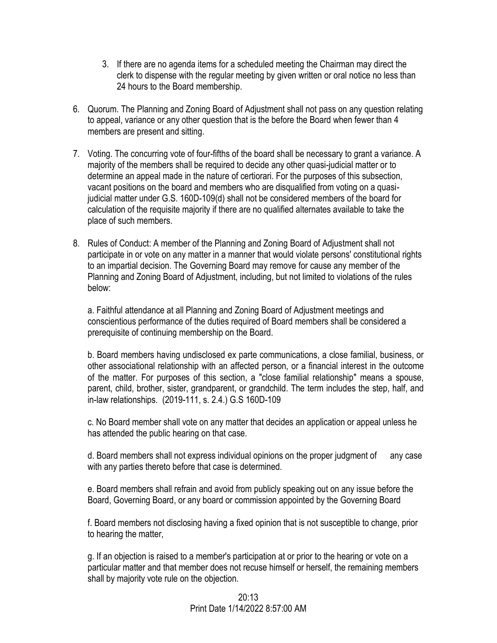- 3. If there are no agenda items for a scheduled meeting the Chairman may direct the clerk to dispense with the regular meeting by given written or oral notice no less than 24 hours to the Board membership.
- 6. Quorum. The Planning and Zoning Board of Adjustment shall not pass on any question relating to appeal, variance or any other question that is the before the Board when fewer than 4 members are present and sitting.
- 7. Voting. The concurring vote of four-fifths of the board shall be necessary to grant a variance. A majority of the members shall be required to decide any other quasi-judicial matter or to determine an appeal made in the nature of certiorari. For the purposes of this subsection, vacant positions on the board and members who are disqualified from voting on a quasijudicial matter under G.S. 160D-109(d) shall not be considered members of the board for calculation of the requisite majority if there are no qualified alternates available to take the place of such members.
- 8. Rules of Conduct: A member of the Planning and Zoning Board of Adjustment shall not participate in or vote on any matter in a manner that would violate persons' constitutional rights to an impartial decision. The Governing Board may remove for cause any member of the Planning and Zoning Board of Adjustment, including, but not limited to violations of the rules below:

a. Faithful attendance at all Planning and Zoning Board of Adjustment meetings and conscientious performance of the duties required of Board members shall be considered a prerequisite of continuing membership on the Board.

b. Board members having undisclosed ex parte communications, a close familial, business, or other associational relationship with an affected person, or a financial interest in the outcome of the matter. For purposes of this section, a "close familial relationship" means a spouse, parent, child, brother, sister, grandparent, or grandchild. The term includes the step, half, and in-law relationships. (2019-111, s. 2.4.) G.S 160D-109

c. No Board member shall vote on any matter that decides an application or appeal unless he has attended the public hearing on that case.

d. Board members shall not express individual opinions on the proper judgment of any case with any parties thereto before that case is determined.

e. Board members shall refrain and avoid from publicly speaking out on any issue before the Board, Governing Board, or any board or commission appointed by the Governing Board

f. Board members not disclosing having a fixed opinion that is not susceptible to change, prior to hearing the matter,

g. If an objection is raised to a member's participation at or prior to the hearing or vote on a particular matter and that member does not recuse himself or herself, the remaining members shall by majority vote rule on the objection.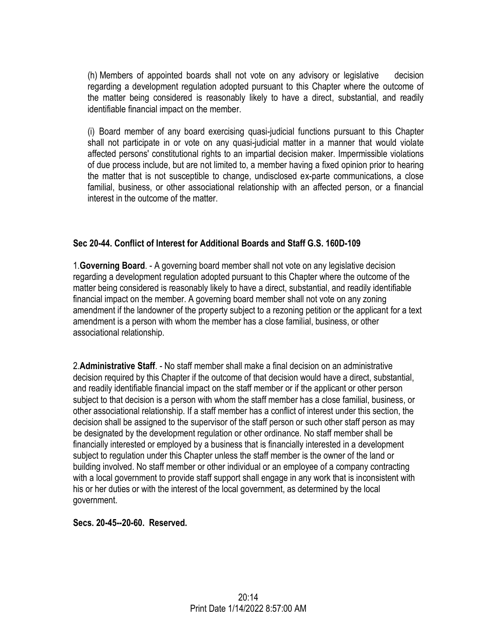(h) Members of appointed boards shall not vote on any advisory or legislative decision regarding a development regulation adopted pursuant to this Chapter where the outcome of the matter being considered is reasonably likely to have a direct, substantial, and readily identifiable financial impact on the member.

(i) Board member of any board exercising quasi-judicial functions pursuant to this Chapter shall not participate in or vote on any quasi-judicial matter in a manner that would violate affected persons' constitutional rights to an impartial decision maker. Impermissible violations of due process include, but are not limited to, a member having a fixed opinion prior to hearing the matter that is not susceptible to change, undisclosed ex-parte communications, a close familial, business, or other associational relationship with an affected person, or a financial interest in the outcome of the matter.

### **Sec 20-44. Conflict of Interest for Additional Boards and Staff G.S. 160D-109**

1.**Governing Board**. - A governing board member shall not vote on any legislative decision regarding a development regulation adopted pursuant to this Chapter where the outcome of the matter being considered is reasonably likely to have a direct, substantial, and readily identifiable financial impact on the member. A governing board member shall not vote on any zoning amendment if the landowner of the property subject to a rezoning petition or the applicant for a text amendment is a person with whom the member has a close familial, business, or other associational relationship.

2.**Administrative Staff**. - No staff member shall make a final decision on an administrative decision required by this Chapter if the outcome of that decision would have a direct, substantial, and readily identifiable financial impact on the staff member or if the applicant or other person subject to that decision is a person with whom the staff member has a close familial, business, or other associational relationship. If a staff member has a conflict of interest under this section, the decision shall be assigned to the supervisor of the staff person or such other staff person as may be designated by the development regulation or other ordinance. No staff member shall be financially interested or employed by a business that is financially interested in a development subject to regulation under this Chapter unless the staff member is the owner of the land or building involved. No staff member or other individual or an employee of a company contracting with a local government to provide staff support shall engage in any work that is inconsistent with his or her duties or with the interest of the local government, as determined by the local government.

#### **Secs. 20-45--20-60. Reserved.**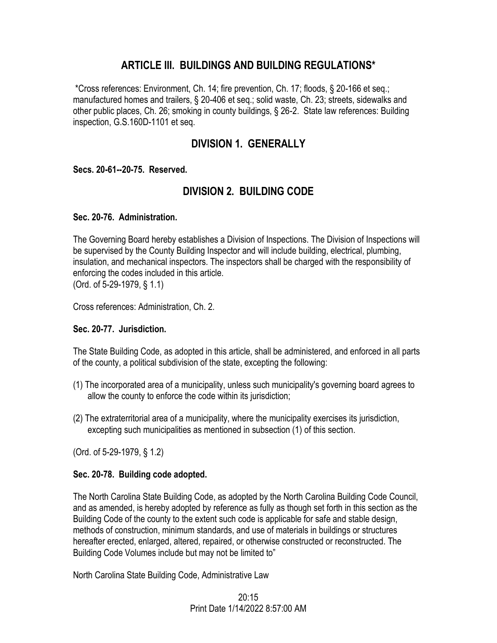# **ARTICLE III. BUILDINGS AND BUILDING REGULATIONS\***

\*Cross references: Environment, Ch. 14; fire prevention, Ch. 17; floods, § 20-166 et seq.; manufactured homes and trailers, § 20-406 et seq.; solid waste, Ch. 23; streets, sidewalks and other public places, Ch. 26; smoking in county buildings, § 26-2. State law references: Building inspection, G.S.160D-1101 et seq.

# **DIVISION 1. GENERALLY**

### **Secs. 20-61--20-75. Reserved.**

# **DIVISION 2. BUILDING CODE**

### **Sec. 20-76. Administration.**

The Governing Board hereby establishes a Division of Inspections. The Division of Inspections will be supervised by the County Building Inspector and will include building, electrical, plumbing, insulation, and mechanical inspectors. The inspectors shall be charged with the responsibility of enforcing the codes included in this article. (Ord. of 5-29-1979, § 1.1)

Cross references: Administration, Ch. 2.

### **Sec. 20-77. Jurisdiction.**

The State Building Code, as adopted in this article, shall be administered, and enforced in all parts of the county, a political subdivision of the state, excepting the following:

- (1) The incorporated area of a municipality, unless such municipality's governing board agrees to allow the county to enforce the code within its jurisdiction;
- (2) The extraterritorial area of a municipality, where the municipality exercises its jurisdiction, excepting such municipalities as mentioned in subsection (1) of this section.

(Ord. of 5-29-1979, § 1.2)

### **Sec. 20-78. Building code adopted.**

The North Carolina State Building Code, as adopted by the North Carolina Building Code Council, and as amended, is hereby adopted by reference as fully as though set forth in this section as the Building Code of the county to the extent such code is applicable for safe and stable design, methods of construction, minimum standards, and use of materials in buildings or structures hereafter erected, enlarged, altered, repaired, or otherwise constructed or reconstructed. The Building Code Volumes include but may not be limited to"

North Carolina State Building Code, Administrative Law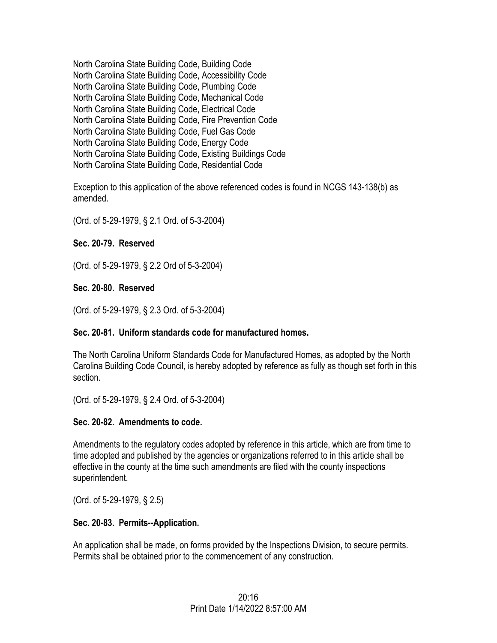North Carolina State Building Code, Building Code North Carolina State Building Code, Accessibility Code North Carolina State Building Code, Plumbing Code North Carolina State Building Code, Mechanical Code North Carolina State Building Code, Electrical Code North Carolina State Building Code, Fire Prevention Code North Carolina State Building Code, Fuel Gas Code North Carolina State Building Code, Energy Code North Carolina State Building Code, Existing Buildings Code North Carolina State Building Code, Residential Code

Exception to this application of the above referenced codes is found in NCGS 143-138(b) as amended.

(Ord. of 5-29-1979, § 2.1 Ord. of 5-3-2004)

### **Sec. 20-79. Reserved**

(Ord. of 5-29-1979, § 2.2 Ord of 5-3-2004)

#### **Sec. 20-80. Reserved**

(Ord. of 5-29-1979, § 2.3 Ord. of 5-3-2004)

#### **Sec. 20-81. Uniform standards code for manufactured homes.**

The North Carolina Uniform Standards Code for Manufactured Homes, as adopted by the North Carolina Building Code Council, is hereby adopted by reference as fully as though set forth in this section.

(Ord. of 5-29-1979, § 2.4 Ord. of 5-3-2004)

#### **Sec. 20-82. Amendments to code.**

Amendments to the regulatory codes adopted by reference in this article, which are from time to time adopted and published by the agencies or organizations referred to in this article shall be effective in the county at the time such amendments are filed with the county inspections superintendent.

(Ord. of 5-29-1979, § 2.5)

### **Sec. 20-83. Permits--Application.**

An application shall be made, on forms provided by the Inspections Division, to secure permits. Permits shall be obtained prior to the commencement of any construction.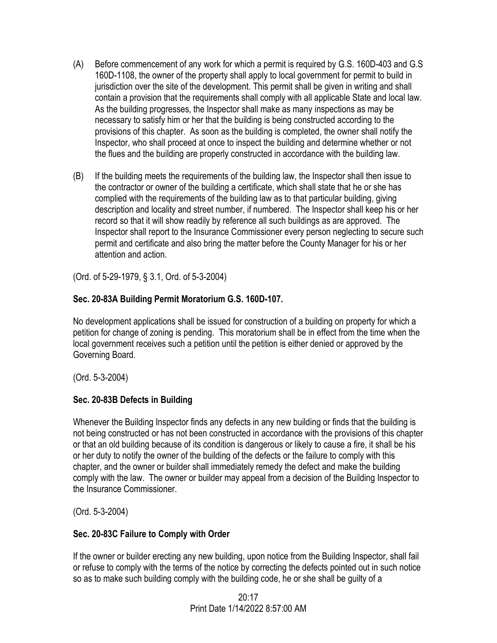- (A) Before commencement of any work for which a permit is required by G.S. 160D-403 and G.S 160D-1108, the owner of the property shall apply to local government for permit to build in jurisdiction over the site of the development. This permit shall be given in writing and shall contain a provision that the requirements shall comply with all applicable State and local law. As the building progresses, the Inspector shall make as many inspections as may be necessary to satisfy him or her that the building is being constructed according to the provisions of this chapter. As soon as the building is completed, the owner shall notify the Inspector, who shall proceed at once to inspect the building and determine whether or not the flues and the building are properly constructed in accordance with the building law.
- (B) If the building meets the requirements of the building law, the Inspector shall then issue to the contractor or owner of the building a certificate, which shall state that he or she has complied with the requirements of the building law as to that particular building, giving description and locality and street number, if numbered. The Inspector shall keep his or her record so that it will show readily by reference all such buildings as are approved. The Inspector shall report to the Insurance Commissioner every person neglecting to secure such permit and certificate and also bring the matter before the County Manager for his or her attention and action.

(Ord. of 5-29-1979, § 3.1, Ord. of 5-3-2004)

## **Sec. 20-83A Building Permit Moratorium G.S. 160D-107.**

No development applications shall be issued for construction of a building on property for which a petition for change of zoning is pending. This moratorium shall be in effect from the time when the local government receives such a petition until the petition is either denied or approved by the Governing Board.

(Ord. 5-3-2004)

## **Sec. 20-83B Defects in Building**

Whenever the Building Inspector finds any defects in any new building or finds that the building is not being constructed or has not been constructed in accordance with the provisions of this chapter or that an old building because of its condition is dangerous or likely to cause a fire, it shall be his or her duty to notify the owner of the building of the defects or the failure to comply with this chapter, and the owner or builder shall immediately remedy the defect and make the building comply with the law. The owner or builder may appeal from a decision of the Building Inspector to the Insurance Commissioner.

(Ord. 5-3-2004)

### **Sec. 20-83C Failure to Comply with Order**

If the owner or builder erecting any new building, upon notice from the Building Inspector, shall fail or refuse to comply with the terms of the notice by correcting the defects pointed out in such notice so as to make such building comply with the building code, he or she shall be guilty of a

> $20.17$ Print Date 1/14/2022 8:57:00 AM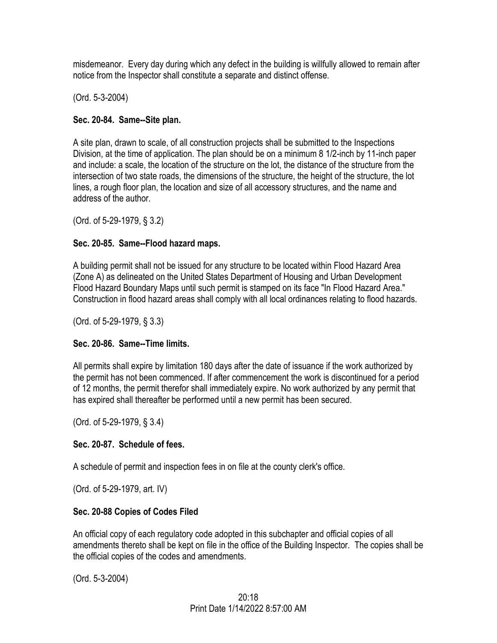misdemeanor. Every day during which any defect in the building is willfully allowed to remain after notice from the Inspector shall constitute a separate and distinct offense.

(Ord. 5-3-2004)

## **Sec. 20-84. Same--Site plan.**

A site plan, drawn to scale, of all construction projects shall be submitted to the Inspections Division, at the time of application. The plan should be on a minimum 8 1/2-inch by 11-inch paper and include: a scale, the location of the structure on the lot, the distance of the structure from the intersection of two state roads, the dimensions of the structure, the height of the structure, the lot lines, a rough floor plan, the location and size of all accessory structures, and the name and address of the author.

(Ord. of 5-29-1979, § 3.2)

## **Sec. 20-85. Same--Flood hazard maps.**

A building permit shall not be issued for any structure to be located within Flood Hazard Area (Zone A) as delineated on the United States Department of Housing and Urban Development Flood Hazard Boundary Maps until such permit is stamped on its face "In Flood Hazard Area." Construction in flood hazard areas shall comply with all local ordinances relating to flood hazards.

(Ord. of 5-29-1979, § 3.3)

## **Sec. 20-86. Same--Time limits.**

All permits shall expire by limitation 180 days after the date of issuance if the work authorized by the permit has not been commenced. If after commencement the work is discontinued for a period of 12 months, the permit therefor shall immediately expire. No work authorized by any permit that has expired shall thereafter be performed until a new permit has been secured.

(Ord. of 5-29-1979, § 3.4)

## **Sec. 20-87. Schedule of fees.**

A schedule of permit and inspection fees in on file at the county clerk's office.

(Ord. of 5-29-1979, art. IV)

## **Sec. 20-88 Copies of Codes Filed**

An official copy of each regulatory code adopted in this subchapter and official copies of all amendments thereto shall be kept on file in the office of the Building Inspector. The copies shall be the official copies of the codes and amendments.

(Ord. 5-3-2004)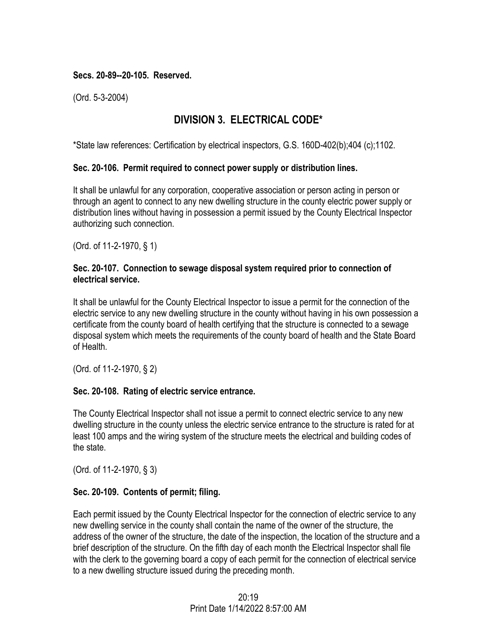### **Secs. 20-89--20-105. Reserved.**

(Ord. 5-3-2004)

# **DIVISION 3. ELECTRICAL CODE\***

\*State law references: Certification by electrical inspectors, G.S. 160D-402(b);404 (c);1102.

#### **Sec. 20-106. Permit required to connect power supply or distribution lines.**

It shall be unlawful for any corporation, cooperative association or person acting in person or through an agent to connect to any new dwelling structure in the county electric power supply or distribution lines without having in possession a permit issued by the County Electrical Inspector authorizing such connection.

(Ord. of 11-2-1970, § 1)

#### **Sec. 20-107. Connection to sewage disposal system required prior to connection of electrical service.**

It shall be unlawful for the County Electrical Inspector to issue a permit for the connection of the electric service to any new dwelling structure in the county without having in his own possession a certificate from the county board of health certifying that the structure is connected to a sewage disposal system which meets the requirements of the county board of health and the State Board of Health.

(Ord. of 11-2-1970, § 2)

### **Sec. 20-108. Rating of electric service entrance.**

The County Electrical Inspector shall not issue a permit to connect electric service to any new dwelling structure in the county unless the electric service entrance to the structure is rated for at least 100 amps and the wiring system of the structure meets the electrical and building codes of the state.

(Ord. of 11-2-1970, § 3)

### **Sec. 20-109. Contents of permit; filing.**

Each permit issued by the County Electrical Inspector for the connection of electric service to any new dwelling service in the county shall contain the name of the owner of the structure, the address of the owner of the structure, the date of the inspection, the location of the structure and a brief description of the structure. On the fifth day of each month the Electrical Inspector shall file with the clerk to the governing board a copy of each permit for the connection of electrical service to a new dwelling structure issued during the preceding month.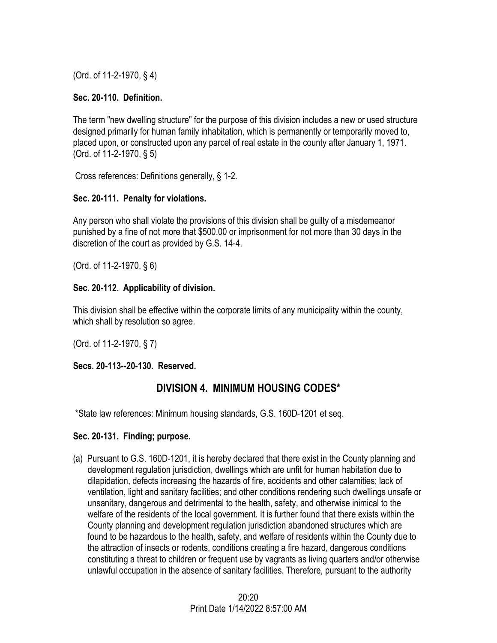(Ord. of 11-2-1970, § 4)

### **Sec. 20-110. Definition.**

The term "new dwelling structure" for the purpose of this division includes a new or used structure designed primarily for human family inhabitation, which is permanently or temporarily moved to, placed upon, or constructed upon any parcel of real estate in the county after January 1, 1971. (Ord. of 11-2-1970, § 5)

Cross references: Definitions generally, § 1-2.

## **Sec. 20-111. Penalty for violations.**

Any person who shall violate the provisions of this division shall be guilty of a misdemeanor punished by a fine of not more that \$500.00 or imprisonment for not more than 30 days in the discretion of the court as provided by G.S. 14-4.

(Ord. of 11-2-1970, § 6)

## **Sec. 20-112. Applicability of division.**

This division shall be effective within the corporate limits of any municipality within the county, which shall by resolution so agree.

(Ord. of 11-2-1970, § 7)

## **Secs. 20-113--20-130. Reserved.**

# **DIVISION 4. MINIMUM HOUSING CODES\***

\*State law references: Minimum housing standards, G.S. 160D-1201 et seq.

### **Sec. 20-131. Finding; purpose.**

(a) Pursuant to G.S. 160D-1201, it is hereby declared that there exist in the County planning and development regulation jurisdiction, dwellings which are unfit for human habitation due to dilapidation, defects increasing the hazards of fire, accidents and other calamities; lack of ventilation, light and sanitary facilities; and other conditions rendering such dwellings unsafe or unsanitary, dangerous and detrimental to the health, safety, and otherwise inimical to the welfare of the residents of the local government. It is further found that there exists within the County planning and development regulation jurisdiction abandoned structures which are found to be hazardous to the health, safety, and welfare of residents within the County due to the attraction of insects or rodents, conditions creating a fire hazard, dangerous conditions constituting a threat to children or frequent use by vagrants as living quarters and/or otherwise unlawful occupation in the absence of sanitary facilities. Therefore, pursuant to the authority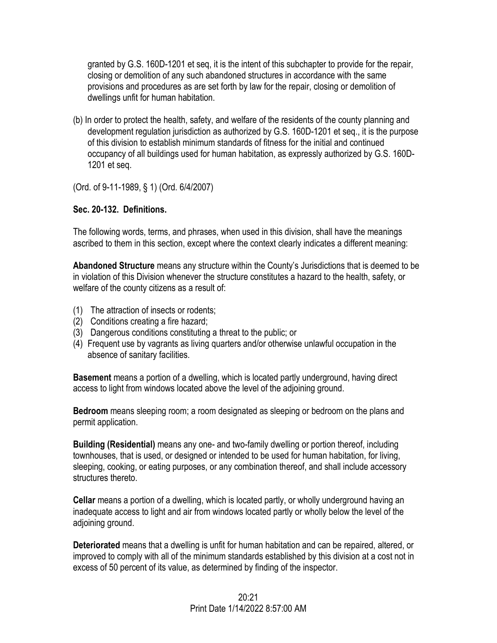granted by G.S. 160D-1201 et seq, it is the intent of this subchapter to provide for the repair, closing or demolition of any such abandoned structures in accordance with the same provisions and procedures as are set forth by law for the repair, closing or demolition of dwellings unfit for human habitation.

(b) In order to protect the health, safety, and welfare of the residents of the county planning and development regulation jurisdiction as authorized by G.S. 160D-1201 et seq., it is the purpose of this division to establish minimum standards of fitness for the initial and continued occupancy of all buildings used for human habitation, as expressly authorized by G.S. 160D-1201 et seq.

(Ord. of 9-11-1989, § 1) (Ord. 6/4/2007)

### **Sec. 20-132. Definitions.**

The following words, terms, and phrases, when used in this division, shall have the meanings ascribed to them in this section, except where the context clearly indicates a different meaning:

**Abandoned Structure** means any structure within the County's Jurisdictions that is deemed to be in violation of this Division whenever the structure constitutes a hazard to the health, safety, or welfare of the county citizens as a result of:

- (1) The attraction of insects or rodents;
- (2) Conditions creating a fire hazard;
- (3) Dangerous conditions constituting a threat to the public; or
- (4) Frequent use by vagrants as living quarters and/or otherwise unlawful occupation in the absence of sanitary facilities.

**Basement** means a portion of a dwelling, which is located partly underground, having direct access to light from windows located above the level of the adjoining ground.

**Bedroom** means sleeping room; a room designated as sleeping or bedroom on the plans and permit application.

**Building (Residential)** means any one- and two-family dwelling or portion thereof, including townhouses, that is used, or designed or intended to be used for human habitation, for living, sleeping, cooking, or eating purposes, or any combination thereof, and shall include accessory structures thereto.

**Cellar** means a portion of a dwelling, which is located partly, or wholly underground having an inadequate access to light and air from windows located partly or wholly below the level of the adjoining ground.

**Deteriorated** means that a dwelling is unfit for human habitation and can be repaired, altered, or improved to comply with all of the minimum standards established by this division at a cost not in excess of 50 percent of its value, as determined by finding of the inspector.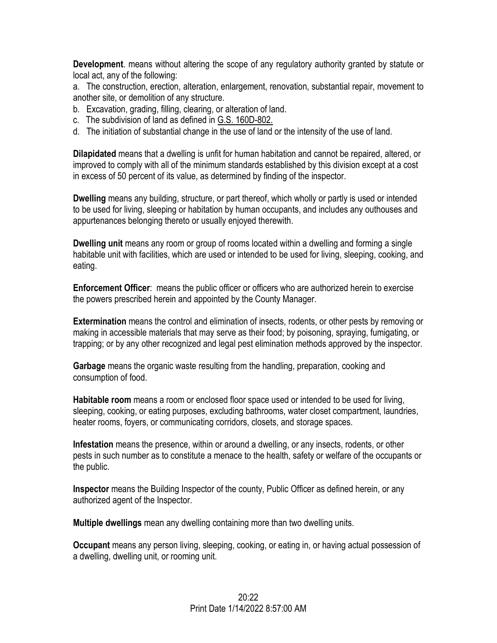**Development**. means without altering the scope of any regulatory authority granted by statute or local act, any of the following:

a. The construction, erection, alteration, enlargement, renovation, substantial repair, movement to another site, or demolition of any structure.

- b. Excavation, grading, filling, clearing, or alteration of land.
- c. The subdivision of land as defined in G.S. 160D-802.
- d. The initiation of substantial change in the use of land or the intensity of the use of land.

**Dilapidated** means that a dwelling is unfit for human habitation and cannot be repaired, altered, or improved to comply with all of the minimum standards established by this division except at a cost in excess of 50 percent of its value, as determined by finding of the inspector.

**Dwelling** means any building, structure, or part thereof, which wholly or partly is used or intended to be used for living, sleeping or habitation by human occupants, and includes any outhouses and appurtenances belonging thereto or usually enjoyed therewith.

**Dwelling unit** means any room or group of rooms located within a dwelling and forming a single habitable unit with facilities, which are used or intended to be used for living, sleeping, cooking, and eating.

**Enforcement Officer**: means the public officer or officers who are authorized herein to exercise the powers prescribed herein and appointed by the County Manager.

**Extermination** means the control and elimination of insects, rodents, or other pests by removing or making in accessible materials that may serve as their food; by poisoning, spraying, fumigating, or trapping; or by any other recognized and legal pest elimination methods approved by the inspector.

**Garbage** means the organic waste resulting from the handling, preparation, cooking and consumption of food.

**Habitable room** means a room or enclosed floor space used or intended to be used for living, sleeping, cooking, or eating purposes, excluding bathrooms, water closet compartment, laundries, heater rooms, foyers, or communicating corridors, closets, and storage spaces.

**Infestation** means the presence, within or around a dwelling, or any insects, rodents, or other pests in such number as to constitute a menace to the health, safety or welfare of the occupants or the public.

**Inspector** means the Building Inspector of the county, Public Officer as defined herein, or any authorized agent of the Inspector.

**Multiple dwellings** mean any dwelling containing more than two dwelling units.

**Occupant** means any person living, sleeping, cooking, or eating in, or having actual possession of a dwelling, dwelling unit, or rooming unit.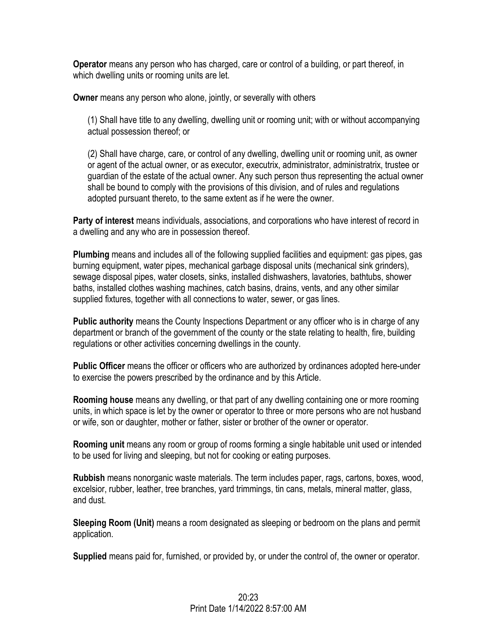**Operator** means any person who has charged, care or control of a building, or part thereof, in which dwelling units or rooming units are let.

**Owner** means any person who alone, jointly, or severally with others

(1) Shall have title to any dwelling, dwelling unit or rooming unit; with or without accompanying actual possession thereof; or

(2) Shall have charge, care, or control of any dwelling, dwelling unit or rooming unit, as owner or agent of the actual owner, or as executor, executrix, administrator, administratrix, trustee or guardian of the estate of the actual owner. Any such person thus representing the actual owner shall be bound to comply with the provisions of this division, and of rules and regulations adopted pursuant thereto, to the same extent as if he were the owner.

**Party of interest** means individuals, associations, and corporations who have interest of record in a dwelling and any who are in possession thereof.

**Plumbing** means and includes all of the following supplied facilities and equipment: gas pipes, gas burning equipment, water pipes, mechanical garbage disposal units (mechanical sink grinders), sewage disposal pipes, water closets, sinks, installed dishwashers, lavatories, bathtubs, shower baths, installed clothes washing machines, catch basins, drains, vents, and any other similar supplied fixtures, together with all connections to water, sewer, or gas lines.

**Public authority** means the County Inspections Department or any officer who is in charge of any department or branch of the government of the county or the state relating to health, fire, building regulations or other activities concerning dwellings in the county.

**Public Officer** means the officer or officers who are authorized by ordinances adopted here-under to exercise the powers prescribed by the ordinance and by this Article.

**Rooming house** means any dwelling, or that part of any dwelling containing one or more rooming units, in which space is let by the owner or operator to three or more persons who are not husband or wife, son or daughter, mother or father, sister or brother of the owner or operator.

**Rooming unit** means any room or group of rooms forming a single habitable unit used or intended to be used for living and sleeping, but not for cooking or eating purposes.

**Rubbish** means nonorganic waste materials. The term includes paper, rags, cartons, boxes, wood, excelsior, rubber, leather, tree branches, yard trimmings, tin cans, metals, mineral matter, glass, and dust.

**Sleeping Room (Unit)** means a room designated as sleeping or bedroom on the plans and permit application.

**Supplied** means paid for, furnished, or provided by, or under the control of, the owner or operator.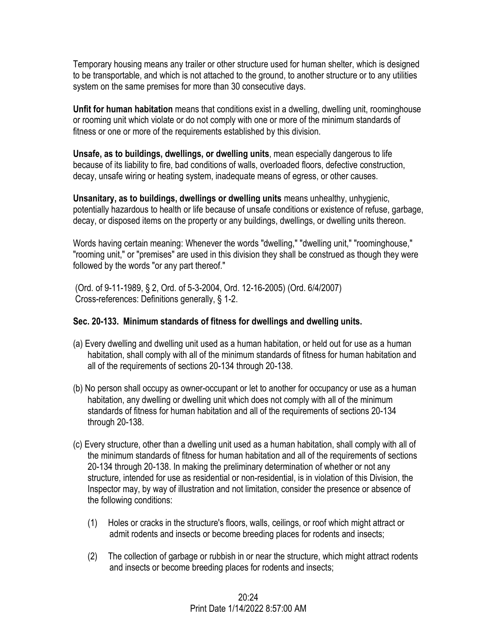Temporary housing means any trailer or other structure used for human shelter, which is designed to be transportable, and which is not attached to the ground, to another structure or to any utilities system on the same premises for more than 30 consecutive days.

**Unfit for human habitation** means that conditions exist in a dwelling, dwelling unit, roominghouse or rooming unit which violate or do not comply with one or more of the minimum standards of fitness or one or more of the requirements established by this division.

**Unsafe, as to buildings, dwellings, or dwelling units**, mean especially dangerous to life because of its liability to fire, bad conditions of walls, overloaded floors, defective construction, decay, unsafe wiring or heating system, inadequate means of egress, or other causes.

**Unsanitary, as to buildings, dwellings or dwelling units** means unhealthy, unhygienic, potentially hazardous to health or life because of unsafe conditions or existence of refuse, garbage, decay, or disposed items on the property or any buildings, dwellings, or dwelling units thereon.

Words having certain meaning: Whenever the words "dwelling," "dwelling unit," "roominghouse," "rooming unit," or "premises" are used in this division they shall be construed as though they were followed by the words "or any part thereof."

(Ord. of 9-11-1989, § 2, Ord. of 5-3-2004, Ord. 12-16-2005) (Ord. 6/4/2007) Cross-references: Definitions generally, § 1-2.

### **Sec. 20-133. Minimum standards of fitness for dwellings and dwelling units.**

- (a) Every dwelling and dwelling unit used as a human habitation, or held out for use as a human habitation, shall comply with all of the minimum standards of fitness for human habitation and all of the requirements of sections 20-134 through 20-138.
- (b) No person shall occupy as owner-occupant or let to another for occupancy or use as a human habitation, any dwelling or dwelling unit which does not comply with all of the minimum standards of fitness for human habitation and all of the requirements of sections 20-134 through 20-138.
- (c) Every structure, other than a dwelling unit used as a human habitation, shall comply with all of the minimum standards of fitness for human habitation and all of the requirements of sections 20-134 through 20-138. In making the preliminary determination of whether or not any structure, intended for use as residential or non-residential, is in violation of this Division, the Inspector may, by way of illustration and not limitation, consider the presence or absence of the following conditions:
	- (1) Holes or cracks in the structure's floors, walls, ceilings, or roof which might attract or admit rodents and insects or become breeding places for rodents and insects;
	- (2) The collection of garbage or rubbish in or near the structure, which might attract rodents and insects or become breeding places for rodents and insects;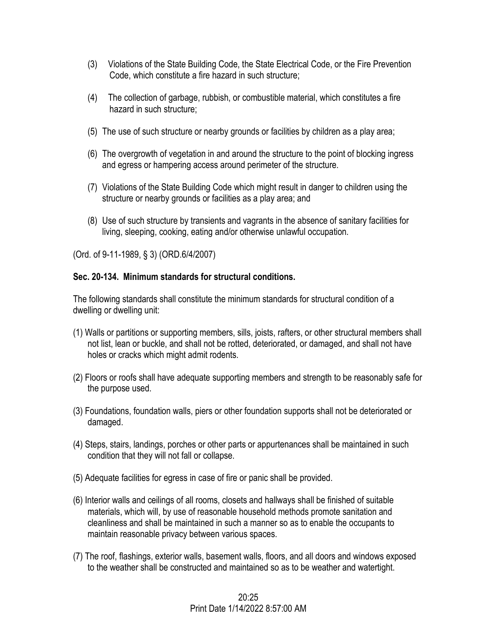- (3) Violations of the State Building Code, the State Electrical Code, or the Fire Prevention Code, which constitute a fire hazard in such structure;
- (4) The collection of garbage, rubbish, or combustible material, which constitutes a fire hazard in such structure;
- (5) The use of such structure or nearby grounds or facilities by children as a play area;
- (6) The overgrowth of vegetation in and around the structure to the point of blocking ingress and egress or hampering access around perimeter of the structure.
- (7) Violations of the State Building Code which might result in danger to children using the structure or nearby grounds or facilities as a play area; and
- (8) Use of such structure by transients and vagrants in the absence of sanitary facilities for living, sleeping, cooking, eating and/or otherwise unlawful occupation.

(Ord. of 9-11-1989, § 3) (ORD.6/4/2007)

#### **Sec. 20-134. Minimum standards for structural conditions.**

The following standards shall constitute the minimum standards for structural condition of a dwelling or dwelling unit:

- (1) Walls or partitions or supporting members, sills, joists, rafters, or other structural members shall not list, lean or buckle, and shall not be rotted, deteriorated, or damaged, and shall not have holes or cracks which might admit rodents.
- (2) Floors or roofs shall have adequate supporting members and strength to be reasonably safe for the purpose used.
- (3) Foundations, foundation walls, piers or other foundation supports shall not be deteriorated or damaged.
- (4) Steps, stairs, landings, porches or other parts or appurtenances shall be maintained in such condition that they will not fall or collapse.
- (5) Adequate facilities for egress in case of fire or panic shall be provided.
- (6) Interior walls and ceilings of all rooms, closets and hallways shall be finished of suitable materials, which will, by use of reasonable household methods promote sanitation and cleanliness and shall be maintained in such a manner so as to enable the occupants to maintain reasonable privacy between various spaces.
- (7) The roof, flashings, exterior walls, basement walls, floors, and all doors and windows exposed to the weather shall be constructed and maintained so as to be weather and watertight.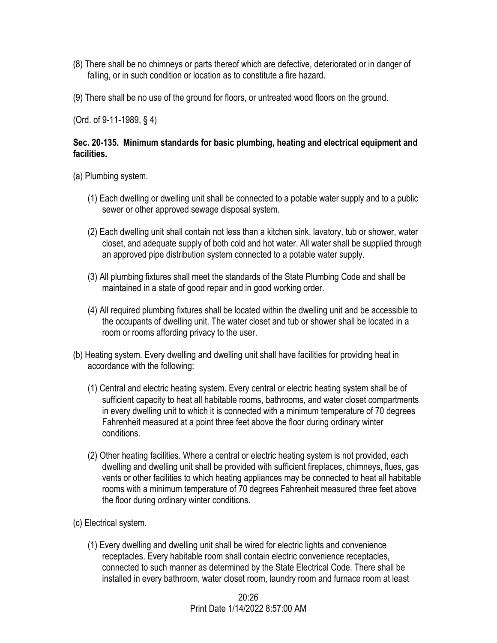- (8) There shall be no chimneys or parts thereof which are defective, deteriorated or in danger of falling, or in such condition or location as to constitute a fire hazard.
- (9) There shall be no use of the ground for floors, or untreated wood floors on the ground.

(Ord. of 9-11-1989, § 4)

#### **Sec. 20-135. Minimum standards for basic plumbing, heating and electrical equipment and facilities.**

- (a) Plumbing system.
	- (1) Each dwelling or dwelling unit shall be connected to a potable water supply and to a public sewer or other approved sewage disposal system.
	- (2) Each dwelling unit shall contain not less than a kitchen sink, lavatory, tub or shower, water closet, and adequate supply of both cold and hot water. All water shall be supplied through an approved pipe distribution system connected to a potable water supply.
	- (3) All plumbing fixtures shall meet the standards of the State Plumbing Code and shall be maintained in a state of good repair and in good working order.
	- (4) All required plumbing fixtures shall be located within the dwelling unit and be accessible to the occupants of dwelling unit. The water closet and tub or shower shall be located in a room or rooms affording privacy to the user.
- (b) Heating system. Every dwelling and dwelling unit shall have facilities for providing heat in accordance with the following:
	- (1) Central and electric heating system. Every central or electric heating system shall be of sufficient capacity to heat all habitable rooms, bathrooms, and water closet compartments in every dwelling unit to which it is connected with a minimum temperature of 70 degrees Fahrenheit measured at a point three feet above the floor during ordinary winter conditions.
	- (2) Other heating facilities. Where a central or electric heating system is not provided, each dwelling and dwelling unit shall be provided with sufficient fireplaces, chimneys, flues, gas vents or other facilities to which heating appliances may be connected to heat all habitable rooms with a minimum temperature of 70 degrees Fahrenheit measured three feet above the floor during ordinary winter conditions.
- (c) Electrical system.
	- (1) Every dwelling and dwelling unit shall be wired for electric lights and convenience receptacles. Every habitable room shall contain electric convenience receptacles, connected to such manner as determined by the State Electrical Code. There shall be installed in every bathroom, water closet room, laundry room and furnace room at least

 $20.26$ Print Date 1/14/2022 8:57:00 AM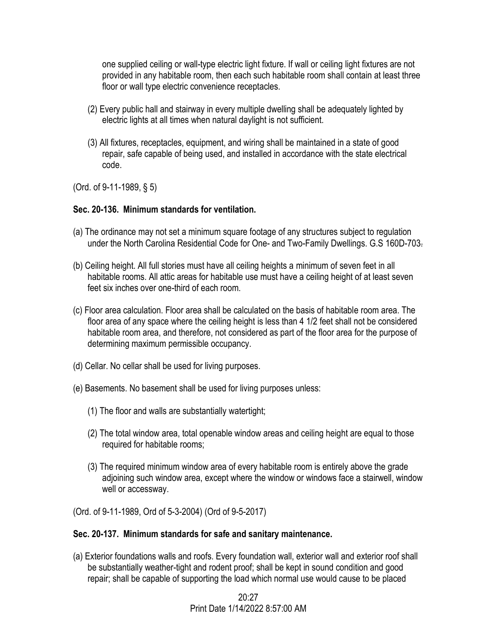one supplied ceiling or wall-type electric light fixture. If wall or ceiling light fixtures are not provided in any habitable room, then each such habitable room shall contain at least three floor or wall type electric convenience receptacles.

- (2) Every public hall and stairway in every multiple dwelling shall be adequately lighted by electric lights at all times when natural daylight is not sufficient.
- (3) All fixtures, receptacles, equipment, and wiring shall be maintained in a state of good repair, safe capable of being used, and installed in accordance with the state electrical code.

(Ord. of 9-11-1989, § 5)

#### **Sec. 20-136. Minimum standards for ventilation.**

- (a) The ordinance may not set a minimum square footage of any structures subject to regulation under the North Carolina Residential Code for One- and Two-Family Dwellings. G.S 160D-703.
- (b) Ceiling height. All full stories must have all ceiling heights a minimum of seven feet in all habitable rooms. All attic areas for habitable use must have a ceiling height of at least seven feet six inches over one-third of each room.
- (c) Floor area calculation. Floor area shall be calculated on the basis of habitable room area. The floor area of any space where the ceiling height is less than 4 1/2 feet shall not be considered habitable room area, and therefore, not considered as part of the floor area for the purpose of determining maximum permissible occupancy.
- (d) Cellar. No cellar shall be used for living purposes.
- (e) Basements. No basement shall be used for living purposes unless:
	- (1) The floor and walls are substantially watertight;
	- (2) The total window area, total openable window areas and ceiling height are equal to those required for habitable rooms;
	- (3) The required minimum window area of every habitable room is entirely above the grade adjoining such window area, except where the window or windows face a stairwell, window well or accessway.
- (Ord. of 9-11-1989, Ord of 5-3-2004) (Ord of 9-5-2017)

#### **Sec. 20-137. Minimum standards for safe and sanitary maintenance.**

(a) Exterior foundations walls and roofs. Every foundation wall, exterior wall and exterior roof shall be substantially weather-tight and rodent proof; shall be kept in sound condition and good repair; shall be capable of supporting the load which normal use would cause to be placed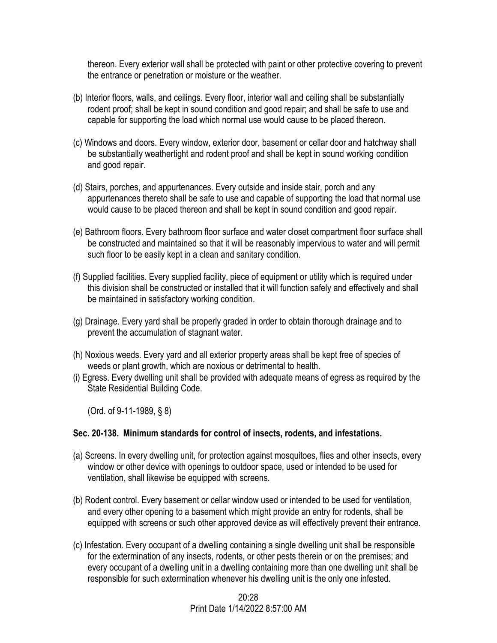thereon. Every exterior wall shall be protected with paint or other protective covering to prevent the entrance or penetration or moisture or the weather.

- (b) Interior floors, walls, and ceilings. Every floor, interior wall and ceiling shall be substantially rodent proof; shall be kept in sound condition and good repair; and shall be safe to use and capable for supporting the load which normal use would cause to be placed thereon.
- (c) Windows and doors. Every window, exterior door, basement or cellar door and hatchway shall be substantially weathertight and rodent proof and shall be kept in sound working condition and good repair.
- (d) Stairs, porches, and appurtenances. Every outside and inside stair, porch and any appurtenances thereto shall be safe to use and capable of supporting the load that normal use would cause to be placed thereon and shall be kept in sound condition and good repair.
- (e) Bathroom floors. Every bathroom floor surface and water closet compartment floor surface shall be constructed and maintained so that it will be reasonably impervious to water and will permit such floor to be easily kept in a clean and sanitary condition.
- (f) Supplied facilities. Every supplied facility, piece of equipment or utility which is required under this division shall be constructed or installed that it will function safely and effectively and shall be maintained in satisfactory working condition.
- (g) Drainage. Every yard shall be properly graded in order to obtain thorough drainage and to prevent the accumulation of stagnant water.
- (h) Noxious weeds. Every yard and all exterior property areas shall be kept free of species of weeds or plant growth, which are noxious or detrimental to health.
- (i) Egress. Every dwelling unit shall be provided with adequate means of egress as required by the State Residential Building Code.

(Ord. of 9-11-1989, § 8)

#### **Sec. 20-138. Minimum standards for control of insects, rodents, and infestations.**

- (a) Screens. In every dwelling unit, for protection against mosquitoes, flies and other insects, every window or other device with openings to outdoor space, used or intended to be used for ventilation, shall likewise be equipped with screens.
- (b) Rodent control. Every basement or cellar window used or intended to be used for ventilation, and every other opening to a basement which might provide an entry for rodents, shall be equipped with screens or such other approved device as will effectively prevent their entrance.
- (c) Infestation. Every occupant of a dwelling containing a single dwelling unit shall be responsible for the extermination of any insects, rodents, or other pests therein or on the premises; and every occupant of a dwelling unit in a dwelling containing more than one dwelling unit shall be responsible for such extermination whenever his dwelling unit is the only one infested.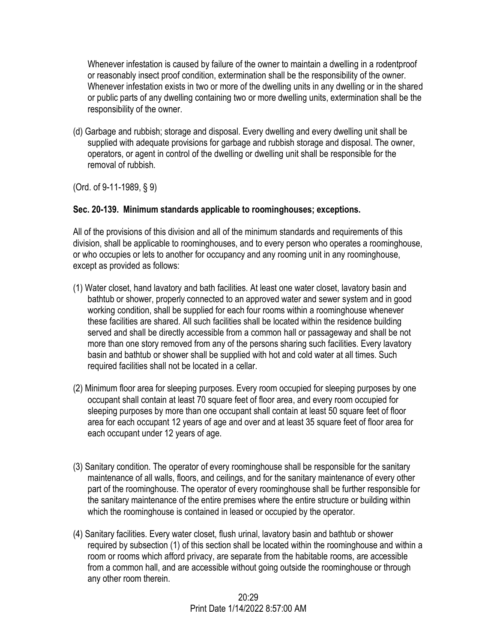Whenever infestation is caused by failure of the owner to maintain a dwelling in a rodentproof or reasonably insect proof condition, extermination shall be the responsibility of the owner. Whenever infestation exists in two or more of the dwelling units in any dwelling or in the shared or public parts of any dwelling containing two or more dwelling units, extermination shall be the responsibility of the owner.

(d) Garbage and rubbish; storage and disposal. Every dwelling and every dwelling unit shall be supplied with adequate provisions for garbage and rubbish storage and disposal. The owner, operators, or agent in control of the dwelling or dwelling unit shall be responsible for the removal of rubbish.

(Ord. of 9-11-1989, § 9)

## **Sec. 20-139. Minimum standards applicable to roominghouses; exceptions.**

All of the provisions of this division and all of the minimum standards and requirements of this division, shall be applicable to roominghouses, and to every person who operates a roominghouse, or who occupies or lets to another for occupancy and any rooming unit in any roominghouse, except as provided as follows:

- (1) Water closet, hand lavatory and bath facilities. At least one water closet, lavatory basin and bathtub or shower, properly connected to an approved water and sewer system and in good working condition, shall be supplied for each four rooms within a roominghouse whenever these facilities are shared. All such facilities shall be located within the residence building served and shall be directly accessible from a common hall or passageway and shall be not more than one story removed from any of the persons sharing such facilities. Every lavatory basin and bathtub or shower shall be supplied with hot and cold water at all times. Such required facilities shall not be located in a cellar.
- (2) Minimum floor area for sleeping purposes. Every room occupied for sleeping purposes by one occupant shall contain at least 70 square feet of floor area, and every room occupied for sleeping purposes by more than one occupant shall contain at least 50 square feet of floor area for each occupant 12 years of age and over and at least 35 square feet of floor area for each occupant under 12 years of age.
- (3) Sanitary condition. The operator of every roominghouse shall be responsible for the sanitary maintenance of all walls, floors, and ceilings, and for the sanitary maintenance of every other part of the roominghouse. The operator of every roominghouse shall be further responsible for the sanitary maintenance of the entire premises where the entire structure or building within which the roominghouse is contained in leased or occupied by the operator.
- (4) Sanitary facilities. Every water closet, flush urinal, lavatory basin and bathtub or shower required by subsection (1) of this section shall be located within the roominghouse and within a room or rooms which afford privacy, are separate from the habitable rooms, are accessible from a common hall, and are accessible without going outside the roominghouse or through any other room therein.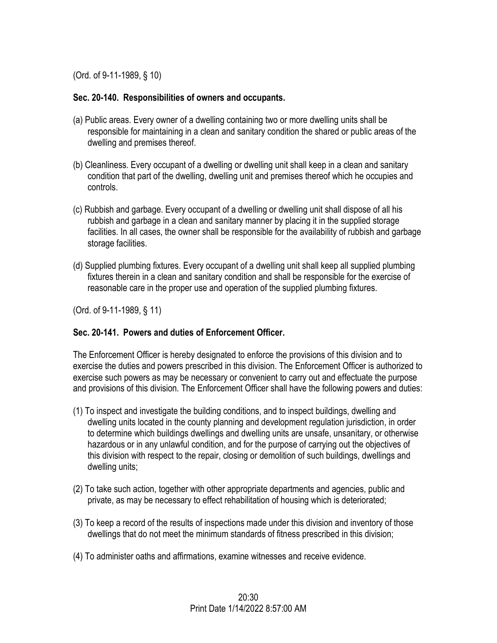(Ord. of 9-11-1989, § 10)

#### **Sec. 20-140. Responsibilities of owners and occupants.**

- (a) Public areas. Every owner of a dwelling containing two or more dwelling units shall be responsible for maintaining in a clean and sanitary condition the shared or public areas of the dwelling and premises thereof.
- (b) Cleanliness. Every occupant of a dwelling or dwelling unit shall keep in a clean and sanitary condition that part of the dwelling, dwelling unit and premises thereof which he occupies and controls.
- (c) Rubbish and garbage. Every occupant of a dwelling or dwelling unit shall dispose of all his rubbish and garbage in a clean and sanitary manner by placing it in the supplied storage facilities. In all cases, the owner shall be responsible for the availability of rubbish and garbage storage facilities.
- (d) Supplied plumbing fixtures. Every occupant of a dwelling unit shall keep all supplied plumbing fixtures therein in a clean and sanitary condition and shall be responsible for the exercise of reasonable care in the proper use and operation of the supplied plumbing fixtures.

(Ord. of 9-11-1989, § 11)

### **Sec. 20-141. Powers and duties of Enforcement Officer.**

The Enforcement Officer is hereby designated to enforce the provisions of this division and to exercise the duties and powers prescribed in this division. The Enforcement Officer is authorized to exercise such powers as may be necessary or convenient to carry out and effectuate the purpose and provisions of this division. The Enforcement Officer shall have the following powers and duties:

- (1) To inspect and investigate the building conditions, and to inspect buildings, dwelling and dwelling units located in the county planning and development regulation jurisdiction, in order to determine which buildings dwellings and dwelling units are unsafe, unsanitary, or otherwise hazardous or in any unlawful condition, and for the purpose of carrying out the objectives of this division with respect to the repair, closing or demolition of such buildings, dwellings and dwelling units;
- (2) To take such action, together with other appropriate departments and agencies, public and private, as may be necessary to effect rehabilitation of housing which is deteriorated;
- (3) To keep a record of the results of inspections made under this division and inventory of those dwellings that do not meet the minimum standards of fitness prescribed in this division;
- (4) To administer oaths and affirmations, examine witnesses and receive evidence.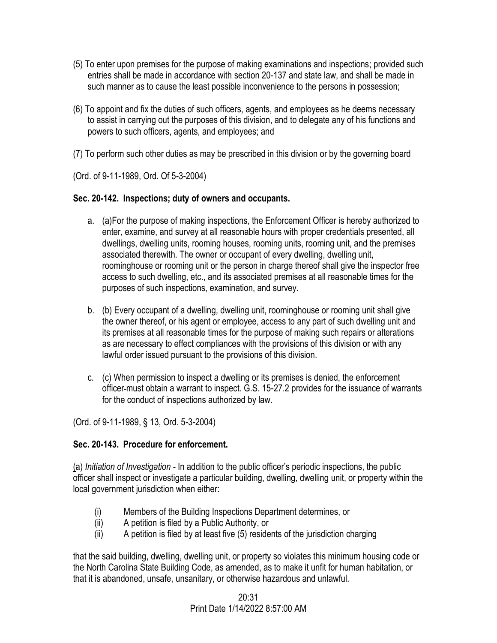- (5) To enter upon premises for the purpose of making examinations and inspections; provided such entries shall be made in accordance with section 20-137 and state law, and shall be made in such manner as to cause the least possible inconvenience to the persons in possession;
- (6) To appoint and fix the duties of such officers, agents, and employees as he deems necessary to assist in carrying out the purposes of this division, and to delegate any of his functions and powers to such officers, agents, and employees; and
- (7) To perform such other duties as may be prescribed in this division or by the governing board

(Ord. of 9-11-1989, Ord. Of 5-3-2004)

## **Sec. 20-142. Inspections; duty of owners and occupants.**

- a. (a)For the purpose of making inspections, the Enforcement Officer is hereby authorized to enter, examine, and survey at all reasonable hours with proper credentials presented, all dwellings, dwelling units, rooming houses, rooming units, rooming unit, and the premises associated therewith. The owner or occupant of every dwelling, dwelling unit, roominghouse or rooming unit or the person in charge thereof shall give the inspector free access to such dwelling, etc., and its associated premises at all reasonable times for the purposes of such inspections, examination, and survey.
- b. (b) Every occupant of a dwelling, dwelling unit, roominghouse or rooming unit shall give the owner thereof, or his agent or employee, access to any part of such dwelling unit and its premises at all reasonable times for the purpose of making such repairs or alterations as are necessary to effect compliances with the provisions of this division or with any lawful order issued pursuant to the provisions of this division.
- c. (c) When permission to inspect a dwelling or its premises is denied, the enforcement officer must obtain a warrant to inspect. G.S. 15-27.2 provides for the issuance of warrants for the conduct of inspections authorized by law.

(Ord. of 9-11-1989, § 13, Ord. 5-3-2004)

## **Sec. 20-143. Procedure for enforcement.**

(a) *Initiation of Investigation -* In addition to the public officer's periodic inspections, the public officer shall inspect or investigate a particular building, dwelling, dwelling unit, or property within the local government jurisdiction when either:

- (i) Members of the Building Inspections Department determines, or
- (ii) A petition is filed by a Public Authority, or
- (ii) A petition is filed by at least five (5) residents of the jurisdiction charging

that the said building, dwelling, dwelling unit, or property so violates this minimum housing code or the North Carolina State Building Code, as amended, as to make it unfit for human habitation, or that it is abandoned, unsafe, unsanitary, or otherwise hazardous and unlawful.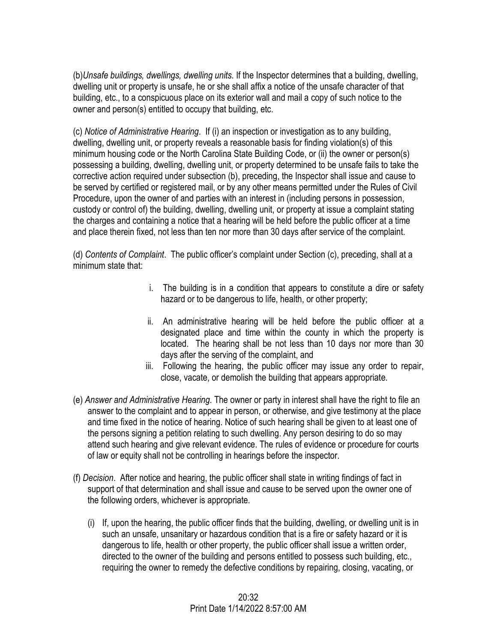(b)*Unsafe buildings, dwellings, dwelling units*. If the Inspector determines that a building, dwelling, dwelling unit or property is unsafe, he or she shall affix a notice of the unsafe character of that building, etc., to a conspicuous place on its exterior wall and mail a copy of such notice to the owner and person(s) entitled to occupy that building, etc.

(c) *Notice of Administrative Hearing*. If (i) an inspection or investigation as to any building, dwelling, dwelling unit, or property reveals a reasonable basis for finding violation(s) of this minimum housing code or the North Carolina State Building Code, or (ii) the owner or person(s) possessing a building, dwelling, dwelling unit, or property determined to be unsafe fails to take the corrective action required under subsection (b), preceding, the Inspector shall issue and cause to be served by certified or registered mail, or by any other means permitted under the Rules of Civil Procedure, upon the owner of and parties with an interest in (including persons in possession, custody or control of) the building, dwelling, dwelling unit, or property at issue a complaint stating the charges and containing a notice that a hearing will be held before the public officer at a time and place therein fixed, not less than ten nor more than 30 days after service of the complaint.

(d) *Contents of Complaint*. The public officer's complaint under Section (c), preceding, shall at a minimum state that:

- i. The building is in a condition that appears to constitute a dire or safety hazard or to be dangerous to life, health, or other property;
- ii. An administrative hearing will be held before the public officer at a designated place and time within the county in which the property is located. The hearing shall be not less than 10 days nor more than 30 days after the serving of the complaint, and
- iii. Following the hearing, the public officer may issue any order to repair, close, vacate, or demolish the building that appears appropriate.
- (e) *Answer and Administrative Hearing*. The owner or party in interest shall have the right to file an answer to the complaint and to appear in person, or otherwise, and give testimony at the place and time fixed in the notice of hearing. Notice of such hearing shall be given to at least one of the persons signing a petition relating to such dwelling. Any person desiring to do so may attend such hearing and give relevant evidence. The rules of evidence or procedure for courts of law or equity shall not be controlling in hearings before the inspector.
- (f) *Decision*. After notice and hearing, the public officer shall state in writing findings of fact in support of that determination and shall issue and cause to be served upon the owner one of the following orders, whichever is appropriate.
	- (i) If, upon the hearing, the public officer finds that the building, dwelling, or dwelling unit is in such an unsafe, unsanitary or hazardous condition that is a fire or safety hazard or it is dangerous to life, health or other property, the public officer shall issue a written order, directed to the owner of the building and persons entitled to possess such building, etc., requiring the owner to remedy the defective conditions by repairing, closing, vacating, or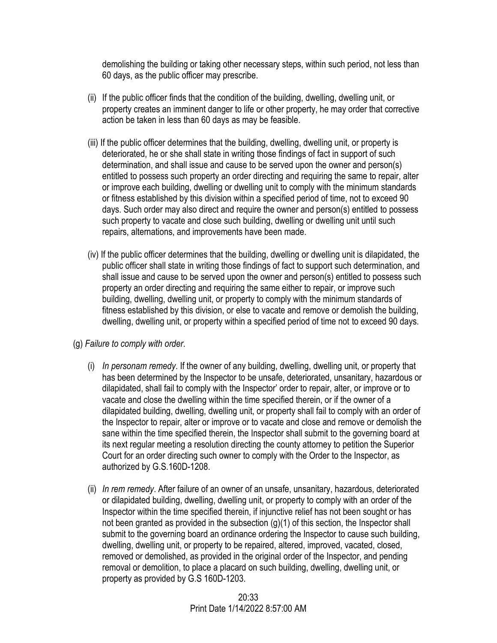demolishing the building or taking other necessary steps, within such period, not less than 60 days, as the public officer may prescribe.

- (ii) If the public officer finds that the condition of the building, dwelling, dwelling unit, or property creates an imminent danger to life or other property, he may order that corrective action be taken in less than 60 days as may be feasible.
- (iii) If the public officer determines that the building, dwelling, dwelling unit, or property is deteriorated, he or she shall state in writing those findings of fact in support of such determination, and shall issue and cause to be served upon the owner and person(s) entitled to possess such property an order directing and requiring the same to repair, alter or improve each building, dwelling or dwelling unit to comply with the minimum standards or fitness established by this division within a specified period of time, not to exceed 90 days. Such order may also direct and require the owner and person(s) entitled to possess such property to vacate and close such building, dwelling or dwelling unit until such repairs, alternations, and improvements have been made.
- (iv) If the public officer determines that the building, dwelling or dwelling unit is dilapidated, the public officer shall state in writing those findings of fact to support such determination, and shall issue and cause to be served upon the owner and person(s) entitled to possess such property an order directing and requiring the same either to repair, or improve such building, dwelling, dwelling unit, or property to comply with the minimum standards of fitness established by this division, or else to vacate and remove or demolish the building, dwelling, dwelling unit, or property within a specified period of time not to exceed 90 days.
- (g) *Failure to comply with order*.
	- (i) *In personam remedy*. If the owner of any building, dwelling, dwelling unit, or property that has been determined by the Inspector to be unsafe, deteriorated, unsanitary, hazardous or dilapidated, shall fail to comply with the Inspector' order to repair, alter, or improve or to vacate and close the dwelling within the time specified therein, or if the owner of a dilapidated building, dwelling, dwelling unit, or property shall fail to comply with an order of the Inspector to repair, alter or improve or to vacate and close and remove or demolish the sane within the time specified therein, the Inspector shall submit to the governing board at its next regular meeting a resolution directing the county attorney to petition the Superior Court for an order directing such owner to comply with the Order to the Inspector, as authorized by G.S.160D-1208.
	- (ii) *In rem remedy*. After failure of an owner of an unsafe, unsanitary, hazardous, deteriorated or dilapidated building, dwelling, dwelling unit, or property to comply with an order of the Inspector within the time specified therein, if injunctive relief has not been sought or has not been granted as provided in the subsection (g)(1) of this section, the Inspector shall submit to the governing board an ordinance ordering the Inspector to cause such building, dwelling, dwelling unit, or property to be repaired, altered, improved, vacated, closed, removed or demolished, as provided in the original order of the Inspector, and pending removal or demolition, to place a placard on such building, dwelling, dwelling unit, or property as provided by G.S 160D-1203.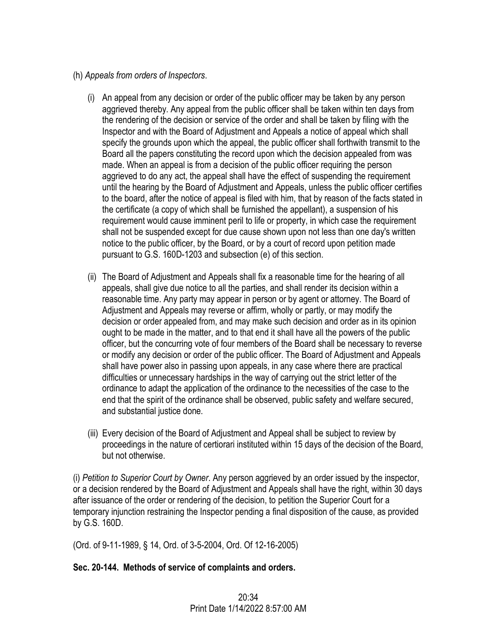- (h) *Appeals from orders of Inspectors*.
	- (i) An appeal from any decision or order of the public officer may be taken by any person aggrieved thereby. Any appeal from the public officer shall be taken within ten days from the rendering of the decision or service of the order and shall be taken by filing with the Inspector and with the Board of Adjustment and Appeals a notice of appeal which shall specify the grounds upon which the appeal, the public officer shall forthwith transmit to the Board all the papers constituting the record upon which the decision appealed from was made. When an appeal is from a decision of the public officer requiring the person aggrieved to do any act, the appeal shall have the effect of suspending the requirement until the hearing by the Board of Adjustment and Appeals, unless the public officer certifies to the board, after the notice of appeal is filed with him, that by reason of the facts stated in the certificate (a copy of which shall be furnished the appellant), a suspension of his requirement would cause imminent peril to life or property, in which case the requirement shall not be suspended except for due cause shown upon not less than one day's written notice to the public officer, by the Board, or by a court of record upon petition made pursuant to G.S. 160D-1203 and subsection (e) of this section.
	- (ii) The Board of Adjustment and Appeals shall fix a reasonable time for the hearing of all appeals, shall give due notice to all the parties, and shall render its decision within a reasonable time. Any party may appear in person or by agent or attorney. The Board of Adjustment and Appeals may reverse or affirm, wholly or partly, or may modify the decision or order appealed from, and may make such decision and order as in its opinion ought to be made in the matter, and to that end it shall have all the powers of the public officer, but the concurring vote of four members of the Board shall be necessary to reverse or modify any decision or order of the public officer. The Board of Adjustment and Appeals shall have power also in passing upon appeals, in any case where there are practical difficulties or unnecessary hardships in the way of carrying out the strict letter of the ordinance to adapt the application of the ordinance to the necessities of the case to the end that the spirit of the ordinance shall be observed, public safety and welfare secured, and substantial justice done.
	- (iii) Every decision of the Board of Adjustment and Appeal shall be subject to review by proceedings in the nature of certiorari instituted within 15 days of the decision of the Board, but not otherwise.

(i) *Petition to Superior Court by Owner*. Any person aggrieved by an order issued by the inspector, or a decision rendered by the Board of Adjustment and Appeals shall have the right, within 30 days after issuance of the order or rendering of the decision, to petition the Superior Court for a temporary injunction restraining the Inspector pending a final disposition of the cause, as provided by G.S. 160D.

(Ord. of 9-11-1989, § 14, Ord. of 3-5-2004, Ord. Of 12-16-2005)

### **Sec. 20-144. Methods of service of complaints and orders.**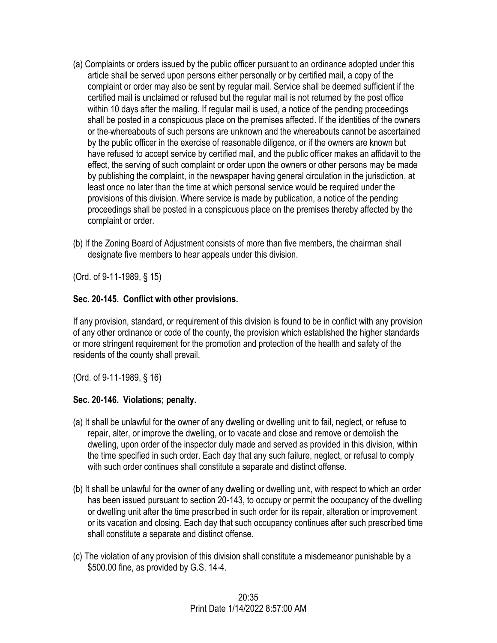- (a) Complaints or orders issued by the public officer pursuant to an ordinance adopted under this article shall be served upon persons either personally or by certified mail, a copy of the complaint or order may also be sent by regular mail. Service shall be deemed sufficient if the certified mail is unclaimed or refused but the regular mail is not returned by the post office within 10 days after the mailing. If regular mail is used, a notice of the pending proceedings shall be posted in a conspicuous place on the premises affected. If the identities of the owners or the whereabouts of such persons are unknown and the whereabouts cannot be ascertained by the public officer in the exercise of reasonable diligence, or if the owners are known but have refused to accept service by certified mail, and the public officer makes an affidavit to the effect, the serving of such complaint or order upon the owners or other persons may be made by publishing the complaint, in the newspaper having general circulation in the jurisdiction, at least once no later than the time at which personal service would be required under the provisions of this division. Where service is made by publication, a notice of the pending proceedings shall be posted in a conspicuous place on the premises thereby affected by the complaint or order.
- (b) If the Zoning Board of Adjustment consists of more than five members, the chairman shall designate five members to hear appeals under this division.

(Ord. of 9-11-1989, § 15)

### **Sec. 20-145. Conflict with other provisions.**

If any provision, standard, or requirement of this division is found to be in conflict with any provision of any other ordinance or code of the county, the provision which established the higher standards or more stringent requirement for the promotion and protection of the health and safety of the residents of the county shall prevail.

(Ord. of 9-11-1989, § 16)

### **Sec. 20-146. Violations; penalty.**

- (a) It shall be unlawful for the owner of any dwelling or dwelling unit to fail, neglect, or refuse to repair, alter, or improve the dwelling, or to vacate and close and remove or demolish the dwelling, upon order of the inspector duly made and served as provided in this division, within the time specified in such order. Each day that any such failure, neglect, or refusal to comply with such order continues shall constitute a separate and distinct offense.
- (b) It shall be unlawful for the owner of any dwelling or dwelling unit, with respect to which an order has been issued pursuant to section 20-143, to occupy or permit the occupancy of the dwelling or dwelling unit after the time prescribed in such order for its repair, alteration or improvement or its vacation and closing. Each day that such occupancy continues after such prescribed time shall constitute a separate and distinct offense.
- (c) The violation of any provision of this division shall constitute a misdemeanor punishable by a \$500.00 fine, as provided by G.S. 14-4.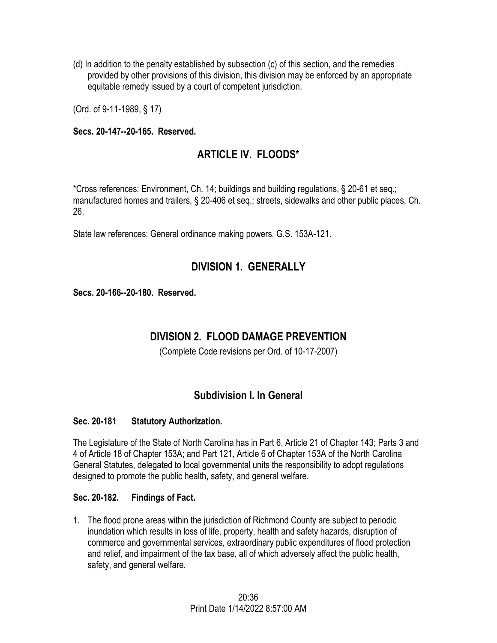(d) In addition to the penalty established by subsection (c) of this section, and the remedies provided by other provisions of this division, this division may be enforced by an appropriate equitable remedy issued by a court of competent jurisdiction.

(Ord. of 9-11-1989, § 17)

#### **Secs. 20-147--20-165. Reserved.**

# **ARTICLE IV. FLOODS\***

\*Cross references: Environment, Ch. 14; buildings and building regulations, § 20-61 et seq.; manufactured homes and trailers, § 20-406 et seq.; streets, sidewalks and other public places, Ch. 26.

State law references: General ordinance making powers, G.S. 153A-121.

# **DIVISION 1. GENERALLY**

**Secs. 20-166--20-180. Reserved.** 

# **DIVISION 2. FLOOD DAMAGE PREVENTION**

(Complete Code revisions per Ord. of 10-17-2007)

## **Subdivision I. In General**

### **Sec. 20-181 Statutory Authorization.**

The Legislature of the State of North Carolina has in Part 6, Article 21 of Chapter 143; Parts 3 and 4 of Article 18 of Chapter 153A; and Part 121, Article 6 of Chapter 153A of the North Carolina General Statutes, delegated to local governmental units the responsibility to adopt regulations designed to promote the public health, safety, and general welfare.

#### **Sec. 20-182. Findings of Fact.**

1. The flood prone areas within the jurisdiction of Richmond County are subject to periodic inundation which results in loss of life, property, health and safety hazards, disruption of commerce and governmental services, extraordinary public expenditures of flood protection and relief, and impairment of the tax base, all of which adversely affect the public health, safety, and general welfare.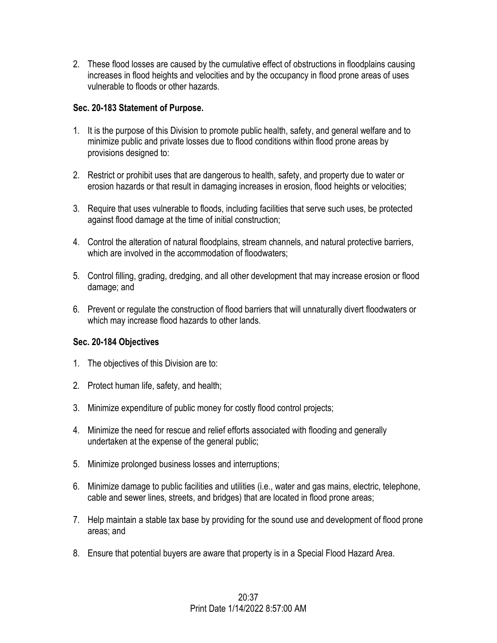2. These flood losses are caused by the cumulative effect of obstructions in floodplains causing increases in flood heights and velocities and by the occupancy in flood prone areas of uses vulnerable to floods or other hazards.

## **Sec. 20-183 Statement of Purpose.**

- 1. It is the purpose of this Division to promote public health, safety, and general welfare and to minimize public and private losses due to flood conditions within flood prone areas by provisions designed to:
- 2. Restrict or prohibit uses that are dangerous to health, safety, and property due to water or erosion hazards or that result in damaging increases in erosion, flood heights or velocities;
- 3. Require that uses vulnerable to floods, including facilities that serve such uses, be protected against flood damage at the time of initial construction;
- 4. Control the alteration of natural floodplains, stream channels, and natural protective barriers, which are involved in the accommodation of floodwaters;
- 5. Control filling, grading, dredging, and all other development that may increase erosion or flood damage; and
- 6. Prevent or regulate the construction of flood barriers that will unnaturally divert floodwaters or which may increase flood hazards to other lands.

# **Sec. 20-184 Objectives**

- 1. The objectives of this Division are to:
- 2. Protect human life, safety, and health;
- 3. Minimize expenditure of public money for costly flood control projects;
- 4. Minimize the need for rescue and relief efforts associated with flooding and generally undertaken at the expense of the general public;
- 5. Minimize prolonged business losses and interruptions;
- 6. Minimize damage to public facilities and utilities (i.e., water and gas mains, electric, telephone, cable and sewer lines, streets, and bridges) that are located in flood prone areas;
- 7. Help maintain a stable tax base by providing for the sound use and development of flood prone areas; and
- 8. Ensure that potential buyers are aware that property is in a Special Flood Hazard Area.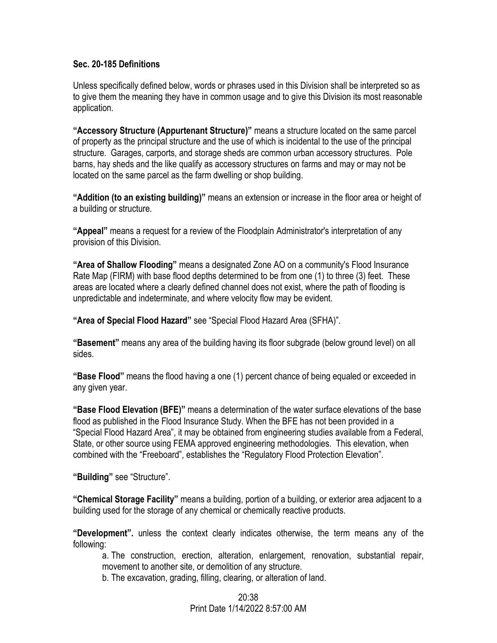#### **Sec. 20-185 Definitions**

Unless specifically defined below, words or phrases used in this Division shall be interpreted so as to give them the meaning they have in common usage and to give this Division its most reasonable application.

**"Accessory Structure (Appurtenant Structure)"** means a structure located on the same parcel of property as the principal structure and the use of which is incidental to the use of the principal structure. Garages, carports, and storage sheds are common urban accessory structures. Pole barns, hay sheds and the like qualify as accessory structures on farms and may or may not be located on the same parcel as the farm dwelling or shop building.

**"Addition (to an existing building)"** means an extension or increase in the floor area or height of a building or structure.

**"Appeal"** means a request for a review of the Floodplain Administrator's interpretation of any provision of this Division.

**"Area of Shallow Flooding"** means a designated Zone AO on a community's Flood Insurance Rate Map (FIRM) with base flood depths determined to be from one (1) to three (3) feet. These areas are located where a clearly defined channel does not exist, where the path of flooding is unpredictable and indeterminate, and where velocity flow may be evident.

**"Area of Special Flood Hazard"** see "Special Flood Hazard Area (SFHA)".

**"Basement"** means any area of the building having its floor subgrade (below ground level) on all sides.

**"Base Flood"** means the flood having a one (1) percent chance of being equaled or exceeded in any given year.

**"Base Flood Elevation (BFE)"** means a determination of the water surface elevations of the base flood as published in the Flood Insurance Study. When the BFE has not been provided in a "Special Flood Hazard Area", it may be obtained from engineering studies available from a Federal, State, or other source using FEMA approved engineering methodologies. This elevation, when combined with the "Freeboard", establishes the "Regulatory Flood Protection Elevation".

**"Building"** see "Structure".

**"Chemical Storage Facility"** means a building, portion of a building, or exterior area adjacent to a building used for the storage of any chemical or chemically reactive products.

**"Development".** unless the context clearly indicates otherwise, the term means any of the following:

a. The construction, erection, alteration, enlargement, renovation, substantial repair, movement to another site, or demolition of any structure.

b. The excavation, grading, filling, clearing, or alteration of land.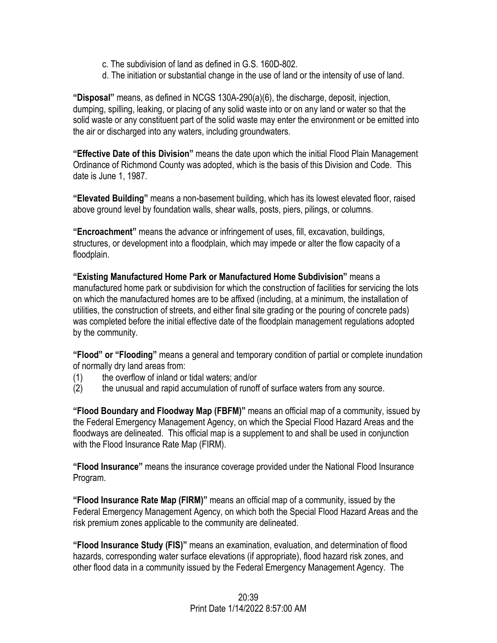- c. The subdivision of land as defined in G.S. 160D-802.
- d. The initiation or substantial change in the use of land or the intensity of use of land.

**"Disposal"** means, as defined in NCGS 130A-290(a)(6), the discharge, deposit, injection, dumping, spilling, leaking, or placing of any solid waste into or on any land or water so that the solid waste or any constituent part of the solid waste may enter the environment or be emitted into the air or discharged into any waters, including groundwaters.

**"Effective Date of this Division"** means the date upon which the initial Flood Plain Management Ordinance of Richmond County was adopted, which is the basis of this Division and Code. This date is June 1, 1987.

**"Elevated Building"** means a non-basement building, which has its lowest elevated floor, raised above ground level by foundation walls, shear walls, posts, piers, pilings, or columns.

**"Encroachment"** means the advance or infringement of uses, fill, excavation, buildings, structures, or development into a floodplain, which may impede or alter the flow capacity of a floodplain.

**"Existing Manufactured Home Park or Manufactured Home Subdivision"** means a manufactured home park or subdivision for which the construction of facilities for servicing the lots on which the manufactured homes are to be affixed (including, at a minimum, the installation of utilities, the construction of streets, and either final site grading or the pouring of concrete pads) was completed before the initial effective date of the floodplain management regulations adopted by the community.

**"Flood" or "Flooding"** means a general and temporary condition of partial or complete inundation of normally dry land areas from:

- (1) the overflow of inland or tidal waters; and/or
- (2) the unusual and rapid accumulation of runoff of surface waters from any source.

**"Flood Boundary and Floodway Map (FBFM)"** means an official map of a community, issued by the Federal Emergency Management Agency, on which the Special Flood Hazard Areas and the floodways are delineated. This official map is a supplement to and shall be used in conjunction with the Flood Insurance Rate Map (FIRM).

**"Flood Insurance"** means the insurance coverage provided under the National Flood Insurance Program.

**"Flood Insurance Rate Map (FIRM)"** means an official map of a community, issued by the Federal Emergency Management Agency, on which both the Special Flood Hazard Areas and the risk premium zones applicable to the community are delineated.

**"Flood Insurance Study (FIS)"** means an examination, evaluation, and determination of flood hazards, corresponding water surface elevations (if appropriate), flood hazard risk zones, and other flood data in a community issued by the Federal Emergency Management Agency. The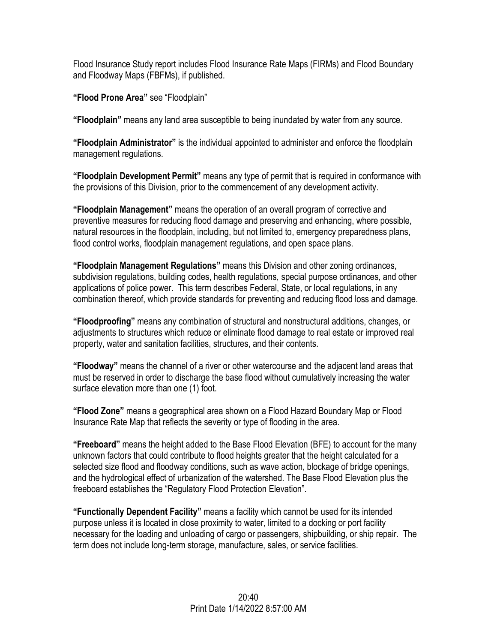Flood Insurance Study report includes Flood Insurance Rate Maps (FIRMs) and Flood Boundary and Floodway Maps (FBFMs), if published.

**"Flood Prone Area"** see "Floodplain"

**"Floodplain"** means any land area susceptible to being inundated by water from any source.

**"Floodplain Administrator"** is the individual appointed to administer and enforce the floodplain management regulations.

**"Floodplain Development Permit"** means any type of permit that is required in conformance with the provisions of this Division, prior to the commencement of any development activity.

**"Floodplain Management"** means the operation of an overall program of corrective and preventive measures for reducing flood damage and preserving and enhancing, where possible, natural resources in the floodplain, including, but not limited to, emergency preparedness plans, flood control works, floodplain management regulations, and open space plans.

**"Floodplain Management Regulations"** means this Division and other zoning ordinances, subdivision regulations, building codes, health regulations, special purpose ordinances, and other applications of police power. This term describes Federal, State, or local regulations, in any combination thereof, which provide standards for preventing and reducing flood loss and damage.

**"Floodproofing"** means any combination of structural and nonstructural additions, changes, or adjustments to structures which reduce or eliminate flood damage to real estate or improved real property, water and sanitation facilities, structures, and their contents.

**"Floodway"** means the channel of a river or other watercourse and the adjacent land areas that must be reserved in order to discharge the base flood without cumulatively increasing the water surface elevation more than one (1) foot.

**"Flood Zone"** means a geographical area shown on a Flood Hazard Boundary Map or Flood Insurance Rate Map that reflects the severity or type of flooding in the area.

**"Freeboard"** means the height added to the Base Flood Elevation (BFE) to account for the many unknown factors that could contribute to flood heights greater that the height calculated for a selected size flood and floodway conditions, such as wave action, blockage of bridge openings, and the hydrological effect of urbanization of the watershed. The Base Flood Elevation plus the freeboard establishes the "Regulatory Flood Protection Elevation".

**"Functionally Dependent Facility"** means a facility which cannot be used for its intended purpose unless it is located in close proximity to water, limited to a docking or port facility necessary for the loading and unloading of cargo or passengers, shipbuilding, or ship repair. The term does not include long-term storage, manufacture, sales, or service facilities.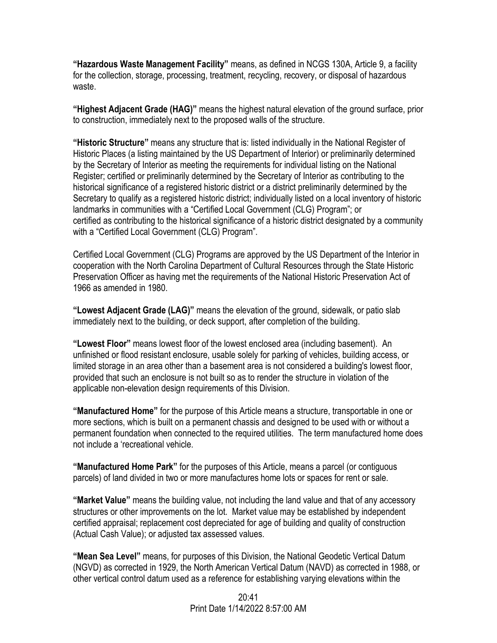**"Hazardous Waste Management Facility"** means, as defined in NCGS 130A, Article 9, a facility for the collection, storage, processing, treatment, recycling, recovery, or disposal of hazardous waste.

**"Highest Adjacent Grade (HAG)"** means the highest natural elevation of the ground surface, prior to construction, immediately next to the proposed walls of the structure.

**"Historic Structure"** means any structure that is: listed individually in the National Register of Historic Places (a listing maintained by the US Department of Interior) or preliminarily determined by the Secretary of Interior as meeting the requirements for individual listing on the National Register; certified or preliminarily determined by the Secretary of Interior as contributing to the historical significance of a registered historic district or a district preliminarily determined by the Secretary to qualify as a registered historic district; individually listed on a local inventory of historic landmarks in communities with a "Certified Local Government (CLG) Program"; or certified as contributing to the historical significance of a historic district designated by a community with a "Certified Local Government (CLG) Program".

Certified Local Government (CLG) Programs are approved by the US Department of the Interior in cooperation with the North Carolina Department of Cultural Resources through the State Historic Preservation Officer as having met the requirements of the National Historic Preservation Act of 1966 as amended in 1980.

**"Lowest Adjacent Grade (LAG)"** means the elevation of the ground, sidewalk, or patio slab immediately next to the building, or deck support, after completion of the building.

**"Lowest Floor"** means lowest floor of the lowest enclosed area (including basement). An unfinished or flood resistant enclosure, usable solely for parking of vehicles, building access, or limited storage in an area other than a basement area is not considered a building's lowest floor, provided that such an enclosure is not built so as to render the structure in violation of the applicable non-elevation design requirements of this Division.

**"Manufactured Home"** for the purpose of this Article means a structure, transportable in one or more sections, which is built on a permanent chassis and designed to be used with or without a permanent foundation when connected to the required utilities. The term manufactured home does not include a 'recreational vehicle.

**"Manufactured Home Park"** for the purposes of this Article, means a parcel (or contiguous parcels) of land divided in two or more manufactures home lots or spaces for rent or sale.

**"Market Value"** means the building value, not including the land value and that of any accessory structures or other improvements on the lot. Market value may be established by independent certified appraisal; replacement cost depreciated for age of building and quality of construction (Actual Cash Value); or adjusted tax assessed values.

**"Mean Sea Level"** means, for purposes of this Division, the National Geodetic Vertical Datum (NGVD) as corrected in 1929, the North American Vertical Datum (NAVD) as corrected in 1988, or other vertical control datum used as a reference for establishing varying elevations within the

> 20:41 Print Date 1/14/2022 8:57:00 AM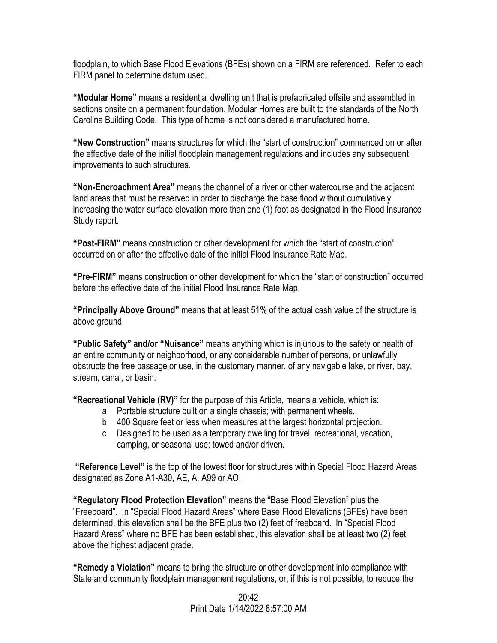floodplain, to which Base Flood Elevations (BFEs) shown on a FIRM are referenced. Refer to each FIRM panel to determine datum used.

**"Modular Home"** means a residential dwelling unit that is prefabricated offsite and assembled in sections onsite on a permanent foundation. Modular Homes are built to the standards of the North Carolina Building Code. This type of home is not considered a manufactured home.

**"New Construction"** means structures for which the "start of construction" commenced on or after the effective date of the initial floodplain management regulations and includes any subsequent improvements to such structures.

**"Non-Encroachment Area"** means the channel of a river or other watercourse and the adjacent land areas that must be reserved in order to discharge the base flood without cumulatively increasing the water surface elevation more than one (1) foot as designated in the Flood Insurance Study report.

**"Post-FIRM"** means construction or other development for which the "start of construction" occurred on or after the effective date of the initial Flood Insurance Rate Map.

**"Pre-FIRM"** means construction or other development for which the "start of construction" occurred before the effective date of the initial Flood Insurance Rate Map.

**"Principally Above Ground"** means that at least 51% of the actual cash value of the structure is above ground.

**"Public Safety" and/or "Nuisance"** means anything which is injurious to the safety or health of an entire community or neighborhood, or any considerable number of persons, or unlawfully obstructs the free passage or use, in the customary manner, of any navigable lake, or river, bay, stream, canal, or basin.

**"Recreational Vehicle (RV)"** for the purpose of this Article, means a vehicle, which is:

- a Portable structure built on a single chassis; with permanent wheels.
- b 400 Square feet or less when measures at the largest horizontal projection.
- c Designed to be used as a temporary dwelling for travel, recreational, vacation, camping, or seasonal use; towed and/or driven.

**"Reference Level"** is the top of the lowest floor for structures within Special Flood Hazard Areas designated as Zone A1-A30, AE, A, A99 or AO.

**"Regulatory Flood Protection Elevation"** means the "Base Flood Elevation" plus the "Freeboard". In "Special Flood Hazard Areas" where Base Flood Elevations (BFEs) have been determined, this elevation shall be the BFE plus two (2) feet of freeboard. In "Special Flood Hazard Areas" where no BFE has been established, this elevation shall be at least two (2) feet above the highest adjacent grade.

**"Remedy a Violation"** means to bring the structure or other development into compliance with State and community floodplain management regulations, or, if this is not possible, to reduce the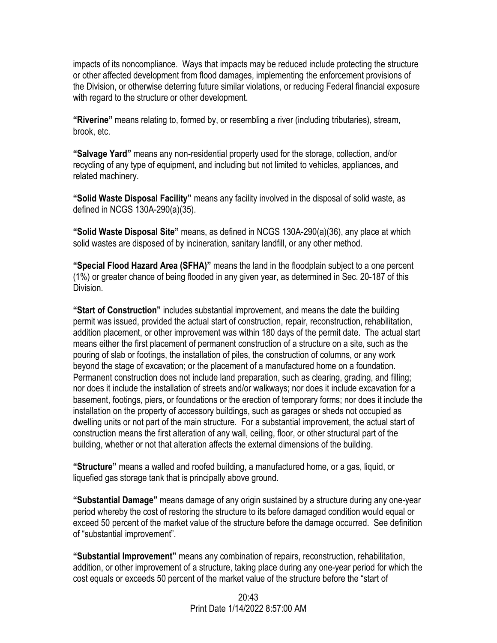impacts of its noncompliance. Ways that impacts may be reduced include protecting the structure or other affected development from flood damages, implementing the enforcement provisions of the Division, or otherwise deterring future similar violations, or reducing Federal financial exposure with regard to the structure or other development.

**"Riverine"** means relating to, formed by, or resembling a river (including tributaries), stream, brook, etc.

**"Salvage Yard"** means any non-residential property used for the storage, collection, and/or recycling of any type of equipment, and including but not limited to vehicles, appliances, and related machinery.

**"Solid Waste Disposal Facility"** means any facility involved in the disposal of solid waste, as defined in NCGS 130A-290(a)(35).

**"Solid Waste Disposal Site"** means, as defined in NCGS 130A-290(a)(36), any place at which solid wastes are disposed of by incineration, sanitary landfill, or any other method.

**"Special Flood Hazard Area (SFHA)"** means the land in the floodplain subject to a one percent (1%) or greater chance of being flooded in any given year, as determined in Sec. 20-187 of this Division.

**"Start of Construction"** includes substantial improvement, and means the date the building permit was issued, provided the actual start of construction, repair, reconstruction, rehabilitation, addition placement, or other improvement was within 180 days of the permit date. The actual start means either the first placement of permanent construction of a structure on a site, such as the pouring of slab or footings, the installation of piles, the construction of columns, or any work beyond the stage of excavation; or the placement of a manufactured home on a foundation. Permanent construction does not include land preparation, such as clearing, grading, and filling; nor does it include the installation of streets and/or walkways; nor does it include excavation for a basement, footings, piers, or foundations or the erection of temporary forms; nor does it include the installation on the property of accessory buildings, such as garages or sheds not occupied as dwelling units or not part of the main structure. For a substantial improvement, the actual start of construction means the first alteration of any wall, ceiling, floor, or other structural part of the building, whether or not that alteration affects the external dimensions of the building.

**"Structure"** means a walled and roofed building, a manufactured home, or a gas, liquid, or liquefied gas storage tank that is principally above ground.

**"Substantial Damage"** means damage of any origin sustained by a structure during any one-year period whereby the cost of restoring the structure to its before damaged condition would equal or exceed 50 percent of the market value of the structure before the damage occurred. See definition of "substantial improvement".

**"Substantial Improvement"** means any combination of repairs, reconstruction, rehabilitation, addition, or other improvement of a structure, taking place during any one-year period for which the cost equals or exceeds 50 percent of the market value of the structure before the "start of

> $20.43$ Print Date 1/14/2022 8:57:00 AM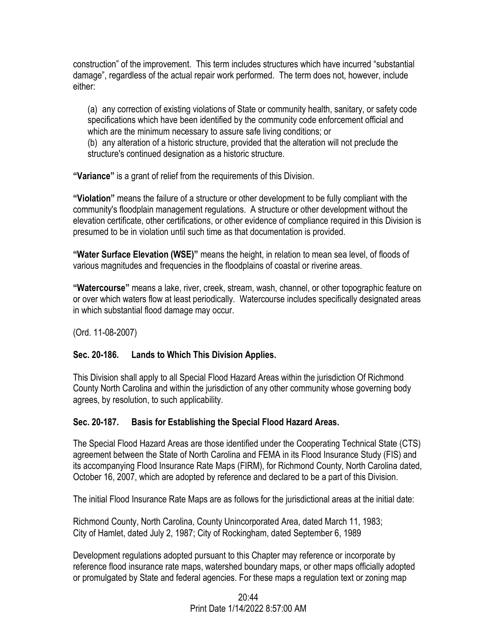construction" of the improvement. This term includes structures which have incurred "substantial damage", regardless of the actual repair work performed. The term does not, however, include either:

(a) any correction of existing violations of State or community health, sanitary, or safety code specifications which have been identified by the community code enforcement official and which are the minimum necessary to assure safe living conditions; or (b) any alteration of a historic structure, provided that the alteration will not preclude the

structure's continued designation as a historic structure.

**"Variance"** is a grant of relief from the requirements of this Division.

**"Violation"** means the failure of a structure or other development to be fully compliant with the community's floodplain management regulations. A structure or other development without the elevation certificate, other certifications, or other evidence of compliance required in this Division is presumed to be in violation until such time as that documentation is provided.

**"Water Surface Elevation (WSE)"** means the height, in relation to mean sea level, of floods of various magnitudes and frequencies in the floodplains of coastal or riverine areas.

**"Watercourse"** means a lake, river, creek, stream, wash, channel, or other topographic feature on or over which waters flow at least periodically. Watercourse includes specifically designated areas in which substantial flood damage may occur.

(Ord. 11-08-2007)

# **Sec. 20-186. Lands to Which This Division Applies.**

This Division shall apply to all Special Flood Hazard Areas within the jurisdiction Of Richmond County North Carolina and within the jurisdiction of any other community whose governing body agrees, by resolution, to such applicability.

# **Sec. 20-187. Basis for Establishing the Special Flood Hazard Areas.**

The Special Flood Hazard Areas are those identified under the Cooperating Technical State (CTS) agreement between the State of North Carolina and FEMA in its Flood Insurance Study (FIS) and its accompanying Flood Insurance Rate Maps (FIRM), for Richmond County, North Carolina dated, October 16, 2007, which are adopted by reference and declared to be a part of this Division.

The initial Flood Insurance Rate Maps are as follows for the jurisdictional areas at the initial date:

Richmond County, North Carolina, County Unincorporated Area, dated March 11, 1983; City of Hamlet, dated July 2, 1987; City of Rockingham, dated September 6, 1989

Development regulations adopted pursuant to this Chapter may reference or incorporate by reference flood insurance rate maps, watershed boundary maps, or other maps officially adopted or promulgated by State and federal agencies. For these maps a regulation text or zoning map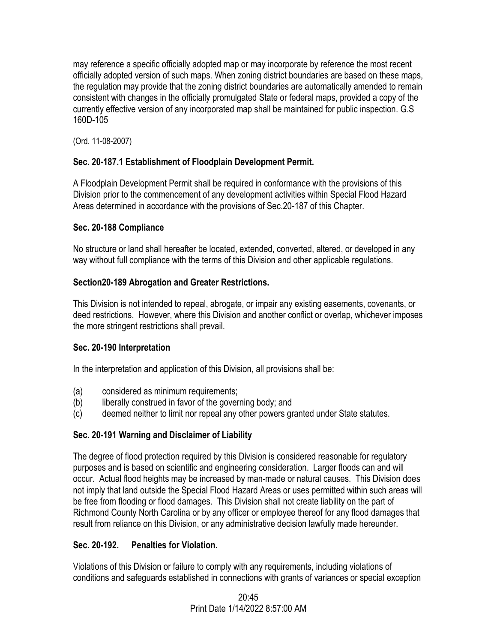may reference a specific officially adopted map or may incorporate by reference the most recent officially adopted version of such maps. When zoning district boundaries are based on these maps, the regulation may provide that the zoning district boundaries are automatically amended to remain consistent with changes in the officially promulgated State or federal maps, provided a copy of the currently effective version of any incorporated map shall be maintained for public inspection. G.S 160D-105

(Ord. 11-08-2007)

# **Sec. 20-187.1 Establishment of Floodplain Development Permit.**

A Floodplain Development Permit shall be required in conformance with the provisions of this Division prior to the commencement of any development activities within Special Flood Hazard Areas determined in accordance with the provisions of Sec.20-187 of this Chapter.

# **Sec. 20-188 Compliance**

No structure or land shall hereafter be located, extended, converted, altered, or developed in any way without full compliance with the terms of this Division and other applicable regulations.

# **Section20-189 Abrogation and Greater Restrictions.**

This Division is not intended to repeal, abrogate, or impair any existing easements, covenants, or deed restrictions. However, where this Division and another conflict or overlap, whichever imposes the more stringent restrictions shall prevail.

# **Sec. 20-190 Interpretation**

In the interpretation and application of this Division, all provisions shall be:

- (a) considered as minimum requirements;
- (b) liberally construed in favor of the governing body; and
- (c) deemed neither to limit nor repeal any other powers granted under State statutes.

# **Sec. 20-191 Warning and Disclaimer of Liability**

The degree of flood protection required by this Division is considered reasonable for regulatory purposes and is based on scientific and engineering consideration. Larger floods can and will occur. Actual flood heights may be increased by man-made or natural causes. This Division does not imply that land outside the Special Flood Hazard Areas or uses permitted within such areas will be free from flooding or flood damages. This Division shall not create liability on the part of Richmond County North Carolina or by any officer or employee thereof for any flood damages that result from reliance on this Division, or any administrative decision lawfully made hereunder.

# **Sec. 20-192. Penalties for Violation.**

Violations of this Division or failure to comply with any requirements, including violations of conditions and safeguards established in connections with grants of variances or special exception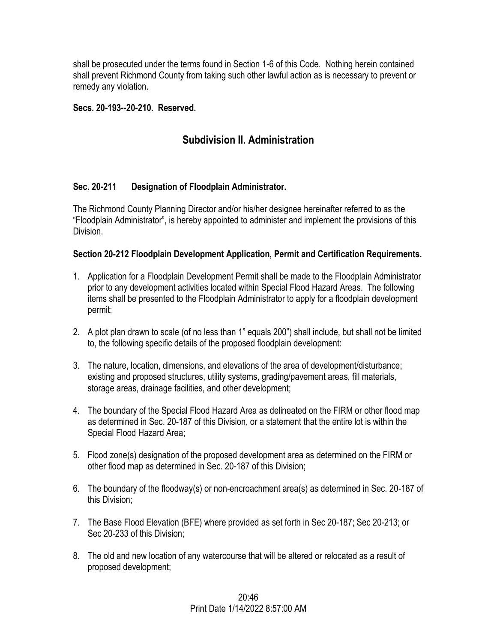shall be prosecuted under the terms found in Section 1-6 of this Code. Nothing herein contained shall prevent Richmond County from taking such other lawful action as is necessary to prevent or remedy any violation.

#### **Secs. 20-193--20-210. Reserved.**

# **Subdivision II. Administration**

## **Sec. 20-211 Designation of Floodplain Administrator.**

The Richmond County Planning Director and/or his/her designee hereinafter referred to as the "Floodplain Administrator", is hereby appointed to administer and implement the provisions of this Division.

#### **Section 20-212 Floodplain Development Application, Permit and Certification Requirements.**

- 1. Application for a Floodplain Development Permit shall be made to the Floodplain Administrator prior to any development activities located within Special Flood Hazard Areas. The following items shall be presented to the Floodplain Administrator to apply for a floodplain development permit:
- 2. A plot plan drawn to scale (of no less than 1" equals 200") shall include, but shall not be limited to, the following specific details of the proposed floodplain development:
- 3. The nature, location, dimensions, and elevations of the area of development/disturbance; existing and proposed structures, utility systems, grading/pavement areas, fill materials, storage areas, drainage facilities, and other development;
- 4. The boundary of the Special Flood Hazard Area as delineated on the FIRM or other flood map as determined in Sec. 20-187 of this Division, or a statement that the entire lot is within the Special Flood Hazard Area;
- 5. Flood zone(s) designation of the proposed development area as determined on the FIRM or other flood map as determined in Sec. 20-187 of this Division;
- 6. The boundary of the floodway(s) or non-encroachment area(s) as determined in Sec. 20-187 of this Division;
- 7. The Base Flood Elevation (BFE) where provided as set forth in Sec 20-187; Sec 20-213; or Sec 20-233 of this Division;
- 8. The old and new location of any watercourse that will be altered or relocated as a result of proposed development;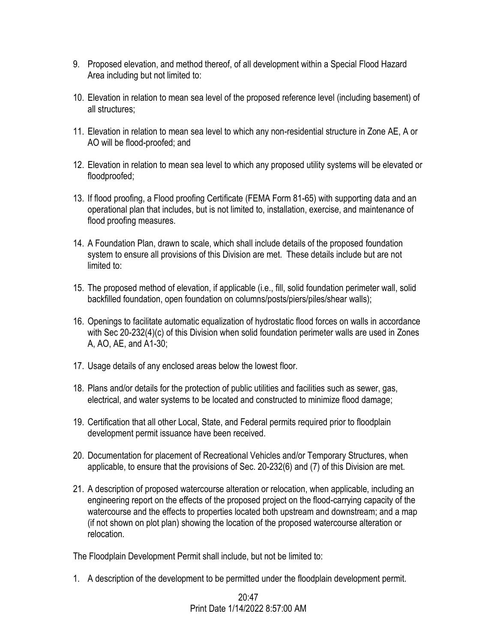- 9. Proposed elevation, and method thereof, of all development within a Special Flood Hazard Area including but not limited to:
- 10. Elevation in relation to mean sea level of the proposed reference level (including basement) of all structures;
- 11. Elevation in relation to mean sea level to which any non-residential structure in Zone AE, A or AO will be flood-proofed; and
- 12. Elevation in relation to mean sea level to which any proposed utility systems will be elevated or floodproofed;
- 13. If flood proofing, a Flood proofing Certificate (FEMA Form 81-65) with supporting data and an operational plan that includes, but is not limited to, installation, exercise, and maintenance of flood proofing measures.
- 14. A Foundation Plan, drawn to scale, which shall include details of the proposed foundation system to ensure all provisions of this Division are met. These details include but are not limited to:
- 15. The proposed method of elevation, if applicable (i.e., fill, solid foundation perimeter wall, solid backfilled foundation, open foundation on columns/posts/piers/piles/shear walls);
- 16. Openings to facilitate automatic equalization of hydrostatic flood forces on walls in accordance with Sec 20-232(4)(c) of this Division when solid foundation perimeter walls are used in Zones A, AO, AE, and A1-30;
- 17. Usage details of any enclosed areas below the lowest floor.
- 18. Plans and/or details for the protection of public utilities and facilities such as sewer, gas, electrical, and water systems to be located and constructed to minimize flood damage;
- 19. Certification that all other Local, State, and Federal permits required prior to floodplain development permit issuance have been received.
- 20. Documentation for placement of Recreational Vehicles and/or Temporary Structures, when applicable, to ensure that the provisions of Sec. 20-232(6) and (7) of this Division are met.
- 21. A description of proposed watercourse alteration or relocation, when applicable, including an engineering report on the effects of the proposed project on the flood-carrying capacity of the watercourse and the effects to properties located both upstream and downstream; and a map (if not shown on plot plan) showing the location of the proposed watercourse alteration or relocation.

The Floodplain Development Permit shall include, but not be limited to:

1. A description of the development to be permitted under the floodplain development permit.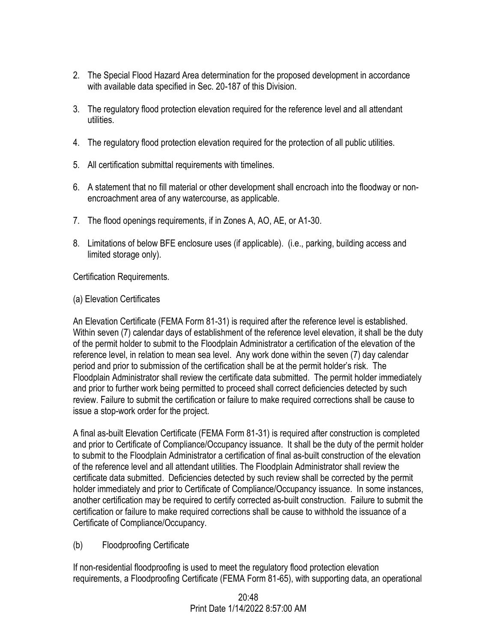- 2. The Special Flood Hazard Area determination for the proposed development in accordance with available data specified in Sec. 20-187 of this Division.
- 3. The regulatory flood protection elevation required for the reference level and all attendant utilities.
- 4. The regulatory flood protection elevation required for the protection of all public utilities.
- 5. All certification submittal requirements with timelines.
- 6. A statement that no fill material or other development shall encroach into the floodway or nonencroachment area of any watercourse, as applicable.
- 7. The flood openings requirements, if in Zones A, AO, AE, or A1-30.
- 8. Limitations of below BFE enclosure uses (if applicable). (i.e., parking, building access and limited storage only).

Certification Requirements.

(a) Elevation Certificates

An Elevation Certificate (FEMA Form 81-31) is required after the reference level is established. Within seven (7) calendar days of establishment of the reference level elevation, it shall be the duty of the permit holder to submit to the Floodplain Administrator a certification of the elevation of the reference level, in relation to mean sea level. Any work done within the seven (7) day calendar period and prior to submission of the certification shall be at the permit holder's risk. The Floodplain Administrator shall review the certificate data submitted. The permit holder immediately and prior to further work being permitted to proceed shall correct deficiencies detected by such review. Failure to submit the certification or failure to make required corrections shall be cause to issue a stop-work order for the project.

A final as-built Elevation Certificate (FEMA Form 81-31) is required after construction is completed and prior to Certificate of Compliance/Occupancy issuance. It shall be the duty of the permit holder to submit to the Floodplain Administrator a certification of final as-built construction of the elevation of the reference level and all attendant utilities. The Floodplain Administrator shall review the certificate data submitted. Deficiencies detected by such review shall be corrected by the permit holder immediately and prior to Certificate of Compliance/Occupancy issuance. In some instances, another certification may be required to certify corrected as-built construction. Failure to submit the certification or failure to make required corrections shall be cause to withhold the issuance of a Certificate of Compliance/Occupancy.

(b) Floodproofing Certificate

If non-residential floodproofing is used to meet the regulatory flood protection elevation requirements, a Floodproofing Certificate (FEMA Form 81-65), with supporting data, an operational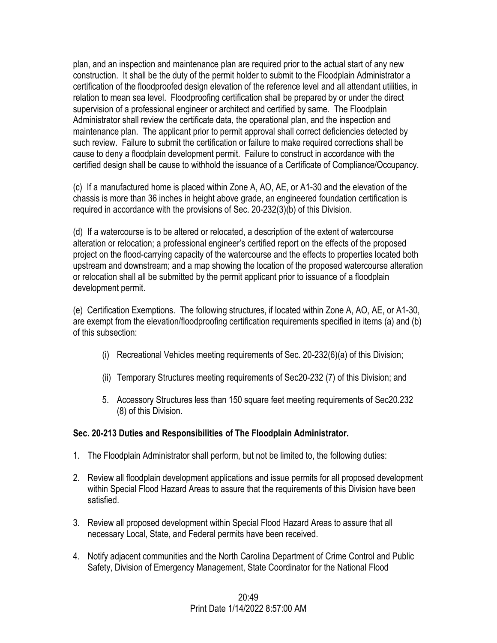plan, and an inspection and maintenance plan are required prior to the actual start of any new construction. It shall be the duty of the permit holder to submit to the Floodplain Administrator a certification of the floodproofed design elevation of the reference level and all attendant utilities, in relation to mean sea level. Floodproofing certification shall be prepared by or under the direct supervision of a professional engineer or architect and certified by same. The Floodplain Administrator shall review the certificate data, the operational plan, and the inspection and maintenance plan. The applicant prior to permit approval shall correct deficiencies detected by such review. Failure to submit the certification or failure to make required corrections shall be cause to deny a floodplain development permit. Failure to construct in accordance with the certified design shall be cause to withhold the issuance of a Certificate of Compliance/Occupancy.

(c) If a manufactured home is placed within Zone A, AO, AE, or A1-30 and the elevation of the chassis is more than 36 inches in height above grade, an engineered foundation certification is required in accordance with the provisions of Sec. 20-232(3)(b) of this Division.

(d) If a watercourse is to be altered or relocated, a description of the extent of watercourse alteration or relocation; a professional engineer's certified report on the effects of the proposed project on the flood-carrying capacity of the watercourse and the effects to properties located both upstream and downstream; and a map showing the location of the proposed watercourse alteration or relocation shall all be submitted by the permit applicant prior to issuance of a floodplain development permit.

(e) Certification Exemptions. The following structures, if located within Zone A, AO, AE, or A1-30, are exempt from the elevation/floodproofing certification requirements specified in items (a) and (b) of this subsection:

- (i) Recreational Vehicles meeting requirements of Sec. 20-232(6)(a) of this Division;
- (ii) Temporary Structures meeting requirements of Sec20-232 (7) of this Division; and
- 5. Accessory Structures less than 150 square feet meeting requirements of Sec20.232 (8) of this Division.

## **Sec. 20-213 Duties and Responsibilities of The Floodplain Administrator.**

- 1. The Floodplain Administrator shall perform, but not be limited to, the following duties:
- 2. Review all floodplain development applications and issue permits for all proposed development within Special Flood Hazard Areas to assure that the requirements of this Division have been satisfied.
- 3. Review all proposed development within Special Flood Hazard Areas to assure that all necessary Local, State, and Federal permits have been received.
- 4. Notify adjacent communities and the North Carolina Department of Crime Control and Public Safety, Division of Emergency Management, State Coordinator for the National Flood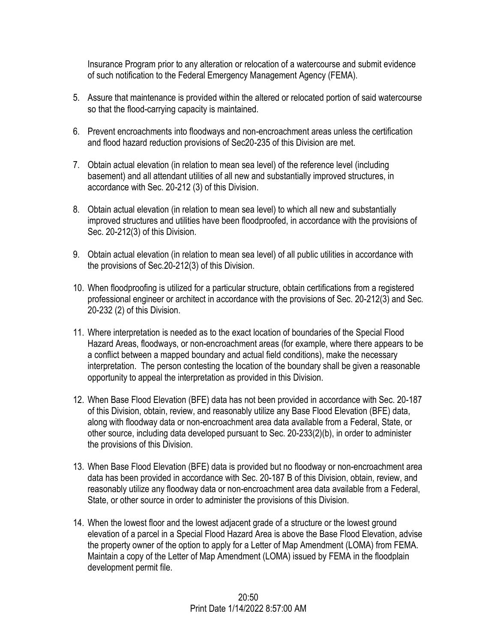Insurance Program prior to any alteration or relocation of a watercourse and submit evidence of such notification to the Federal Emergency Management Agency (FEMA).

- 5. Assure that maintenance is provided within the altered or relocated portion of said watercourse so that the flood-carrying capacity is maintained.
- 6. Prevent encroachments into floodways and non-encroachment areas unless the certification and flood hazard reduction provisions of Sec20-235 of this Division are met.
- 7. Obtain actual elevation (in relation to mean sea level) of the reference level (including basement) and all attendant utilities of all new and substantially improved structures, in accordance with Sec. 20-212 (3) of this Division.
- 8. Obtain actual elevation (in relation to mean sea level) to which all new and substantially improved structures and utilities have been floodproofed, in accordance with the provisions of Sec. 20-212(3) of this Division.
- 9. Obtain actual elevation (in relation to mean sea level) of all public utilities in accordance with the provisions of Sec.20-212(3) of this Division.
- 10. When floodproofing is utilized for a particular structure, obtain certifications from a registered professional engineer or architect in accordance with the provisions of Sec. 20-212(3) and Sec. 20-232 (2) of this Division.
- 11. Where interpretation is needed as to the exact location of boundaries of the Special Flood Hazard Areas, floodways, or non-encroachment areas (for example, where there appears to be a conflict between a mapped boundary and actual field conditions), make the necessary interpretation. The person contesting the location of the boundary shall be given a reasonable opportunity to appeal the interpretation as provided in this Division.
- 12. When Base Flood Elevation (BFE) data has not been provided in accordance with Sec. 20-187 of this Division, obtain, review, and reasonably utilize any Base Flood Elevation (BFE) data, along with floodway data or non-encroachment area data available from a Federal, State, or other source, including data developed pursuant to Sec. 20-233(2)(b), in order to administer the provisions of this Division.
- 13. When Base Flood Elevation (BFE) data is provided but no floodway or non-encroachment area data has been provided in accordance with Sec. 20-187 B of this Division, obtain, review, and reasonably utilize any floodway data or non-encroachment area data available from a Federal, State, or other source in order to administer the provisions of this Division.
- 14. When the lowest floor and the lowest adjacent grade of a structure or the lowest ground elevation of a parcel in a Special Flood Hazard Area is above the Base Flood Elevation, advise the property owner of the option to apply for a Letter of Map Amendment (LOMA) from FEMA. Maintain a copy of the Letter of Map Amendment (LOMA) issued by FEMA in the floodplain development permit file.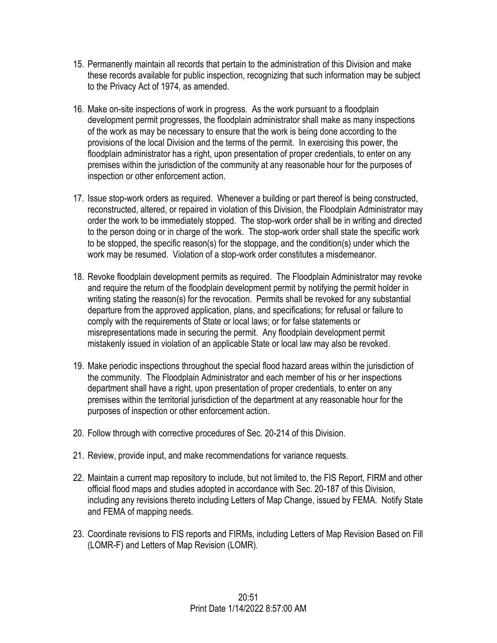- 15. Permanently maintain all records that pertain to the administration of this Division and make these records available for public inspection, recognizing that such information may be subject to the Privacy Act of 1974, as amended.
- 16. Make on-site inspections of work in progress. As the work pursuant to a floodplain development permit progresses, the floodplain administrator shall make as many inspections of the work as may be necessary to ensure that the work is being done according to the provisions of the local Division and the terms of the permit. In exercising this power, the floodplain administrator has a right, upon presentation of proper credentials, to enter on any premises within the jurisdiction of the community at any reasonable hour for the purposes of inspection or other enforcement action.
- 17. Issue stop-work orders as required. Whenever a building or part thereof is being constructed, reconstructed, altered, or repaired in violation of this Division, the Floodplain Administrator may order the work to be immediately stopped. The stop-work order shall be in writing and directed to the person doing or in charge of the work. The stop-work order shall state the specific work to be stopped, the specific reason(s) for the stoppage, and the condition(s) under which the work may be resumed. Violation of a stop-work order constitutes a misdemeanor.
- 18. Revoke floodplain development permits as required. The Floodplain Administrator may revoke and require the return of the floodplain development permit by notifying the permit holder in writing stating the reason(s) for the revocation. Permits shall be revoked for any substantial departure from the approved application, plans, and specifications; for refusal or failure to comply with the requirements of State or local laws; or for false statements or misrepresentations made in securing the permit. Any floodplain development permit mistakenly issued in violation of an applicable State or local law may also be revoked.
- 19. Make periodic inspections throughout the special flood hazard areas within the jurisdiction of the community. The Floodplain Administrator and each member of his or her inspections department shall have a right, upon presentation of proper credentials, to enter on any premises within the territorial jurisdiction of the department at any reasonable hour for the purposes of inspection or other enforcement action.
- 20. Follow through with corrective procedures of Sec. 20-214 of this Division.
- 21. Review, provide input, and make recommendations for variance requests.
- 22. Maintain a current map repository to include, but not limited to, the FIS Report, FIRM and other official flood maps and studies adopted in accordance with Sec. 20-187 of this Division, including any revisions thereto including Letters of Map Change, issued by FEMA. Notify State and FEMA of mapping needs.
- 23. Coordinate revisions to FIS reports and FIRMs, including Letters of Map Revision Based on Fill (LOMR-F) and Letters of Map Revision (LOMR).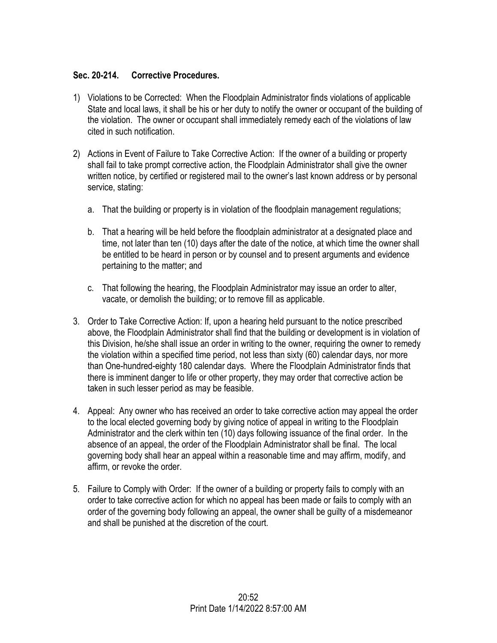## **Sec. 20-214. Corrective Procedures.**

- 1) Violations to be Corrected: When the Floodplain Administrator finds violations of applicable State and local laws, it shall be his or her duty to notify the owner or occupant of the building of the violation. The owner or occupant shall immediately remedy each of the violations of law cited in such notification.
- 2) Actions in Event of Failure to Take Corrective Action: If the owner of a building or property shall fail to take prompt corrective action, the Floodplain Administrator shall give the owner written notice, by certified or registered mail to the owner's last known address or by personal service, stating:
	- a. That the building or property is in violation of the floodplain management regulations;
	- b. That a hearing will be held before the floodplain administrator at a designated place and time, not later than ten (10) days after the date of the notice, at which time the owner shall be entitled to be heard in person or by counsel and to present arguments and evidence pertaining to the matter; and
	- c. That following the hearing, the Floodplain Administrator may issue an order to alter, vacate, or demolish the building; or to remove fill as applicable.
- 3. Order to Take Corrective Action: If, upon a hearing held pursuant to the notice prescribed above, the Floodplain Administrator shall find that the building or development is in violation of this Division, he/she shall issue an order in writing to the owner, requiring the owner to remedy the violation within a specified time period, not less than sixty (60) calendar days, nor more than One-hundred-eighty 180 calendar days. Where the Floodplain Administrator finds that there is imminent danger to life or other property, they may order that corrective action be taken in such lesser period as may be feasible.
- 4. Appeal: Any owner who has received an order to take corrective action may appeal the order to the local elected governing body by giving notice of appeal in writing to the Floodplain Administrator and the clerk within ten (10) days following issuance of the final order. In the absence of an appeal, the order of the Floodplain Administrator shall be final. The local governing body shall hear an appeal within a reasonable time and may affirm, modify, and affirm, or revoke the order.
- 5. Failure to Comply with Order: If the owner of a building or property fails to comply with an order to take corrective action for which no appeal has been made or fails to comply with an order of the governing body following an appeal, the owner shall be guilty of a misdemeanor and shall be punished at the discretion of the court.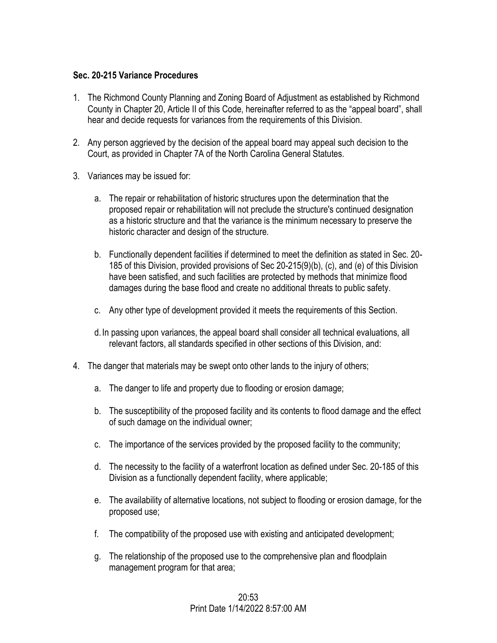#### **Sec. 20-215 Variance Procedures**

- 1. The Richmond County Planning and Zoning Board of Adjustment as established by Richmond County in Chapter 20, Article II of this Code, hereinafter referred to as the "appeal board", shall hear and decide requests for variances from the requirements of this Division.
- 2. Any person aggrieved by the decision of the appeal board may appeal such decision to the Court, as provided in Chapter 7A of the North Carolina General Statutes.
- 3. Variances may be issued for:
	- a. The repair or rehabilitation of historic structures upon the determination that the proposed repair or rehabilitation will not preclude the structure's continued designation as a historic structure and that the variance is the minimum necessary to preserve the historic character and design of the structure.
	- b. Functionally dependent facilities if determined to meet the definition as stated in Sec. 20- 185 of this Division, provided provisions of Sec 20-215(9)(b), (c), and (e) of this Division have been satisfied, and such facilities are protected by methods that minimize flood damages during the base flood and create no additional threats to public safety.
	- c. Any other type of development provided it meets the requirements of this Section.
	- d.In passing upon variances, the appeal board shall consider all technical evaluations, all relevant factors, all standards specified in other sections of this Division, and:
- 4. The danger that materials may be swept onto other lands to the injury of others;
	- a. The danger to life and property due to flooding or erosion damage;
	- b. The susceptibility of the proposed facility and its contents to flood damage and the effect of such damage on the individual owner;
	- c. The importance of the services provided by the proposed facility to the community;
	- d. The necessity to the facility of a waterfront location as defined under Sec. 20-185 of this Division as a functionally dependent facility, where applicable;
	- e. The availability of alternative locations, not subject to flooding or erosion damage, for the proposed use;
	- f. The compatibility of the proposed use with existing and anticipated development;
	- g. The relationship of the proposed use to the comprehensive plan and floodplain management program for that area;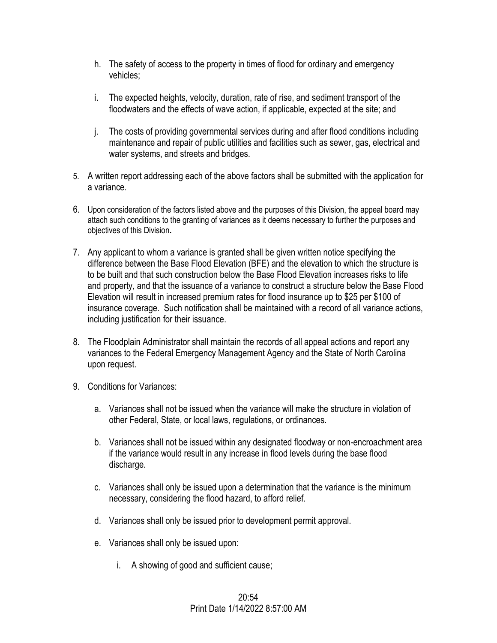- h. The safety of access to the property in times of flood for ordinary and emergency vehicles;
- i. The expected heights, velocity, duration, rate of rise, and sediment transport of the floodwaters and the effects of wave action, if applicable, expected at the site; and
- j. The costs of providing governmental services during and after flood conditions including maintenance and repair of public utilities and facilities such as sewer, gas, electrical and water systems, and streets and bridges.
- 5. A written report addressing each of the above factors shall be submitted with the application for a variance.
- 6. Upon consideration of the factors listed above and the purposes of this Division, the appeal board may attach such conditions to the granting of variances as it deems necessary to further the purposes and objectives of this Division**.**
- 7. Any applicant to whom a variance is granted shall be given written notice specifying the difference between the Base Flood Elevation (BFE) and the elevation to which the structure is to be built and that such construction below the Base Flood Elevation increases risks to life and property, and that the issuance of a variance to construct a structure below the Base Flood Elevation will result in increased premium rates for flood insurance up to \$25 per \$100 of insurance coverage. Such notification shall be maintained with a record of all variance actions, including justification for their issuance.
- 8. The Floodplain Administrator shall maintain the records of all appeal actions and report any variances to the Federal Emergency Management Agency and the State of North Carolina upon request.
- 9. Conditions for Variances:
	- a. Variances shall not be issued when the variance will make the structure in violation of other Federal, State, or local laws, regulations, or ordinances.
	- b. Variances shall not be issued within any designated floodway or non-encroachment area if the variance would result in any increase in flood levels during the base flood discharge.
	- c. Variances shall only be issued upon a determination that the variance is the minimum necessary, considering the flood hazard, to afford relief.
	- d. Variances shall only be issued prior to development permit approval.
	- e. Variances shall only be issued upon:
		- i. A showing of good and sufficient cause;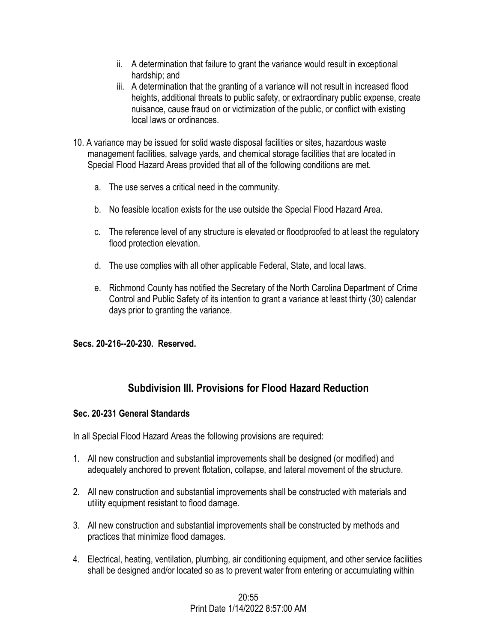- ii. A determination that failure to grant the variance would result in exceptional hardship; and
- iii. A determination that the granting of a variance will not result in increased flood heights, additional threats to public safety, or extraordinary public expense, create nuisance, cause fraud on or victimization of the public, or conflict with existing local laws or ordinances.
- 10. A variance may be issued for solid waste disposal facilities or sites, hazardous waste management facilities, salvage yards, and chemical storage facilities that are located in Special Flood Hazard Areas provided that all of the following conditions are met.
	- a. The use serves a critical need in the community.
	- b. No feasible location exists for the use outside the Special Flood Hazard Area.
	- c. The reference level of any structure is elevated or floodproofed to at least the regulatory flood protection elevation.
	- d. The use complies with all other applicable Federal, State, and local laws.
	- e. Richmond County has notified the Secretary of the North Carolina Department of Crime Control and Public Safety of its intention to grant a variance at least thirty (30) calendar days prior to granting the variance.

## **Secs. 20-216--20-230. Reserved.**

# **Subdivision III. Provisions for Flood Hazard Reduction**

#### **Sec. 20-231 General Standards**

In all Special Flood Hazard Areas the following provisions are required:

- 1. All new construction and substantial improvements shall be designed (or modified) and adequately anchored to prevent flotation, collapse, and lateral movement of the structure.
- 2. All new construction and substantial improvements shall be constructed with materials and utility equipment resistant to flood damage.
- 3. All new construction and substantial improvements shall be constructed by methods and practices that minimize flood damages.
- 4. Electrical, heating, ventilation, plumbing, air conditioning equipment, and other service facilities shall be designed and/or located so as to prevent water from entering or accumulating within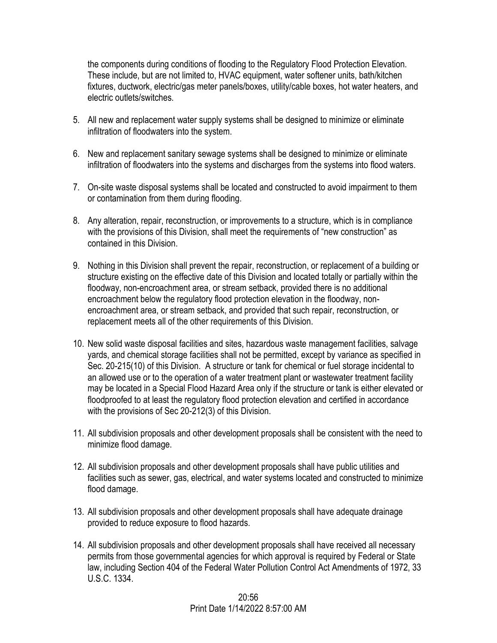the components during conditions of flooding to the Regulatory Flood Protection Elevation. These include, but are not limited to, HVAC equipment, water softener units, bath/kitchen fixtures, ductwork, electric/gas meter panels/boxes, utility/cable boxes, hot water heaters, and electric outlets/switches.

- 5. All new and replacement water supply systems shall be designed to minimize or eliminate infiltration of floodwaters into the system.
- 6. New and replacement sanitary sewage systems shall be designed to minimize or eliminate infiltration of floodwaters into the systems and discharges from the systems into flood waters.
- 7. On-site waste disposal systems shall be located and constructed to avoid impairment to them or contamination from them during flooding.
- 8. Any alteration, repair, reconstruction, or improvements to a structure, which is in compliance with the provisions of this Division, shall meet the requirements of "new construction" as contained in this Division.
- 9. Nothing in this Division shall prevent the repair, reconstruction, or replacement of a building or structure existing on the effective date of this Division and located totally or partially within the floodway, non-encroachment area, or stream setback, provided there is no additional encroachment below the regulatory flood protection elevation in the floodway, nonencroachment area, or stream setback, and provided that such repair, reconstruction, or replacement meets all of the other requirements of this Division.
- 10. New solid waste disposal facilities and sites, hazardous waste management facilities, salvage yards, and chemical storage facilities shall not be permitted, except by variance as specified in Sec. 20-215(10) of this Division. A structure or tank for chemical or fuel storage incidental to an allowed use or to the operation of a water treatment plant or wastewater treatment facility may be located in a Special Flood Hazard Area only if the structure or tank is either elevated or floodproofed to at least the regulatory flood protection elevation and certified in accordance with the provisions of Sec 20-212(3) of this Division.
- 11. All subdivision proposals and other development proposals shall be consistent with the need to minimize flood damage.
- 12. All subdivision proposals and other development proposals shall have public utilities and facilities such as sewer, gas, electrical, and water systems located and constructed to minimize flood damage.
- 13. All subdivision proposals and other development proposals shall have adequate drainage provided to reduce exposure to flood hazards.
- 14. All subdivision proposals and other development proposals shall have received all necessary permits from those governmental agencies for which approval is required by Federal or State law, including Section 404 of the Federal Water Pollution Control Act Amendments of 1972, 33 U.S.C. 1334.

## 20:56 Print Date 1/14/2022 8:57:00 AM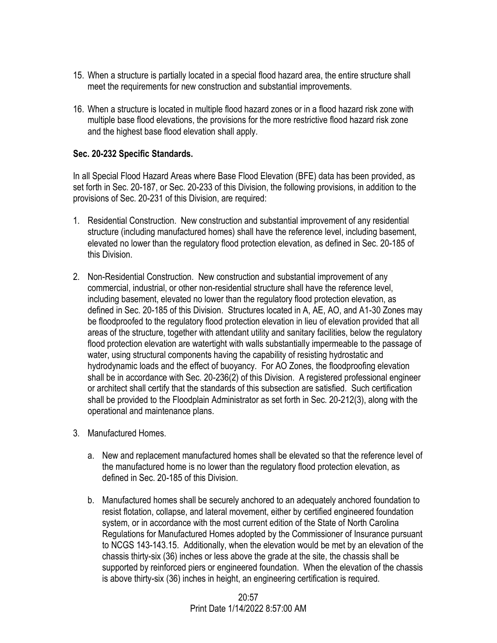- 15. When a structure is partially located in a special flood hazard area, the entire structure shall meet the requirements for new construction and substantial improvements.
- 16. When a structure is located in multiple flood hazard zones or in a flood hazard risk zone with multiple base flood elevations, the provisions for the more restrictive flood hazard risk zone and the highest base flood elevation shall apply.

#### **Sec. 20-232 Specific Standards.**

In all Special Flood Hazard Areas where Base Flood Elevation (BFE) data has been provided, as set forth in Sec. 20-187, or Sec. 20-233 of this Division, the following provisions, in addition to the provisions of Sec. 20-231 of this Division, are required:

- 1. Residential Construction. New construction and substantial improvement of any residential structure (including manufactured homes) shall have the reference level, including basement, elevated no lower than the regulatory flood protection elevation, as defined in Sec. 20-185 of this Division.
- 2. Non-Residential Construction. New construction and substantial improvement of any commercial, industrial, or other non-residential structure shall have the reference level, including basement, elevated no lower than the regulatory flood protection elevation, as defined in Sec. 20-185 of this Division. Structures located in A, AE, AO, and A1-30 Zones may be floodproofed to the regulatory flood protection elevation in lieu of elevation provided that all areas of the structure, together with attendant utility and sanitary facilities, below the regulatory flood protection elevation are watertight with walls substantially impermeable to the passage of water, using structural components having the capability of resisting hydrostatic and hydrodynamic loads and the effect of buoyancy. For AO Zones, the floodproofing elevation shall be in accordance with Sec. 20-236(2) of this Division. A registered professional engineer or architect shall certify that the standards of this subsection are satisfied. Such certification shall be provided to the Floodplain Administrator as set forth in Sec. 20-212(3), along with the operational and maintenance plans.
- 3. Manufactured Homes.
	- a. New and replacement manufactured homes shall be elevated so that the reference level of the manufactured home is no lower than the regulatory flood protection elevation, as defined in Sec. 20-185 of this Division.
	- b. Manufactured homes shall be securely anchored to an adequately anchored foundation to resist flotation, collapse, and lateral movement, either by certified engineered foundation system, or in accordance with the most current edition of the State of North Carolina Regulations for Manufactured Homes adopted by the Commissioner of Insurance pursuant to NCGS 143-143.15. Additionally, when the elevation would be met by an elevation of the chassis thirty-six (36) inches or less above the grade at the site, the chassis shall be supported by reinforced piers or engineered foundation. When the elevation of the chassis is above thirty-six (36) inches in height, an engineering certification is required.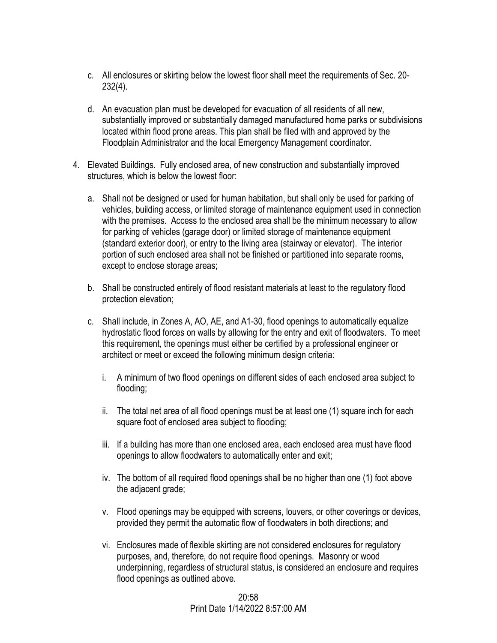- c. All enclosures or skirting below the lowest floor shall meet the requirements of Sec. 20- 232(4).
- d. An evacuation plan must be developed for evacuation of all residents of all new, substantially improved or substantially damaged manufactured home parks or subdivisions located within flood prone areas. This plan shall be filed with and approved by the Floodplain Administrator and the local Emergency Management coordinator.
- 4. Elevated Buildings. Fully enclosed area, of new construction and substantially improved structures, which is below the lowest floor:
	- a. Shall not be designed or used for human habitation, but shall only be used for parking of vehicles, building access, or limited storage of maintenance equipment used in connection with the premises. Access to the enclosed area shall be the minimum necessary to allow for parking of vehicles (garage door) or limited storage of maintenance equipment (standard exterior door), or entry to the living area (stairway or elevator). The interior portion of such enclosed area shall not be finished or partitioned into separate rooms, except to enclose storage areas;
	- b. Shall be constructed entirely of flood resistant materials at least to the regulatory flood protection elevation;
	- c. Shall include, in Zones A, AO, AE, and A1-30, flood openings to automatically equalize hydrostatic flood forces on walls by allowing for the entry and exit of floodwaters. To meet this requirement, the openings must either be certified by a professional engineer or architect or meet or exceed the following minimum design criteria:
		- i. A minimum of two flood openings on different sides of each enclosed area subject to flooding;
		- ii. The total net area of all flood openings must be at least one (1) square inch for each square foot of enclosed area subject to flooding;
		- iii. If a building has more than one enclosed area, each enclosed area must have flood openings to allow floodwaters to automatically enter and exit;
		- iv. The bottom of all required flood openings shall be no higher than one (1) foot above the adjacent grade;
		- v. Flood openings may be equipped with screens, louvers, or other coverings or devices, provided they permit the automatic flow of floodwaters in both directions; and
		- vi. Enclosures made of flexible skirting are not considered enclosures for regulatory purposes, and, therefore, do not require flood openings. Masonry or wood underpinning, regardless of structural status, is considered an enclosure and requires flood openings as outlined above.

## 20:58 Print Date 1/14/2022 8:57:00 AM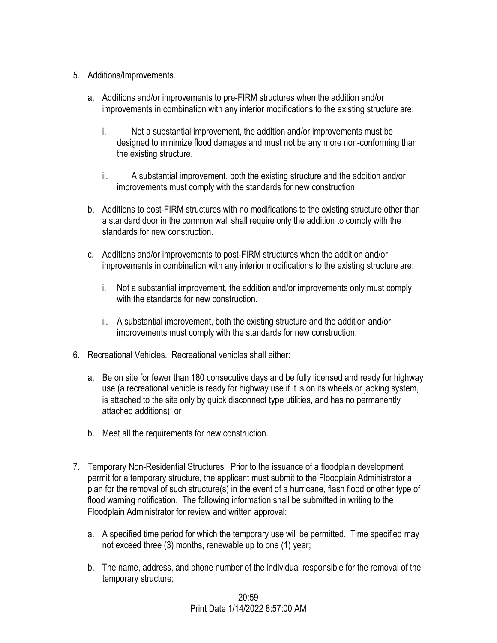- 5. Additions/Improvements.
	- a. Additions and/or improvements to pre-FIRM structures when the addition and/or improvements in combination with any interior modifications to the existing structure are:
		- i. Not a substantial improvement, the addition and/or improvements must be designed to minimize flood damages and must not be any more non-conforming than the existing structure.
		- ii. A substantial improvement, both the existing structure and the addition and/or improvements must comply with the standards for new construction.
	- b. Additions to post-FIRM structures with no modifications to the existing structure other than a standard door in the common wall shall require only the addition to comply with the standards for new construction.
	- c. Additions and/or improvements to post-FIRM structures when the addition and/or improvements in combination with any interior modifications to the existing structure are:
		- i. Not a substantial improvement, the addition and/or improvements only must comply with the standards for new construction.
		- ii. A substantial improvement, both the existing structure and the addition and/or improvements must comply with the standards for new construction.
- 6. Recreational Vehicles. Recreational vehicles shall either:
	- a. Be on site for fewer than 180 consecutive days and be fully licensed and ready for highway use (a recreational vehicle is ready for highway use if it is on its wheels or jacking system, is attached to the site only by quick disconnect type utilities, and has no permanently attached additions); or
	- b. Meet all the requirements for new construction.
- 7. Temporary Non-Residential Structures. Prior to the issuance of a floodplain development permit for a temporary structure, the applicant must submit to the Floodplain Administrator a plan for the removal of such structure(s) in the event of a hurricane, flash flood or other type of flood warning notification. The following information shall be submitted in writing to the Floodplain Administrator for review and written approval:
	- a. A specified time period for which the temporary use will be permitted. Time specified may not exceed three (3) months, renewable up to one (1) year;
	- b. The name, address, and phone number of the individual responsible for the removal of the temporary structure;

#### $20:59$ Print Date 1/14/2022 8:57:00 AM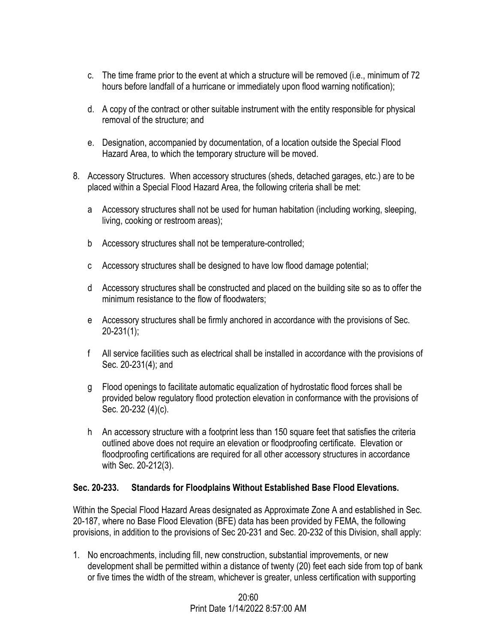- c. The time frame prior to the event at which a structure will be removed (i.e., minimum of 72 hours before landfall of a hurricane or immediately upon flood warning notification);
- d. A copy of the contract or other suitable instrument with the entity responsible for physical removal of the structure; and
- e. Designation, accompanied by documentation, of a location outside the Special Flood Hazard Area, to which the temporary structure will be moved.
- 8. Accessory Structures. When accessory structures (sheds, detached garages, etc.) are to be placed within a Special Flood Hazard Area, the following criteria shall be met:
	- a Accessory structures shall not be used for human habitation (including working, sleeping, living, cooking or restroom areas);
	- b Accessory structures shall not be temperature-controlled;
	- c Accessory structures shall be designed to have low flood damage potential;
	- d Accessory structures shall be constructed and placed on the building site so as to offer the minimum resistance to the flow of floodwaters;
	- e Accessory structures shall be firmly anchored in accordance with the provisions of Sec. 20-231(1);
	- f All service facilities such as electrical shall be installed in accordance with the provisions of Sec. 20-231(4); and
	- g Flood openings to facilitate automatic equalization of hydrostatic flood forces shall be provided below regulatory flood protection elevation in conformance with the provisions of Sec. 20-232 (4)(c).
	- h An accessory structure with a footprint less than 150 square feet that satisfies the criteria outlined above does not require an elevation or floodproofing certificate. Elevation or floodproofing certifications are required for all other accessory structures in accordance with Sec. 20-212(3).

# **Sec. 20-233. Standards for Floodplains Without Established Base Flood Elevations.**

Within the Special Flood Hazard Areas designated as Approximate Zone A and established in Sec. 20-187, where no Base Flood Elevation (BFE) data has been provided by FEMA, the following provisions, in addition to the provisions of Sec 20-231 and Sec. 20-232 of this Division, shall apply:

1. No encroachments, including fill, new construction, substantial improvements, or new development shall be permitted within a distance of twenty (20) feet each side from top of bank or five times the width of the stream, whichever is greater, unless certification with supporting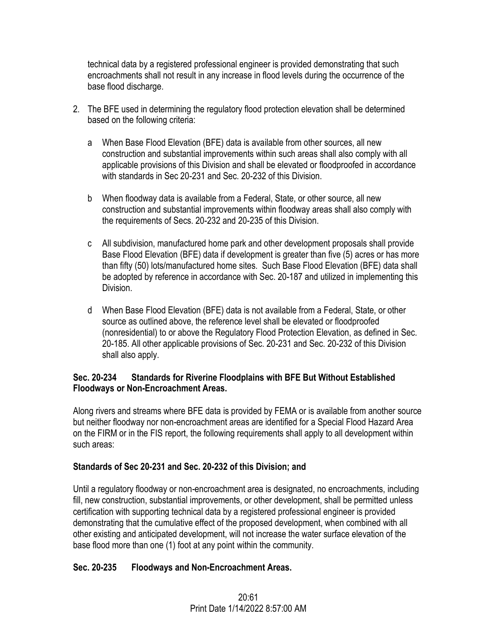technical data by a registered professional engineer is provided demonstrating that such encroachments shall not result in any increase in flood levels during the occurrence of the base flood discharge.

- 2. The BFE used in determining the regulatory flood protection elevation shall be determined based on the following criteria:
	- a When Base Flood Elevation (BFE) data is available from other sources, all new construction and substantial improvements within such areas shall also comply with all applicable provisions of this Division and shall be elevated or floodproofed in accordance with standards in Sec 20-231 and Sec. 20-232 of this Division.
	- b When floodway data is available from a Federal, State, or other source, all new construction and substantial improvements within floodway areas shall also comply with the requirements of Secs. 20-232 and 20-235 of this Division.
	- c All subdivision, manufactured home park and other development proposals shall provide Base Flood Elevation (BFE) data if development is greater than five (5) acres or has more than fifty (50) lots/manufactured home sites. Such Base Flood Elevation (BFE) data shall be adopted by reference in accordance with Sec. 20-187 and utilized in implementing this Division.
	- d When Base Flood Elevation (BFE) data is not available from a Federal, State, or other source as outlined above, the reference level shall be elevated or floodproofed (nonresidential) to or above the Regulatory Flood Protection Elevation, as defined in Sec. 20-185. All other applicable provisions of Sec. 20-231 and Sec. 20-232 of this Division shall also apply.

## **Sec. 20-234 Standards for Riverine Floodplains with BFE But Without Established Floodways or Non-Encroachment Areas.**

Along rivers and streams where BFE data is provided by FEMA or is available from another source but neither floodway nor non-encroachment areas are identified for a Special Flood Hazard Area on the FIRM or in the FIS report, the following requirements shall apply to all development within such areas:

## **Standards of Sec 20-231 and Sec. 20-232 of this Division; and**

Until a regulatory floodway or non-encroachment area is designated, no encroachments, including fill, new construction, substantial improvements, or other development, shall be permitted unless certification with supporting technical data by a registered professional engineer is provided demonstrating that the cumulative effect of the proposed development, when combined with all other existing and anticipated development, will not increase the water surface elevation of the base flood more than one (1) foot at any point within the community.

## **Sec. 20-235 Floodways and Non-Encroachment Areas.**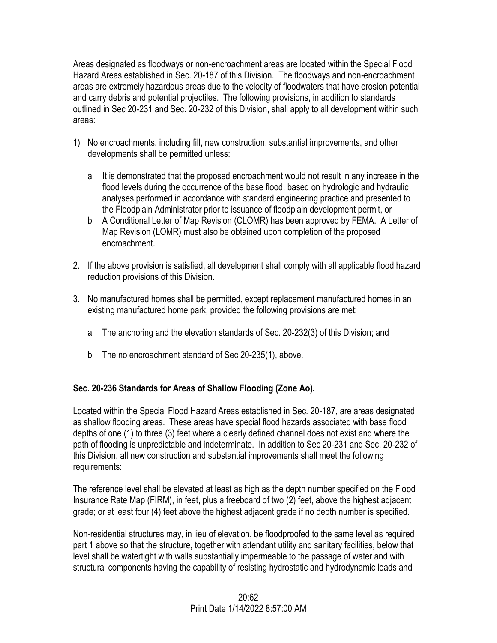Areas designated as floodways or non-encroachment areas are located within the Special Flood Hazard Areas established in Sec. 20-187 of this Division. The floodways and non-encroachment areas are extremely hazardous areas due to the velocity of floodwaters that have erosion potential and carry debris and potential projectiles. The following provisions, in addition to standards outlined in Sec 20-231 and Sec. 20-232 of this Division, shall apply to all development within such areas:

- 1) No encroachments, including fill, new construction, substantial improvements, and other developments shall be permitted unless:
	- a It is demonstrated that the proposed encroachment would not result in any increase in the flood levels during the occurrence of the base flood, based on hydrologic and hydraulic analyses performed in accordance with standard engineering practice and presented to the Floodplain Administrator prior to issuance of floodplain development permit, or
	- b A Conditional Letter of Map Revision (CLOMR) has been approved by FEMA. A Letter of Map Revision (LOMR) must also be obtained upon completion of the proposed encroachment.
- 2. If the above provision is satisfied, all development shall comply with all applicable flood hazard reduction provisions of this Division.
- 3. No manufactured homes shall be permitted, except replacement manufactured homes in an existing manufactured home park, provided the following provisions are met:
	- a The anchoring and the elevation standards of Sec. 20-232(3) of this Division; and
	- b The no encroachment standard of Sec 20-235(1), above.

# **Sec. 20-236 Standards for Areas of Shallow Flooding (Zone Ao).**

Located within the Special Flood Hazard Areas established in Sec. 20-187, are areas designated as shallow flooding areas. These areas have special flood hazards associated with base flood depths of one (1) to three (3) feet where a clearly defined channel does not exist and where the path of flooding is unpredictable and indeterminate. In addition to Sec 20-231 and Sec. 20-232 of this Division, all new construction and substantial improvements shall meet the following requirements:

The reference level shall be elevated at least as high as the depth number specified on the Flood Insurance Rate Map (FIRM), in feet, plus a freeboard of two (2) feet, above the highest adjacent grade; or at least four (4) feet above the highest adjacent grade if no depth number is specified.

Non-residential structures may, in lieu of elevation, be floodproofed to the same level as required part 1 above so that the structure, together with attendant utility and sanitary facilities, below that level shall be watertight with walls substantially impermeable to the passage of water and with structural components having the capability of resisting hydrostatic and hydrodynamic loads and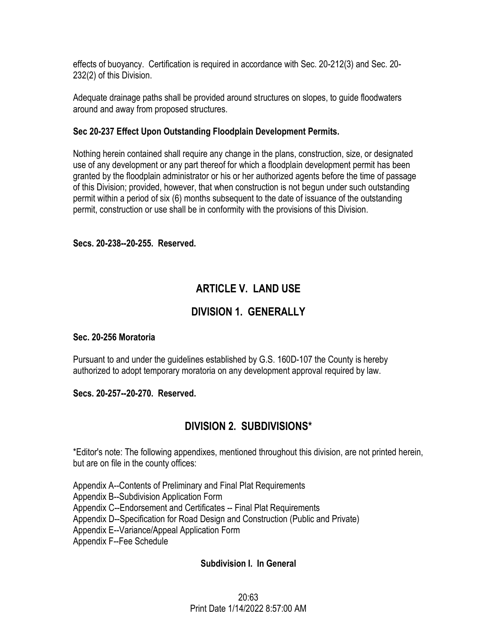effects of buoyancy. Certification is required in accordance with Sec. 20-212(3) and Sec. 20- 232(2) of this Division.

Adequate drainage paths shall be provided around structures on slopes, to guide floodwaters around and away from proposed structures.

## **Sec 20-237 Effect Upon Outstanding Floodplain Development Permits.**

Nothing herein contained shall require any change in the plans, construction, size, or designated use of any development or any part thereof for which a floodplain development permit has been granted by the floodplain administrator or his or her authorized agents before the time of passage of this Division; provided, however, that when construction is not begun under such outstanding permit within a period of six (6) months subsequent to the date of issuance of the outstanding permit, construction or use shall be in conformity with the provisions of this Division.

## **Secs. 20-238--20-255. Reserved.**

# **ARTICLE V. LAND USE**

# **DIVISION 1. GENERALLY**

## **Sec. 20-256 Moratoria**

Pursuant to and under the guidelines established by G.S. 160D-107 the County is hereby authorized to adopt temporary moratoria on any development approval required by law.

## **Secs. 20-257--20-270. Reserved.**

# **DIVISION 2. SUBDIVISIONS\***

\*Editor's note: The following appendixes, mentioned throughout this division, are not printed herein, but are on file in the county offices:

Appendix A--Contents of Preliminary and Final Plat Requirements

Appendix B--Subdivision Application Form

Appendix C--Endorsement and Certificates -- Final Plat Requirements

Appendix D--Specification for Road Design and Construction (Public and Private)

Appendix E--Variance/Appeal Application Form

Appendix F--Fee Schedule

## **Subdivision I. In General**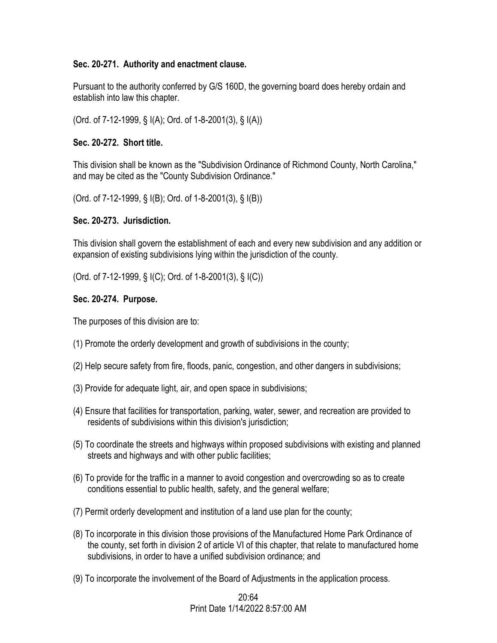#### **Sec. 20-271. Authority and enactment clause.**

Pursuant to the authority conferred by G/S 160D, the governing board does hereby ordain and establish into law this chapter.

(Ord. of 7-12-1999, § I(A); Ord. of 1-8-2001(3), § I(A))

#### **Sec. 20-272. Short title.**

This division shall be known as the "Subdivision Ordinance of Richmond County, North Carolina," and may be cited as the "County Subdivision Ordinance."

(Ord. of 7-12-1999, § I(B); Ord. of 1-8-2001(3), § I(B))

#### **Sec. 20-273. Jurisdiction.**

This division shall govern the establishment of each and every new subdivision and any addition or expansion of existing subdivisions lying within the jurisdiction of the county.

(Ord. of 7-12-1999, § I(C); Ord. of 1-8-2001(3), § I(C))

#### **Sec. 20-274. Purpose.**

The purposes of this division are to:

- (1) Promote the orderly development and growth of subdivisions in the county;
- (2) Help secure safety from fire, floods, panic, congestion, and other dangers in subdivisions;
- (3) Provide for adequate light, air, and open space in subdivisions;
- (4) Ensure that facilities for transportation, parking, water, sewer, and recreation are provided to residents of subdivisions within this division's jurisdiction;
- (5) To coordinate the streets and highways within proposed subdivisions with existing and planned streets and highways and with other public facilities;
- (6) To provide for the traffic in a manner to avoid congestion and overcrowding so as to create conditions essential to public health, safety, and the general welfare;
- (7) Permit orderly development and institution of a land use plan for the county;
- (8) To incorporate in this division those provisions of the Manufactured Home Park Ordinance of the county, set forth in division 2 of article VI of this chapter, that relate to manufactured home subdivisions, in order to have a unified subdivision ordinance; and
- (9) To incorporate the involvement of the Board of Adjustments in the application process.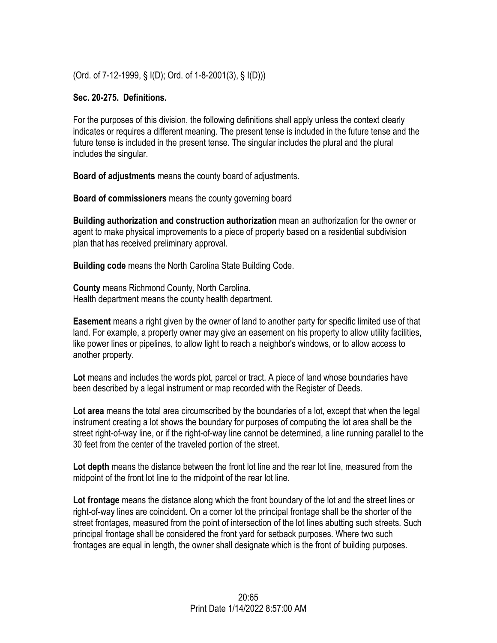(Ord. of 7-12-1999, § I(D); Ord. of 1-8-2001(3), § I(D)))

## **Sec. 20-275. Definitions.**

For the purposes of this division, the following definitions shall apply unless the context clearly indicates or requires a different meaning. The present tense is included in the future tense and the future tense is included in the present tense. The singular includes the plural and the plural includes the singular.

**Board of adjustments** means the county board of adjustments.

**Board of commissioners** means the county governing board

**Building authorization and construction authorization** mean an authorization for the owner or agent to make physical improvements to a piece of property based on a residential subdivision plan that has received preliminary approval.

**Building code** means the North Carolina State Building Code.

**County** means Richmond County, North Carolina. Health department means the county health department.

**Easement** means a right given by the owner of land to another party for specific limited use of that land. For example, a property owner may give an easement on his property to allow utility facilities, like power lines or pipelines, to allow light to reach a neighbor's windows, or to allow access to another property.

**Lot** means and includes the words plot, parcel or tract. A piece of land whose boundaries have been described by a legal instrument or map recorded with the Register of Deeds.

**Lot area** means the total area circumscribed by the boundaries of a lot, except that when the legal instrument creating a lot shows the boundary for purposes of computing the lot area shall be the street right-of-way line, or if the right-of-way line cannot be determined, a line running parallel to the 30 feet from the center of the traveled portion of the street.

**Lot depth** means the distance between the front lot line and the rear lot line, measured from the midpoint of the front lot line to the midpoint of the rear lot line.

**Lot frontage** means the distance along which the front boundary of the lot and the street lines or right-of-way lines are coincident. On a corner lot the principal frontage shall be the shorter of the street frontages, measured from the point of intersection of the lot lines abutting such streets. Such principal frontage shall be considered the front yard for setback purposes. Where two such frontages are equal in length, the owner shall designate which is the front of building purposes.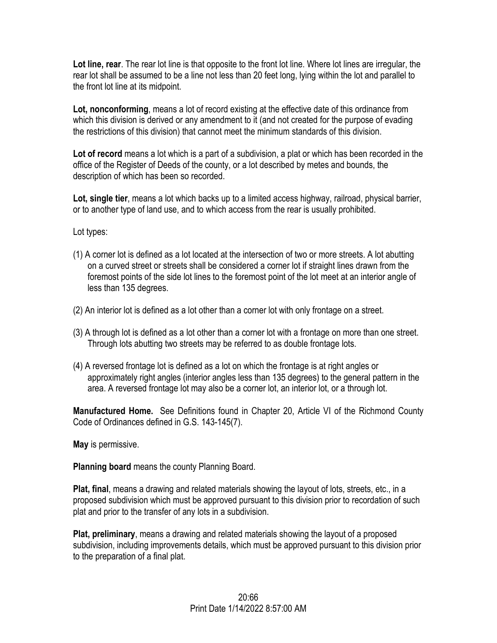**Lot line, rear**. The rear lot line is that opposite to the front lot line. Where lot lines are irregular, the rear lot shall be assumed to be a line not less than 20 feet long, lying within the lot and parallel to the front lot line at its midpoint.

**Lot, nonconforming**, means a lot of record existing at the effective date of this ordinance from which this division is derived or any amendment to it (and not created for the purpose of evading the restrictions of this division) that cannot meet the minimum standards of this division.

**Lot of record** means a lot which is a part of a subdivision, a plat or which has been recorded in the office of the Register of Deeds of the county, or a lot described by metes and bounds, the description of which has been so recorded.

**Lot, single tier**, means a lot which backs up to a limited access highway, railroad, physical barrier, or to another type of land use, and to which access from the rear is usually prohibited.

Lot types:

- (1) A corner lot is defined as a lot located at the intersection of two or more streets. A lot abutting on a curved street or streets shall be considered a corner lot if straight lines drawn from the foremost points of the side lot lines to the foremost point of the lot meet at an interior angle of less than 135 degrees.
- (2) An interior lot is defined as a lot other than a corner lot with only frontage on a street.
- (3) A through lot is defined as a lot other than a corner lot with a frontage on more than one street. Through lots abutting two streets may be referred to as double frontage lots.
- (4) A reversed frontage lot is defined as a lot on which the frontage is at right angles or approximately right angles (interior angles less than 135 degrees) to the general pattern in the area. A reversed frontage lot may also be a corner lot, an interior lot, or a through lot.

**Manufactured Home.** See Definitions found in Chapter 20, Article VI of the Richmond County Code of Ordinances defined in G.S. 143-145(7).

**May** is permissive.

**Planning board** means the county Planning Board.

**Plat, final**, means a drawing and related materials showing the layout of lots, streets, etc., in a proposed subdivision which must be approved pursuant to this division prior to recordation of such plat and prior to the transfer of any lots in a subdivision.

**Plat, preliminary**, means a drawing and related materials showing the layout of a proposed subdivision, including improvements details, which must be approved pursuant to this division prior to the preparation of a final plat.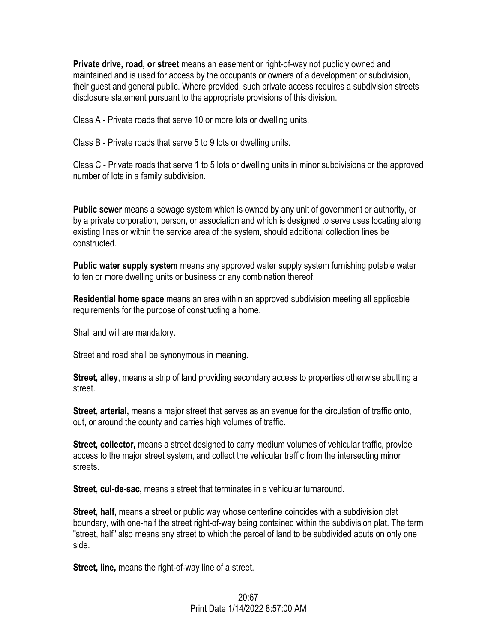**Private drive, road, or street** means an easement or right-of-way not publicly owned and maintained and is used for access by the occupants or owners of a development or subdivision, their guest and general public. Where provided, such private access requires a subdivision streets disclosure statement pursuant to the appropriate provisions of this division.

Class A - Private roads that serve 10 or more lots or dwelling units.

Class B - Private roads that serve 5 to 9 lots or dwelling units.

Class C - Private roads that serve 1 to 5 lots or dwelling units in minor subdivisions or the approved number of lots in a family subdivision.

**Public sewer** means a sewage system which is owned by any unit of government or authority, or by a private corporation, person, or association and which is designed to serve uses locating along existing lines or within the service area of the system, should additional collection lines be constructed.

**Public water supply system** means any approved water supply system furnishing potable water to ten or more dwelling units or business or any combination thereof.

**Residential home space** means an area within an approved subdivision meeting all applicable requirements for the purpose of constructing a home.

Shall and will are mandatory.

Street and road shall be synonymous in meaning.

**Street, alley**, means a strip of land providing secondary access to properties otherwise abutting a street.

**Street, arterial,** means a major street that serves as an avenue for the circulation of traffic onto, out, or around the county and carries high volumes of traffic.

**Street, collector,** means a street designed to carry medium volumes of vehicular traffic, provide access to the major street system, and collect the vehicular traffic from the intersecting minor streets.

**Street, cul-de-sac,** means a street that terminates in a vehicular turnaround.

**Street, half,** means a street or public way whose centerline coincides with a subdivision plat boundary, with one-half the street right-of-way being contained within the subdivision plat. The term "street, half" also means any street to which the parcel of land to be subdivided abuts on only one side.

**Street, line,** means the right-of-way line of a street.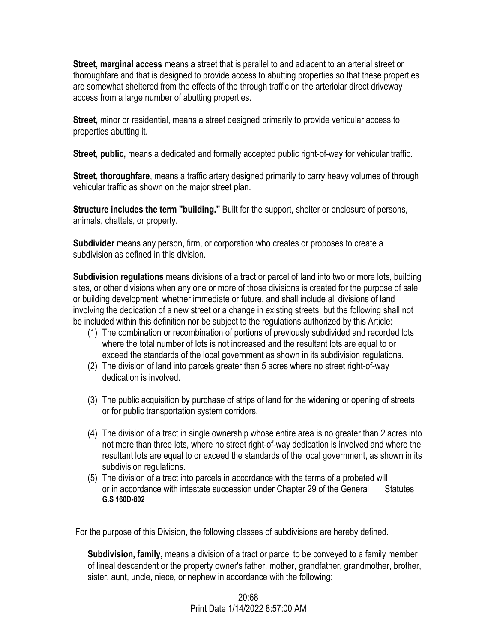**Street, marginal access** means a street that is parallel to and adjacent to an arterial street or thoroughfare and that is designed to provide access to abutting properties so that these properties are somewhat sheltered from the effects of the through traffic on the arteriolar direct driveway access from a large number of abutting properties.

**Street,** minor or residential, means a street designed primarily to provide vehicular access to properties abutting it.

**Street, public,** means a dedicated and formally accepted public right-of-way for vehicular traffic.

**Street, thoroughfare**, means a traffic artery designed primarily to carry heavy volumes of through vehicular traffic as shown on the major street plan.

**Structure includes the term "building."** Built for the support, shelter or enclosure of persons, animals, chattels, or property.

**Subdivider** means any person, firm, or corporation who creates or proposes to create a subdivision as defined in this division.

**Subdivision regulations** means divisions of a tract or parcel of land into two or more lots, building sites, or other divisions when any one or more of those divisions is created for the purpose of sale or building development, whether immediate or future, and shall include all divisions of land involving the dedication of a new street or a change in existing streets; but the following shall not be included within this definition nor be subject to the regulations authorized by this Article:

- (1) The combination or recombination of portions of previously subdivided and recorded lots where the total number of lots is not increased and the resultant lots are equal to or exceed the standards of the local government as shown in its subdivision regulations.
- (2) The division of land into parcels greater than 5 acres where no street right-of-way dedication is involved.
- (3) The public acquisition by purchase of strips of land for the widening or opening of streets or for public transportation system corridors.
- (4) The division of a tract in single ownership whose entire area is no greater than 2 acres into not more than three lots, where no street right-of-way dedication is involved and where the resultant lots are equal to or exceed the standards of the local government, as shown in its subdivision regulations.
- (5) The division of a tract into parcels in accordance with the terms of a probated will or in accordance with intestate succession under Chapter 29 of the General Statutes **G.S 160D-802**

For the purpose of this Division, the following classes of subdivisions are hereby defined.

**Subdivision, family,** means a division of a tract or parcel to be conveyed to a family member of lineal descendent or the property owner's father, mother, grandfather, grandmother, brother, sister, aunt, uncle, niece, or nephew in accordance with the following: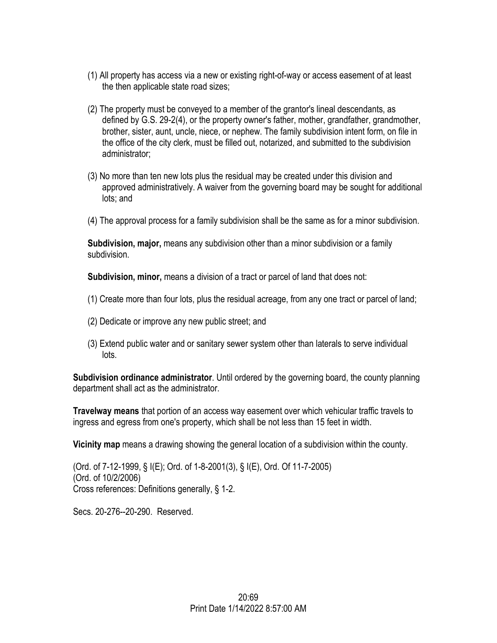- (1) All property has access via a new or existing right-of-way or access easement of at least the then applicable state road sizes;
- (2) The property must be conveyed to a member of the grantor's lineal descendants, as defined by G.S. 29-2(4), or the property owner's father, mother, grandfather, grandmother, brother, sister, aunt, uncle, niece, or nephew. The family subdivision intent form, on file in the office of the city clerk, must be filled out, notarized, and submitted to the subdivision administrator;
- (3) No more than ten new lots plus the residual may be created under this division and approved administratively. A waiver from the governing board may be sought for additional lots; and
- (4) The approval process for a family subdivision shall be the same as for a minor subdivision.

**Subdivision, major,** means any subdivision other than a minor subdivision or a family subdivision.

**Subdivision, minor,** means a division of a tract or parcel of land that does not:

- (1) Create more than four lots, plus the residual acreage, from any one tract or parcel of land;
- (2) Dedicate or improve any new public street; and
- (3) Extend public water and or sanitary sewer system other than laterals to serve individual lots.

**Subdivision ordinance administrator**. Until ordered by the governing board, the county planning department shall act as the administrator.

**Travelway means** that portion of an access way easement over which vehicular traffic travels to ingress and egress from one's property, which shall be not less than 15 feet in width.

**Vicinity map** means a drawing showing the general location of a subdivision within the county.

(Ord. of 7-12-1999, § I(E); Ord. of 1-8-2001(3), § I(E), Ord. Of 11-7-2005) (Ord. of 10/2/2006) Cross references: Definitions generally, § 1-2.

Secs. 20-276--20-290. Reserved.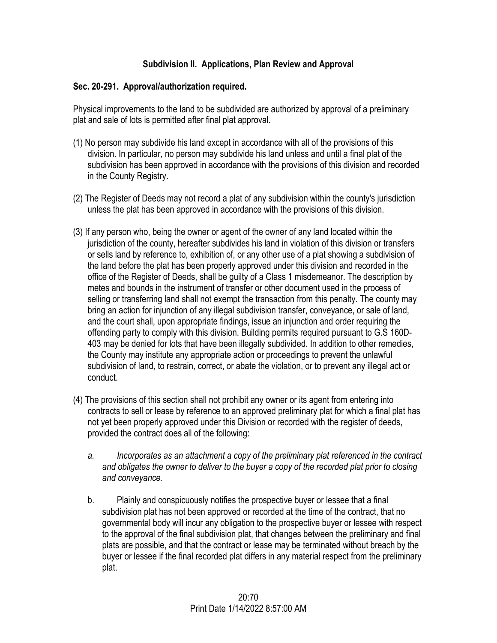## **Subdivision II. Applications, Plan Review and Approval**

## **Sec. 20-291. Approval/authorization required.**

Physical improvements to the land to be subdivided are authorized by approval of a preliminary plat and sale of lots is permitted after final plat approval.

- (1) No person may subdivide his land except in accordance with all of the provisions of this division. In particular, no person may subdivide his land unless and until a final plat of the subdivision has been approved in accordance with the provisions of this division and recorded in the County Registry.
- (2) The Register of Deeds may not record a plat of any subdivision within the county's jurisdiction unless the plat has been approved in accordance with the provisions of this division.
- (3) If any person who, being the owner or agent of the owner of any land located within the jurisdiction of the county, hereafter subdivides his land in violation of this division or transfers or sells land by reference to, exhibition of, or any other use of a plat showing a subdivision of the land before the plat has been properly approved under this division and recorded in the office of the Register of Deeds, shall be guilty of a Class 1 misdemeanor. The description by metes and bounds in the instrument of transfer or other document used in the process of selling or transferring land shall not exempt the transaction from this penalty. The county may bring an action for injunction of any illegal subdivision transfer, conveyance, or sale of land, and the court shall, upon appropriate findings, issue an injunction and order requiring the offending party to comply with this division. Building permits required pursuant to G.S 160D-403 may be denied for lots that have been illegally subdivided. In addition to other remedies, the County may institute any appropriate action or proceedings to prevent the unlawful subdivision of land, to restrain, correct, or abate the violation, or to prevent any illegal act or conduct.
- (4) The provisions of this section shall not prohibit any owner or its agent from entering into contracts to sell or lease by reference to an approved preliminary plat for which a final plat has not yet been properly approved under this Division or recorded with the register of deeds, provided the contract does all of the following:
	- *a. Incorporates as an attachment a copy of the preliminary plat referenced in the contract and obligates the owner to deliver to the buyer a copy of the recorded plat prior to closing and conveyance.*
	- b. Plainly and conspicuously notifies the prospective buyer or lessee that a final subdivision plat has not been approved or recorded at the time of the contract, that no governmental body will incur any obligation to the prospective buyer or lessee with respect to the approval of the final subdivision plat, that changes between the preliminary and final plats are possible, and that the contract or lease may be terminated without breach by the buyer or lessee if the final recorded plat differs in any material respect from the preliminary plat.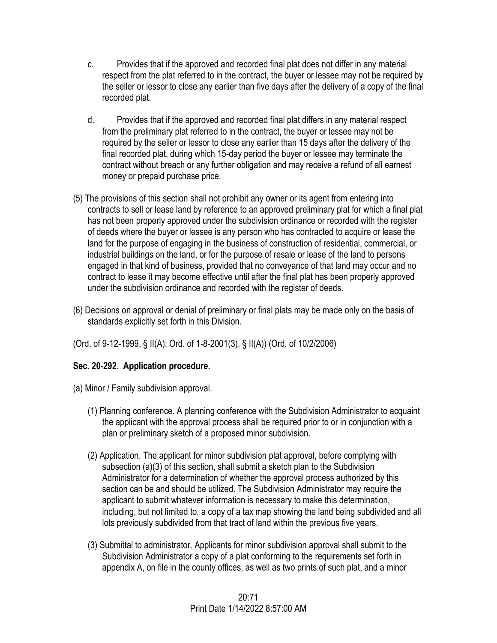- c. Provides that if the approved and recorded final plat does not differ in any material respect from the plat referred to in the contract, the buyer or lessee may not be required by the seller or lessor to close any earlier than five days after the delivery of a copy of the final recorded plat.
- d. Provides that if the approved and recorded final plat differs in any material respect from the preliminary plat referred to in the contract, the buyer or lessee may not be required by the seller or lessor to close any earlier than 15 days after the delivery of the final recorded plat, during which 15-day period the buyer or lessee may terminate the contract without breach or any further obligation and may receive a refund of all earnest money or prepaid purchase price.
- (5) The provisions of this section shall not prohibit any owner or its agent from entering into contracts to sell or lease land by reference to an approved preliminary plat for which a final plat has not been properly approved under the subdivision ordinance or recorded with the register of deeds where the buyer or lessee is any person who has contracted to acquire or lease the land for the purpose of engaging in the business of construction of residential, commercial, or industrial buildings on the land, or for the purpose of resale or lease of the land to persons engaged in that kind of business, provided that no conveyance of that land may occur and no contract to lease it may become effective until after the final plat has been properly approved under the subdivision ordinance and recorded with the register of deeds.
- (6) Decisions on approval or denial of preliminary or final plats may be made only on the basis of standards explicitly set forth in this Division.
- (Ord. of 9-12-1999, § II(A); Ord. of 1-8-2001(3), § II(A)) (Ord. of 10/2/2006)

# **Sec. 20-292. Application procedure.**

- (a) Minor / Family subdivision approval.
	- (1) Planning conference. A planning conference with the Subdivision Administrator to acquaint the applicant with the approval process shall be required prior to or in conjunction with a plan or preliminary sketch of a proposed minor subdivision.
	- (2) Application. The applicant for minor subdivision plat approval, before complying with subsection (a)(3) of this section, shall submit a sketch plan to the Subdivision Administrator for a determination of whether the approval process authorized by this section can be and should be utilized. The Subdivision Administrator may require the applicant to submit whatever information is necessary to make this determination, including, but not limited to, a copy of a tax map showing the land being subdivided and all lots previously subdivided from that tract of land within the previous five years.
	- (3) Submittal to administrator. Applicants for minor subdivision approval shall submit to the Subdivision Administrator a copy of a plat conforming to the requirements set forth in appendix A, on file in the county offices, as well as two prints of such plat, and a minor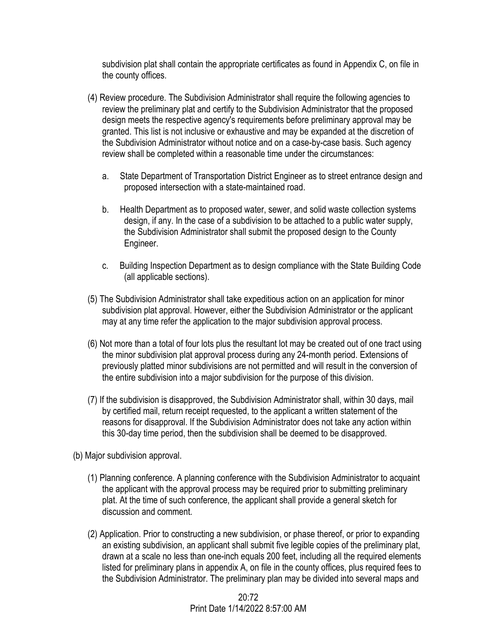subdivision plat shall contain the appropriate certificates as found in Appendix C, on file in the county offices.

- (4) Review procedure. The Subdivision Administrator shall require the following agencies to review the preliminary plat and certify to the Subdivision Administrator that the proposed design meets the respective agency's requirements before preliminary approval may be granted. This list is not inclusive or exhaustive and may be expanded at the discretion of the Subdivision Administrator without notice and on a case-by-case basis. Such agency review shall be completed within a reasonable time under the circumstances:
	- a. State Department of Transportation District Engineer as to street entrance design and proposed intersection with a state-maintained road.
	- b. Health Department as to proposed water, sewer, and solid waste collection systems design, if any. In the case of a subdivision to be attached to a public water supply, the Subdivision Administrator shall submit the proposed design to the County Engineer.
	- c. Building Inspection Department as to design compliance with the State Building Code (all applicable sections).
- (5) The Subdivision Administrator shall take expeditious action on an application for minor subdivision plat approval. However, either the Subdivision Administrator or the applicant may at any time refer the application to the major subdivision approval process.
- (6) Not more than a total of four lots plus the resultant lot may be created out of one tract using the minor subdivision plat approval process during any 24-month period. Extensions of previously platted minor subdivisions are not permitted and will result in the conversion of the entire subdivision into a major subdivision for the purpose of this division.
- (7) If the subdivision is disapproved, the Subdivision Administrator shall, within 30 days, mail by certified mail, return receipt requested, to the applicant a written statement of the reasons for disapproval. If the Subdivision Administrator does not take any action within this 30-day time period, then the subdivision shall be deemed to be disapproved.
- (b) Major subdivision approval.
	- (1) Planning conference. A planning conference with the Subdivision Administrator to acquaint the applicant with the approval process may be required prior to submitting preliminary plat. At the time of such conference, the applicant shall provide a general sketch for discussion and comment.
	- (2) Application. Prior to constructing a new subdivision, or phase thereof, or prior to expanding an existing subdivision, an applicant shall submit five legible copies of the preliminary plat, drawn at a scale no less than one-inch equals 200 feet, including all the required elements listed for preliminary plans in appendix A, on file in the county offices, plus required fees to the Subdivision Administrator. The preliminary plan may be divided into several maps and

 $20.72$ Print Date 1/14/2022 8:57:00 AM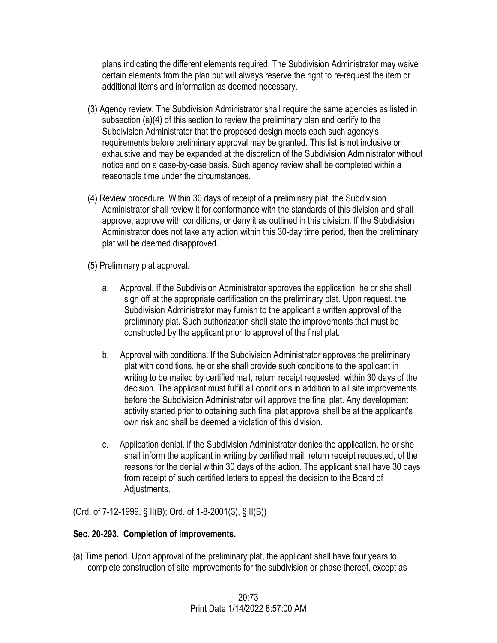plans indicating the different elements required. The Subdivision Administrator may waive certain elements from the plan but will always reserve the right to re-request the item or additional items and information as deemed necessary.

- (3) Agency review. The Subdivision Administrator shall require the same agencies as listed in subsection (a)(4) of this section to review the preliminary plan and certify to the Subdivision Administrator that the proposed design meets each such agency's requirements before preliminary approval may be granted. This list is not inclusive or exhaustive and may be expanded at the discretion of the Subdivision Administrator without notice and on a case-by-case basis. Such agency review shall be completed within a reasonable time under the circumstances.
- (4) Review procedure. Within 30 days of receipt of a preliminary plat, the Subdivision Administrator shall review it for conformance with the standards of this division and shall approve, approve with conditions, or deny it as outlined in this division. If the Subdivision Administrator does not take any action within this 30-day time period, then the preliminary plat will be deemed disapproved.
- (5) Preliminary plat approval.
	- a. Approval. If the Subdivision Administrator approves the application, he or she shall sign off at the appropriate certification on the preliminary plat. Upon request, the Subdivision Administrator may furnish to the applicant a written approval of the preliminary plat. Such authorization shall state the improvements that must be constructed by the applicant prior to approval of the final plat.
	- b. Approval with conditions. If the Subdivision Administrator approves the preliminary plat with conditions, he or she shall provide such conditions to the applicant in writing to be mailed by certified mail, return receipt requested, within 30 days of the decision. The applicant must fulfill all conditions in addition to all site improvements before the Subdivision Administrator will approve the final plat. Any development activity started prior to obtaining such final plat approval shall be at the applicant's own risk and shall be deemed a violation of this division.
	- c. Application denial. If the Subdivision Administrator denies the application, he or she shall inform the applicant in writing by certified mail, return receipt requested, of the reasons for the denial within 30 days of the action. The applicant shall have 30 days from receipt of such certified letters to appeal the decision to the Board of Adjustments.

(Ord. of 7-12-1999, § II(B); Ord. of 1-8-2001(3), § II(B))

# **Sec. 20-293. Completion of improvements.**

(a) Time period. Upon approval of the preliminary plat, the applicant shall have four years to complete construction of site improvements for the subdivision or phase thereof, except as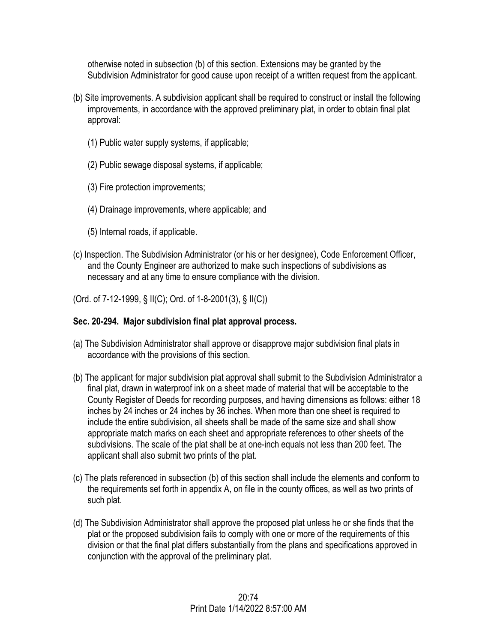otherwise noted in subsection (b) of this section. Extensions may be granted by the Subdivision Administrator for good cause upon receipt of a written request from the applicant.

- (b) Site improvements. A subdivision applicant shall be required to construct or install the following improvements, in accordance with the approved preliminary plat, in order to obtain final plat approval:
	- (1) Public water supply systems, if applicable;
	- (2) Public sewage disposal systems, if applicable;
	- (3) Fire protection improvements;
	- (4) Drainage improvements, where applicable; and
	- (5) Internal roads, if applicable.
- (c) Inspection. The Subdivision Administrator (or his or her designee), Code Enforcement Officer, and the County Engineer are authorized to make such inspections of subdivisions as necessary and at any time to ensure compliance with the division.
- (Ord. of 7-12-1999, § II(C); Ord. of 1-8-2001(3), § II(C))

## **Sec. 20-294. Major subdivision final plat approval process.**

- (a) The Subdivision Administrator shall approve or disapprove major subdivision final plats in accordance with the provisions of this section.
- (b) The applicant for major subdivision plat approval shall submit to the Subdivision Administrator a final plat, drawn in waterproof ink on a sheet made of material that will be acceptable to the County Register of Deeds for recording purposes, and having dimensions as follows: either 18 inches by 24 inches or 24 inches by 36 inches. When more than one sheet is required to include the entire subdivision, all sheets shall be made of the same size and shall show appropriate match marks on each sheet and appropriate references to other sheets of the subdivisions. The scale of the plat shall be at one-inch equals not less than 200 feet. The applicant shall also submit two prints of the plat.
- (c) The plats referenced in subsection (b) of this section shall include the elements and conform to the requirements set forth in appendix A, on file in the county offices, as well as two prints of such plat.
- (d) The Subdivision Administrator shall approve the proposed plat unless he or she finds that the plat or the proposed subdivision fails to comply with one or more of the requirements of this division or that the final plat differs substantially from the plans and specifications approved in conjunction with the approval of the preliminary plat.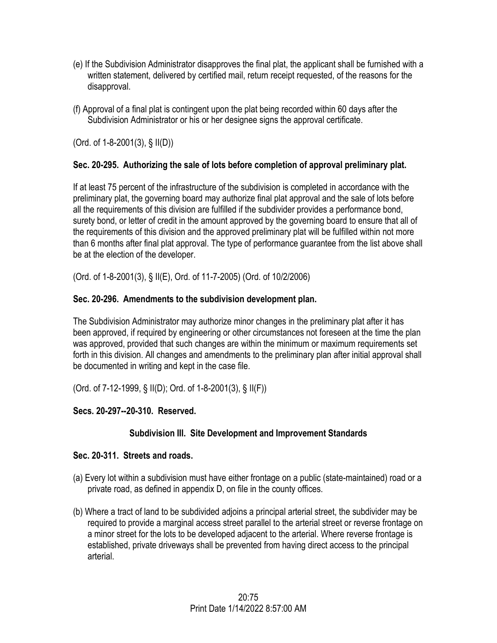- (e) If the Subdivision Administrator disapproves the final plat, the applicant shall be furnished with a written statement, delivered by certified mail, return receipt requested, of the reasons for the disapproval.
- (f) Approval of a final plat is contingent upon the plat being recorded within 60 days after the Subdivision Administrator or his or her designee signs the approval certificate.

(Ord. of 1-8-2001(3), § II(D))

## **Sec. 20-295. Authorizing the sale of lots before completion of approval preliminary plat.**

If at least 75 percent of the infrastructure of the subdivision is completed in accordance with the preliminary plat, the governing board may authorize final plat approval and the sale of lots before all the requirements of this division are fulfilled if the subdivider provides a performance bond, surety bond, or letter of credit in the amount approved by the governing board to ensure that all of the requirements of this division and the approved preliminary plat will be fulfilled within not more than 6 months after final plat approval. The type of performance guarantee from the list above shall be at the election of the developer.

(Ord. of 1-8-2001(3), § II(E), Ord. of 11-7-2005) (Ord. of 10/2/2006)

## **Sec. 20-296. Amendments to the subdivision development plan.**

The Subdivision Administrator may authorize minor changes in the preliminary plat after it has been approved, if required by engineering or other circumstances not foreseen at the time the plan was approved, provided that such changes are within the minimum or maximum requirements set forth in this division. All changes and amendments to the preliminary plan after initial approval shall be documented in writing and kept in the case file.

(Ord. of 7-12-1999, § II(D); Ord. of 1-8-2001(3), § II(F))

# **Secs. 20-297--20-310. Reserved.**

# **Subdivision III. Site Development and Improvement Standards**

## **Sec. 20-311. Streets and roads.**

- (a) Every lot within a subdivision must have either frontage on a public (state-maintained) road or a private road, as defined in appendix D, on file in the county offices.
- (b) Where a tract of land to be subdivided adjoins a principal arterial street, the subdivider may be required to provide a marginal access street parallel to the arterial street or reverse frontage on a minor street for the lots to be developed adjacent to the arterial. Where reverse frontage is established, private driveways shall be prevented from having direct access to the principal arterial.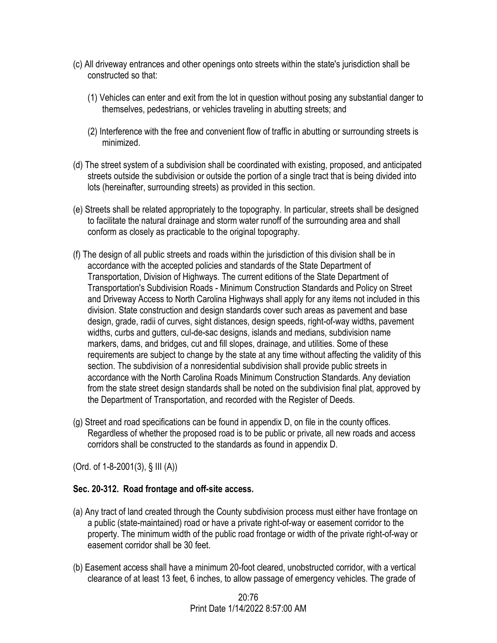- (c) All driveway entrances and other openings onto streets within the state's jurisdiction shall be constructed so that:
	- (1) Vehicles can enter and exit from the lot in question without posing any substantial danger to themselves, pedestrians, or vehicles traveling in abutting streets; and
	- (2) Interference with the free and convenient flow of traffic in abutting or surrounding streets is minimized.
- (d) The street system of a subdivision shall be coordinated with existing, proposed, and anticipated streets outside the subdivision or outside the portion of a single tract that is being divided into lots (hereinafter, surrounding streets) as provided in this section.
- (e) Streets shall be related appropriately to the topography. In particular, streets shall be designed to facilitate the natural drainage and storm water runoff of the surrounding area and shall conform as closely as practicable to the original topography.
- (f) The design of all public streets and roads within the jurisdiction of this division shall be in accordance with the accepted policies and standards of the State Department of Transportation, Division of Highways. The current editions of the State Department of Transportation's Subdivision Roads - Minimum Construction Standards and Policy on Street and Driveway Access to North Carolina Highways shall apply for any items not included in this division. State construction and design standards cover such areas as pavement and base design, grade, radii of curves, sight distances, design speeds, right-of-way widths, pavement widths, curbs and gutters, cul-de-sac designs, islands and medians, subdivision name markers, dams, and bridges, cut and fill slopes, drainage, and utilities. Some of these requirements are subject to change by the state at any time without affecting the validity of this section. The subdivision of a nonresidential subdivision shall provide public streets in accordance with the North Carolina Roads Minimum Construction Standards. Any deviation from the state street design standards shall be noted on the subdivision final plat, approved by the Department of Transportation, and recorded with the Register of Deeds.
- (g) Street and road specifications can be found in appendix D, on file in the county offices. Regardless of whether the proposed road is to be public or private, all new roads and access corridors shall be constructed to the standards as found in appendix D.

(Ord. of 1-8-2001(3), § III (A))

## **Sec. 20-312. Road frontage and off-site access.**

- (a) Any tract of land created through the County subdivision process must either have frontage on a public (state-maintained) road or have a private right-of-way or easement corridor to the property. The minimum width of the public road frontage or width of the private right-of-way or easement corridor shall be 30 feet.
- (b) Easement access shall have a minimum 20-foot cleared, unobstructed corridor, with a vertical clearance of at least 13 feet, 6 inches, to allow passage of emergency vehicles. The grade of

20:76 Print Date 1/14/2022 8:57:00 AM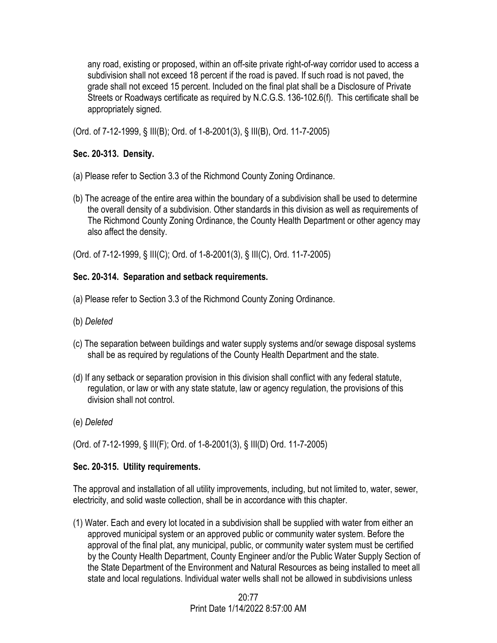any road, existing or proposed, within an off-site private right-of-way corridor used to access a subdivision shall not exceed 18 percent if the road is paved. If such road is not paved, the grade shall not exceed 15 percent. Included on the final plat shall be a Disclosure of Private Streets or Roadways certificate as required by N.C.G.S. 136-102.6(f). This certificate shall be appropriately signed.

(Ord. of 7-12-1999, § III(B); Ord. of 1-8-2001(3), § III(B), Ord. 11-7-2005)

# **Sec. 20-313. Density.**

- (a) Please refer to Section 3.3 of the Richmond County Zoning Ordinance.
- (b) The acreage of the entire area within the boundary of a subdivision shall be used to determine the overall density of a subdivision. Other standards in this division as well as requirements of The Richmond County Zoning Ordinance, the County Health Department or other agency may also affect the density.

(Ord. of 7-12-1999, § III(C); Ord. of 1-8-2001(3), § III(C), Ord. 11-7-2005)

# **Sec. 20-314. Separation and setback requirements.**

- (a) Please refer to Section 3.3 of the Richmond County Zoning Ordinance.
- (b) *Deleted*
- (c) The separation between buildings and water supply systems and/or sewage disposal systems shall be as required by regulations of the County Health Department and the state.
- (d) If any setback or separation provision in this division shall conflict with any federal statute, regulation, or law or with any state statute, law or agency regulation, the provisions of this division shall not control.
- (e) *Deleted*

(Ord. of 7-12-1999, § III(F); Ord. of 1-8-2001(3), § III(D) Ord. 11-7-2005)

# **Sec. 20-315. Utility requirements.**

The approval and installation of all utility improvements, including, but not limited to, water, sewer, electricity, and solid waste collection, shall be in accordance with this chapter.

(1) Water. Each and every lot located in a subdivision shall be supplied with water from either an approved municipal system or an approved public or community water system. Before the approval of the final plat, any municipal, public, or community water system must be certified by the County Health Department, County Engineer and/or the Public Water Supply Section of the State Department of the Environment and Natural Resources as being installed to meet all state and local regulations. Individual water wells shall not be allowed in subdivisions unless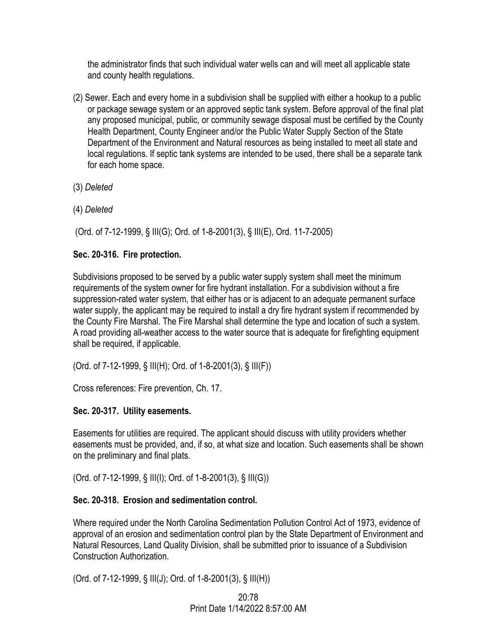the administrator finds that such individual water wells can and will meet all applicable state and county health regulations.

- (2) Sewer. Each and every home in a subdivision shall be supplied with either a hookup to a public or package sewage system or an approved septic tank system. Before approval of the final plat any proposed municipal, public, or community sewage disposal must be certified by the County Health Department, County Engineer and/or the Public Water Supply Section of the State Department of the Environment and Natural resources as being installed to meet all state and local regulations. If septic tank systems are intended to be used, there shall be a separate tank for each home space.
- (3) *Deleted*
- (4) *Deleted*

(Ord. of 7-12-1999, § III(G); Ord. of 1-8-2001(3), § III(E), Ord. 11-7-2005)

## **Sec. 20-316. Fire protection.**

Subdivisions proposed to be served by a public water supply system shall meet the minimum requirements of the system owner for fire hydrant installation. For a subdivision without a fire suppression-rated water system, that either has or is adjacent to an adequate permanent surface water supply, the applicant may be required to install a dry fire hydrant system if recommended by the County Fire Marshal. The Fire Marshal shall determine the type and location of such a system. A road providing all-weather access to the water source that is adequate for firefighting equipment shall be required, if applicable.

(Ord. of 7-12-1999, § III(H); Ord. of 1-8-2001(3), § III(F))

Cross references: Fire prevention, Ch. 17.

# **Sec. 20-317. Utility easements.**

Easements for utilities are required. The applicant should discuss with utility providers whether easements must be provided, and, if so, at what size and location. Such easements shall be shown on the preliminary and final plats.

(Ord. of 7-12-1999, § III(I); Ord. of 1-8-2001(3), § III(G))

## **Sec. 20-318. Erosion and sedimentation control.**

Where required under the North Carolina Sedimentation Pollution Control Act of 1973, evidence of approval of an erosion and sedimentation control plan by the State Department of Environment and Natural Resources, Land Quality Division, shall be submitted prior to issuance of a Subdivision Construction Authorization.

(Ord. of 7-12-1999, § III(J); Ord. of 1-8-2001(3), § III(H))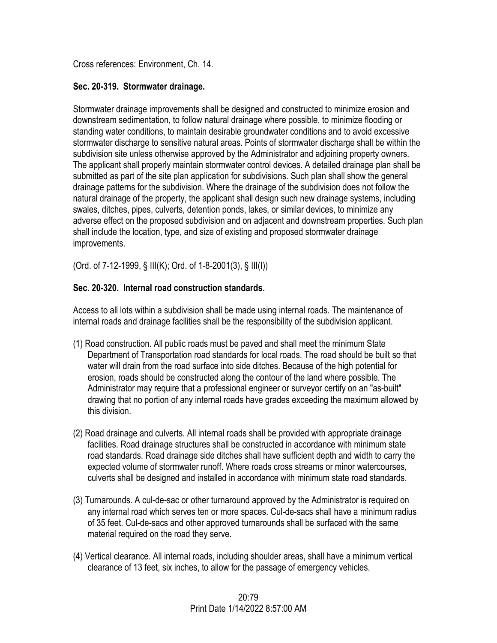Cross references: Environment, Ch. 14.

## **Sec. 20-319. Stormwater drainage.**

Stormwater drainage improvements shall be designed and constructed to minimize erosion and downstream sedimentation, to follow natural drainage where possible, to minimize flooding or standing water conditions, to maintain desirable groundwater conditions and to avoid excessive stormwater discharge to sensitive natural areas. Points of stormwater discharge shall be within the subdivision site unless otherwise approved by the Administrator and adjoining property owners. The applicant shall properly maintain stormwater control devices. A detailed drainage plan shall be submitted as part of the site plan application for subdivisions. Such plan shall show the general drainage patterns for the subdivision. Where the drainage of the subdivision does not follow the natural drainage of the property, the applicant shall design such new drainage systems, including swales, ditches, pipes, culverts, detention ponds, lakes, or similar devices, to minimize any adverse effect on the proposed subdivision and on adjacent and downstream properties. Such plan shall include the location, type, and size of existing and proposed stormwater drainage improvements.

(Ord. of 7-12-1999, § III(K); Ord. of 1-8-2001(3), § III(I))

# **Sec. 20-320. Internal road construction standards.**

Access to all lots within a subdivision shall be made using internal roads. The maintenance of internal roads and drainage facilities shall be the responsibility of the subdivision applicant.

- (1) Road construction. All public roads must be paved and shall meet the minimum State Department of Transportation road standards for local roads. The road should be built so that water will drain from the road surface into side ditches. Because of the high potential for erosion, roads should be constructed along the contour of the land where possible. The Administrator may require that a professional engineer or surveyor certify on an "as-built" drawing that no portion of any internal roads have grades exceeding the maximum allowed by this division.
- (2) Road drainage and culverts. All internal roads shall be provided with appropriate drainage facilities. Road drainage structures shall be constructed in accordance with minimum state road standards. Road drainage side ditches shall have sufficient depth and width to carry the expected volume of stormwater runoff. Where roads cross streams or minor watercourses, culverts shall be designed and installed in accordance with minimum state road standards.
- (3) Turnarounds. A cul-de-sac or other turnaround approved by the Administrator is required on any internal road which serves ten or more spaces. Cul-de-sacs shall have a minimum radius of 35 feet. Cul-de-sacs and other approved turnarounds shall be surfaced with the same material required on the road they serve.
- (4) Vertical clearance. All internal roads, including shoulder areas, shall have a minimum vertical clearance of 13 feet, six inches, to allow for the passage of emergency vehicles.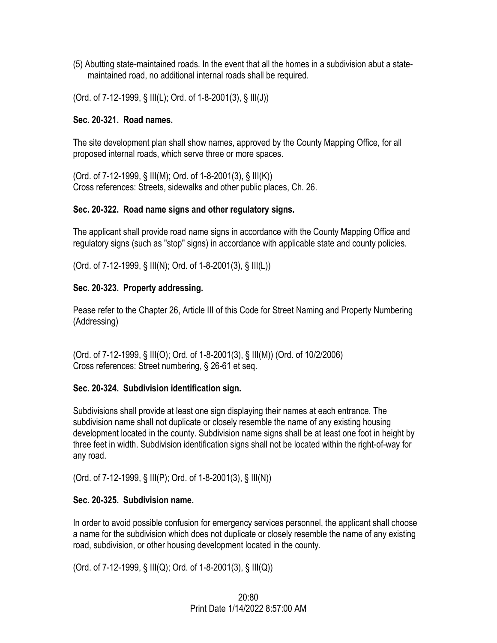- (5) Abutting state-maintained roads. In the event that all the homes in a subdivision abut a statemaintained road, no additional internal roads shall be required.
- (Ord. of 7-12-1999, § III(L); Ord. of 1-8-2001(3), § III(J))

#### **Sec. 20-321. Road names.**

The site development plan shall show names, approved by the County Mapping Office, for all proposed internal roads, which serve three or more spaces.

(Ord. of 7-12-1999, § III(M); Ord. of 1-8-2001(3), § III(K)) Cross references: Streets, sidewalks and other public places, Ch. 26.

#### **Sec. 20-322. Road name signs and other regulatory signs.**

The applicant shall provide road name signs in accordance with the County Mapping Office and regulatory signs (such as "stop" signs) in accordance with applicable state and county policies.

(Ord. of 7-12-1999, § III(N); Ord. of 1-8-2001(3), § III(L))

#### **Sec. 20-323. Property addressing.**

Pease refer to the Chapter 26, Article III of this Code for Street Naming and Property Numbering (Addressing)

(Ord. of 7-12-1999, § III(O); Ord. of 1-8-2001(3), § III(M)) (Ord. of 10/2/2006) Cross references: Street numbering, § 26-61 et seq.

## **Sec. 20-324. Subdivision identification sign.**

Subdivisions shall provide at least one sign displaying their names at each entrance. The subdivision name shall not duplicate or closely resemble the name of any existing housing development located in the county. Subdivision name signs shall be at least one foot in height by three feet in width. Subdivision identification signs shall not be located within the right-of-way for any road.

(Ord. of 7-12-1999, § III(P); Ord. of 1-8-2001(3), § III(N))

## **Sec. 20-325. Subdivision name.**

In order to avoid possible confusion for emergency services personnel, the applicant shall choose a name for the subdivision which does not duplicate or closely resemble the name of any existing road, subdivision, or other housing development located in the county.

(Ord. of 7-12-1999, § III(Q); Ord. of 1-8-2001(3), § III(Q))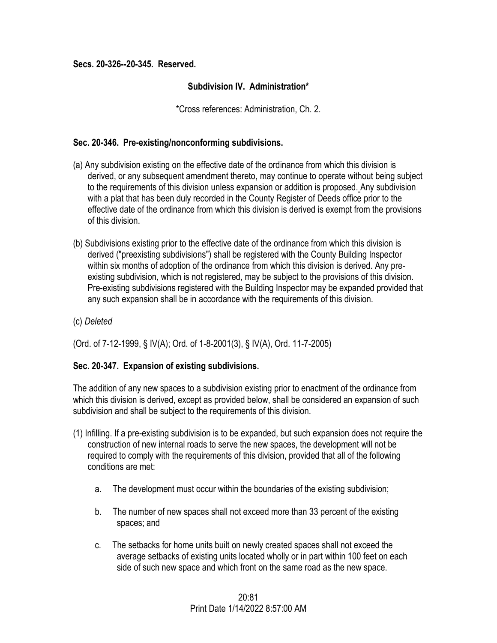#### **Secs. 20-326--20-345. Reserved.**

## **Subdivision IV. Administration\***

\*Cross references: Administration, Ch. 2.

#### **Sec. 20-346. Pre-existing/nonconforming subdivisions.**

- (a) Any subdivision existing on the effective date of the ordinance from which this division is derived, or any subsequent amendment thereto, may continue to operate without being subject to the requirements of this division unless expansion or addition is proposed. Any subdivision with a plat that has been duly recorded in the County Register of Deeds office prior to the effective date of the ordinance from which this division is derived is exempt from the provisions of this division.
- (b) Subdivisions existing prior to the effective date of the ordinance from which this division is derived ("preexisting subdivisions") shall be registered with the County Building Inspector within six months of adoption of the ordinance from which this division is derived. Any preexisting subdivision, which is not registered, may be subject to the provisions of this division. Pre-existing subdivisions registered with the Building Inspector may be expanded provided that any such expansion shall be in accordance with the requirements of this division.
- (c) *Deleted*

(Ord. of 7-12-1999, § IV(A); Ord. of 1-8-2001(3), § IV(A), Ord. 11-7-2005)

## **Sec. 20-347. Expansion of existing subdivisions.**

The addition of any new spaces to a subdivision existing prior to enactment of the ordinance from which this division is derived, except as provided below, shall be considered an expansion of such subdivision and shall be subject to the requirements of this division.

- (1) Infilling. If a pre-existing subdivision is to be expanded, but such expansion does not require the construction of new internal roads to serve the new spaces, the development will not be required to comply with the requirements of this division, provided that all of the following conditions are met:
	- a. The development must occur within the boundaries of the existing subdivision;
	- b. The number of new spaces shall not exceed more than 33 percent of the existing spaces; and
	- c. The setbacks for home units built on newly created spaces shall not exceed the average setbacks of existing units located wholly or in part within 100 feet on each side of such new space and which front on the same road as the new space.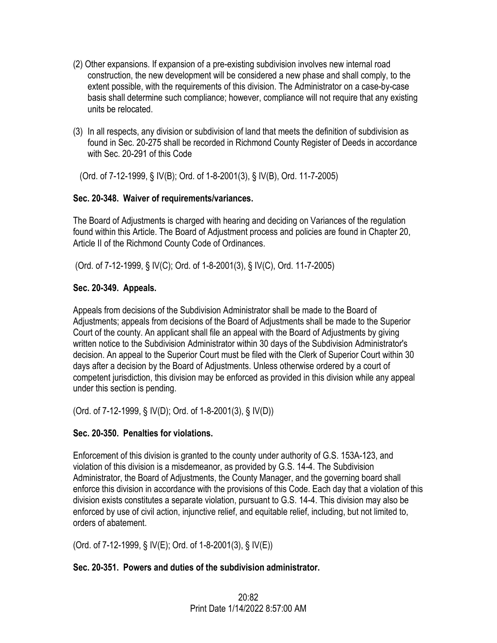- (2) Other expansions. If expansion of a pre-existing subdivision involves new internal road construction, the new development will be considered a new phase and shall comply, to the extent possible, with the requirements of this division. The Administrator on a case-by-case basis shall determine such compliance; however, compliance will not require that any existing units be relocated.
- (3) In all respects, any division or subdivision of land that meets the definition of subdivision as found in Sec. 20-275 shall be recorded in Richmond County Register of Deeds in accordance with Sec. 20-291 of this Code

(Ord. of 7-12-1999, § IV(B); Ord. of 1-8-2001(3), § IV(B), Ord. 11-7-2005)

# **Sec. 20-348. Waiver of requirements/variances.**

The Board of Adjustments is charged with hearing and deciding on Variances of the regulation found within this Article. The Board of Adjustment process and policies are found in Chapter 20, Article II of the Richmond County Code of Ordinances.

(Ord. of 7-12-1999, § IV(C); Ord. of 1-8-2001(3), § IV(C), Ord. 11-7-2005)

# **Sec. 20-349. Appeals.**

Appeals from decisions of the Subdivision Administrator shall be made to the Board of Adjustments; appeals from decisions of the Board of Adjustments shall be made to the Superior Court of the county. An applicant shall file an appeal with the Board of Adjustments by giving written notice to the Subdivision Administrator within 30 days of the Subdivision Administrator's decision. An appeal to the Superior Court must be filed with the Clerk of Superior Court within 30 days after a decision by the Board of Adjustments. Unless otherwise ordered by a court of competent jurisdiction, this division may be enforced as provided in this division while any appeal under this section is pending.

(Ord. of 7-12-1999, § IV(D); Ord. of 1-8-2001(3), § IV(D))

# **Sec. 20-350. Penalties for violations.**

Enforcement of this division is granted to the county under authority of G.S. 153A-123, and violation of this division is a misdemeanor, as provided by G.S. 14-4. The Subdivision Administrator, the Board of Adjustments, the County Manager, and the governing board shall enforce this division in accordance with the provisions of this Code. Each day that a violation of this division exists constitutes a separate violation, pursuant to G.S. 14-4. This division may also be enforced by use of civil action, injunctive relief, and equitable relief, including, but not limited to, orders of abatement.

(Ord. of 7-12-1999, § IV(E); Ord. of 1-8-2001(3), § IV(E))

# **Sec. 20-351. Powers and duties of the subdivision administrator.**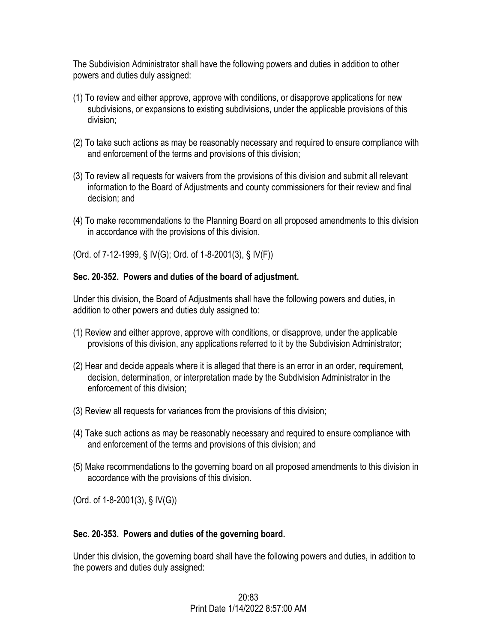The Subdivision Administrator shall have the following powers and duties in addition to other powers and duties duly assigned:

- (1) To review and either approve, approve with conditions, or disapprove applications for new subdivisions, or expansions to existing subdivisions, under the applicable provisions of this division;
- (2) To take such actions as may be reasonably necessary and required to ensure compliance with and enforcement of the terms and provisions of this division;
- (3) To review all requests for waivers from the provisions of this division and submit all relevant information to the Board of Adjustments and county commissioners for their review and final decision; and
- (4) To make recommendations to the Planning Board on all proposed amendments to this division in accordance with the provisions of this division.

(Ord. of 7-12-1999, § IV(G); Ord. of 1-8-2001(3), § IV(F))

## **Sec. 20-352. Powers and duties of the board of adjustment.**

Under this division, the Board of Adjustments shall have the following powers and duties, in addition to other powers and duties duly assigned to:

- (1) Review and either approve, approve with conditions, or disapprove, under the applicable provisions of this division, any applications referred to it by the Subdivision Administrator;
- (2) Hear and decide appeals where it is alleged that there is an error in an order, requirement, decision, determination, or interpretation made by the Subdivision Administrator in the enforcement of this division;
- (3) Review all requests for variances from the provisions of this division;
- (4) Take such actions as may be reasonably necessary and required to ensure compliance with and enforcement of the terms and provisions of this division; and
- (5) Make recommendations to the governing board on all proposed amendments to this division in accordance with the provisions of this division.

(Ord. of 1-8-2001(3), § IV(G))

## **Sec. 20-353. Powers and duties of the governing board.**

Under this division, the governing board shall have the following powers and duties, in addition to the powers and duties duly assigned: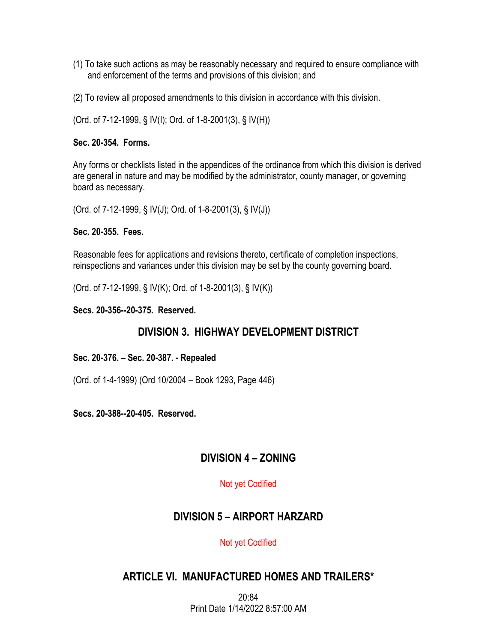- (1) To take such actions as may be reasonably necessary and required to ensure compliance with and enforcement of the terms and provisions of this division; and
- (2) To review all proposed amendments to this division in accordance with this division.

(Ord. of 7-12-1999, § IV(I); Ord. of 1-8-2001(3), § IV(H))

#### **Sec. 20-354. Forms.**

Any forms or checklists listed in the appendices of the ordinance from which this division is derived are general in nature and may be modified by the administrator, county manager, or governing board as necessary.

(Ord. of 7-12-1999, § IV(J); Ord. of 1-8-2001(3), § IV(J))

#### **Sec. 20-355. Fees.**

Reasonable fees for applications and revisions thereto, certificate of completion inspections, reinspections and variances under this division may be set by the county governing board.

(Ord. of 7-12-1999, § IV(K); Ord. of 1-8-2001(3), § IV(K))

**Secs. 20-356--20-375. Reserved.** 

# **DIVISION 3. HIGHWAY DEVELOPMENT DISTRICT**

**Sec. 20-376. – Sec. 20-387. - Repealed** 

(Ord. of 1-4-1999) (Ord 10/2004 – Book 1293, Page 446)

**Secs. 20-388--20-405. Reserved.** 

# **DIVISION 4 – ZONING**

## Not yet Codified

# **DIVISION 5 – AIRPORT HARZARD**

## Not yet Codified

# **ARTICLE VI. MANUFACTURED HOMES AND TRAILERS\***

20:84 Print Date 1/14/2022 8:57:00 AM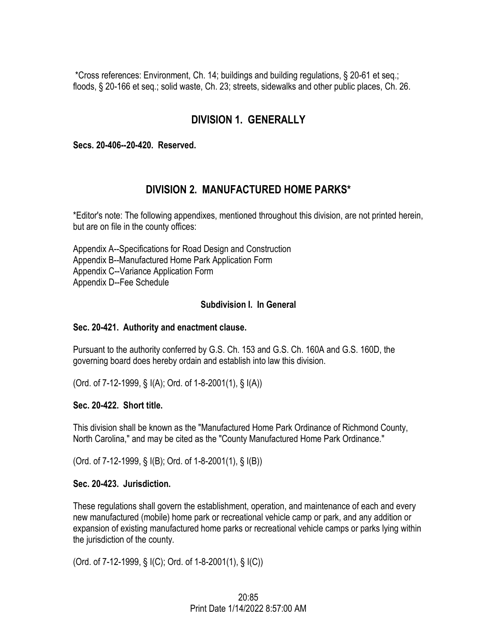\*Cross references: Environment, Ch. 14; buildings and building regulations, § 20-61 et seq.; floods, § 20-166 et seq.; solid waste, Ch. 23; streets, sidewalks and other public places, Ch. 26.

# **DIVISION 1. GENERALLY**

**Secs. 20-406--20-420. Reserved.** 

# **DIVISION 2. MANUFACTURED HOME PARKS\***

\*Editor's note: The following appendixes, mentioned throughout this division, are not printed herein, but are on file in the county offices:

Appendix A--Specifications for Road Design and Construction Appendix B--Manufactured Home Park Application Form Appendix C--Variance Application Form Appendix D--Fee Schedule

#### **Subdivision I. In General**

#### **Sec. 20-421. Authority and enactment clause.**

Pursuant to the authority conferred by G.S. Ch. 153 and G.S. Ch. 160A and G.S. 160D, the governing board does hereby ordain and establish into law this division.

(Ord. of 7-12-1999, § I(A); Ord. of 1-8-2001(1), § I(A))

#### **Sec. 20-422. Short title.**

This division shall be known as the "Manufactured Home Park Ordinance of Richmond County, North Carolina," and may be cited as the "County Manufactured Home Park Ordinance."

(Ord. of 7-12-1999, § I(B); Ord. of 1-8-2001(1), § I(B))

#### **Sec. 20-423. Jurisdiction.**

These regulations shall govern the establishment, operation, and maintenance of each and every new manufactured (mobile) home park or recreational vehicle camp or park, and any addition or expansion of existing manufactured home parks or recreational vehicle camps or parks lying within the jurisdiction of the county.

(Ord. of 7-12-1999, § I(C); Ord. of 1-8-2001(1), § I(C))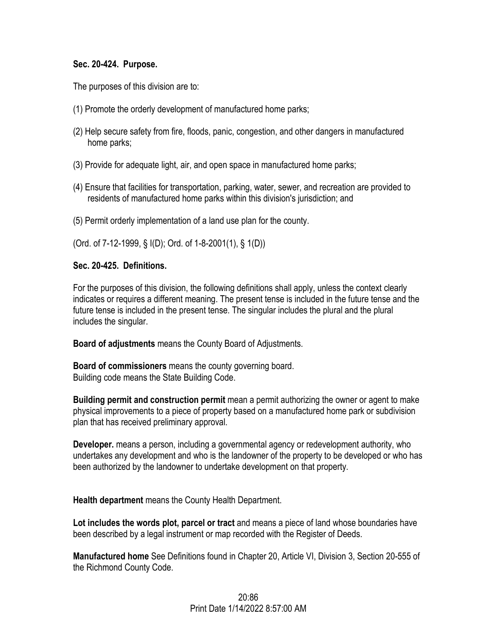#### **Sec. 20-424. Purpose.**

The purposes of this division are to:

- (1) Promote the orderly development of manufactured home parks;
- (2) Help secure safety from fire, floods, panic, congestion, and other dangers in manufactured home parks;
- (3) Provide for adequate light, air, and open space in manufactured home parks;
- (4) Ensure that facilities for transportation, parking, water, sewer, and recreation are provided to residents of manufactured home parks within this division's jurisdiction; and
- (5) Permit orderly implementation of a land use plan for the county.

(Ord. of 7-12-1999, § I(D); Ord. of 1-8-2001(1), § 1(D))

#### **Sec. 20-425. Definitions.**

For the purposes of this division, the following definitions shall apply, unless the context clearly indicates or requires a different meaning. The present tense is included in the future tense and the future tense is included in the present tense. The singular includes the plural and the plural includes the singular.

**Board of adjustments** means the County Board of Adjustments.

**Board of commissioners** means the county governing board. Building code means the State Building Code.

**Building permit and construction permit** mean a permit authorizing the owner or agent to make physical improvements to a piece of property based on a manufactured home park or subdivision plan that has received preliminary approval.

**Developer.** means a person, including a governmental agency or redevelopment authority, who undertakes any development and who is the landowner of the property to be developed or who has been authorized by the landowner to undertake development on that property.

**Health department** means the County Health Department.

**Lot includes the words plot, parcel or tract** and means a piece of land whose boundaries have been described by a legal instrument or map recorded with the Register of Deeds.

**Manufactured home** See Definitions found in Chapter 20, Article VI, Division 3, Section 20-555 of the Richmond County Code.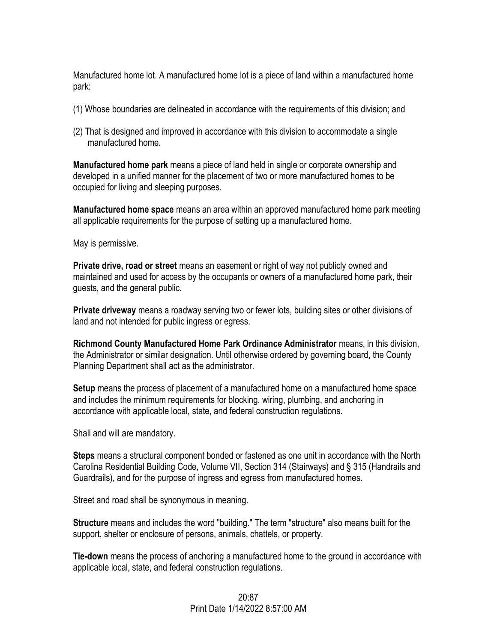Manufactured home lot. A manufactured home lot is a piece of land within a manufactured home park:

- (1) Whose boundaries are delineated in accordance with the requirements of this division; and
- (2) That is designed and improved in accordance with this division to accommodate a single manufactured home.

**Manufactured home park** means a piece of land held in single or corporate ownership and developed in a unified manner for the placement of two or more manufactured homes to be occupied for living and sleeping purposes.

**Manufactured home space** means an area within an approved manufactured home park meeting all applicable requirements for the purpose of setting up a manufactured home.

May is permissive.

**Private drive, road or street** means an easement or right of way not publicly owned and maintained and used for access by the occupants or owners of a manufactured home park, their guests, and the general public.

**Private driveway** means a roadway serving two or fewer lots, building sites or other divisions of land and not intended for public ingress or egress.

**Richmond County Manufactured Home Park Ordinance Administrator** means, in this division, the Administrator or similar designation. Until otherwise ordered by governing board, the County Planning Department shall act as the administrator.

**Setup** means the process of placement of a manufactured home on a manufactured home space and includes the minimum requirements for blocking, wiring, plumbing, and anchoring in accordance with applicable local, state, and federal construction regulations.

Shall and will are mandatory.

**Steps** means a structural component bonded or fastened as one unit in accordance with the North Carolina Residential Building Code, Volume VII, Section 314 (Stairways) and § 315 (Handrails and Guardrails), and for the purpose of ingress and egress from manufactured homes.

Street and road shall be synonymous in meaning.

**Structure** means and includes the word "building." The term "structure" also means built for the support, shelter or enclosure of persons, animals, chattels, or property.

**Tie-down** means the process of anchoring a manufactured home to the ground in accordance with applicable local, state, and federal construction regulations.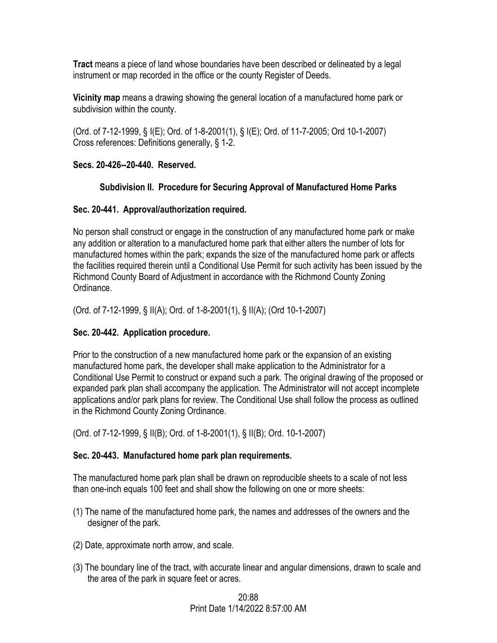**Tract** means a piece of land whose boundaries have been described or delineated by a legal instrument or map recorded in the office or the county Register of Deeds.

**Vicinity map** means a drawing showing the general location of a manufactured home park or subdivision within the county.

(Ord. of 7-12-1999, § I(E); Ord. of 1-8-2001(1), § I(E); Ord. of 11-7-2005; Ord 10-1-2007) Cross references: Definitions generally, § 1-2.

## **Secs. 20-426--20-440. Reserved.**

## **Subdivision II. Procedure for Securing Approval of Manufactured Home Parks**

## **Sec. 20-441. Approval/authorization required.**

No person shall construct or engage in the construction of any manufactured home park or make any addition or alteration to a manufactured home park that either alters the number of lots for manufactured homes within the park; expands the size of the manufactured home park or affects the facilities required therein until a Conditional Use Permit for such activity has been issued by the Richmond County Board of Adjustment in accordance with the Richmond County Zoning Ordinance.

(Ord. of 7-12-1999, § II(A); Ord. of 1-8-2001(1), § II(A); (Ord 10-1-2007)

# **Sec. 20-442. Application procedure.**

Prior to the construction of a new manufactured home park or the expansion of an existing manufactured home park, the developer shall make application to the Administrator for a Conditional Use Permit to construct or expand such a park. The original drawing of the proposed or expanded park plan shall accompany the application. The Administrator will not accept incomplete applications and/or park plans for review. The Conditional Use shall follow the process as outlined in the Richmond County Zoning Ordinance.

(Ord. of 7-12-1999, § II(B); Ord. of 1-8-2001(1), § II(B); Ord. 10-1-2007)

# **Sec. 20-443. Manufactured home park plan requirements.**

The manufactured home park plan shall be drawn on reproducible sheets to a scale of not less than one-inch equals 100 feet and shall show the following on one or more sheets:

- (1) The name of the manufactured home park, the names and addresses of the owners and the designer of the park.
- (2) Date, approximate north arrow, and scale.
- (3) The boundary line of the tract, with accurate linear and angular dimensions, drawn to scale and the area of the park in square feet or acres.

## 20:88 Print Date 1/14/2022 8:57:00 AM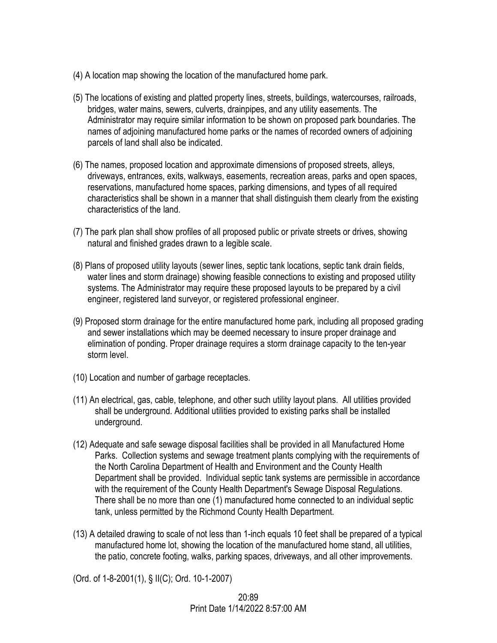- (4) A location map showing the location of the manufactured home park.
- (5) The locations of existing and platted property lines, streets, buildings, watercourses, railroads, bridges, water mains, sewers, culverts, drainpipes, and any utility easements. The Administrator may require similar information to be shown on proposed park boundaries. The names of adjoining manufactured home parks or the names of recorded owners of adjoining parcels of land shall also be indicated.
- (6) The names, proposed location and approximate dimensions of proposed streets, alleys, driveways, entrances, exits, walkways, easements, recreation areas, parks and open spaces, reservations, manufactured home spaces, parking dimensions, and types of all required characteristics shall be shown in a manner that shall distinguish them clearly from the existing characteristics of the land.
- (7) The park plan shall show profiles of all proposed public or private streets or drives, showing natural and finished grades drawn to a legible scale.
- (8) Plans of proposed utility layouts (sewer lines, septic tank locations, septic tank drain fields, water lines and storm drainage) showing feasible connections to existing and proposed utility systems. The Administrator may require these proposed layouts to be prepared by a civil engineer, registered land surveyor, or registered professional engineer.
- (9) Proposed storm drainage for the entire manufactured home park, including all proposed grading and sewer installations which may be deemed necessary to insure proper drainage and elimination of ponding. Proper drainage requires a storm drainage capacity to the ten-year storm level.
- (10) Location and number of garbage receptacles.
- (11) An electrical, gas, cable, telephone, and other such utility layout plans. All utilities provided shall be underground. Additional utilities provided to existing parks shall be installed underground.
- (12) Adequate and safe sewage disposal facilities shall be provided in all Manufactured Home Parks. Collection systems and sewage treatment plants complying with the requirements of the North Carolina Department of Health and Environment and the County Health Department shall be provided. Individual septic tank systems are permissible in accordance with the requirement of the County Health Department's Sewage Disposal Regulations. There shall be no more than one (1) manufactured home connected to an individual septic tank, unless permitted by the Richmond County Health Department.
- (13) A detailed drawing to scale of not less than 1-inch equals 10 feet shall be prepared of a typical manufactured home lot, showing the location of the manufactured home stand, all utilities, the patio, concrete footing, walks, parking spaces, driveways, and all other improvements.

(Ord. of 1-8-2001(1), § II(C); Ord. 10-1-2007)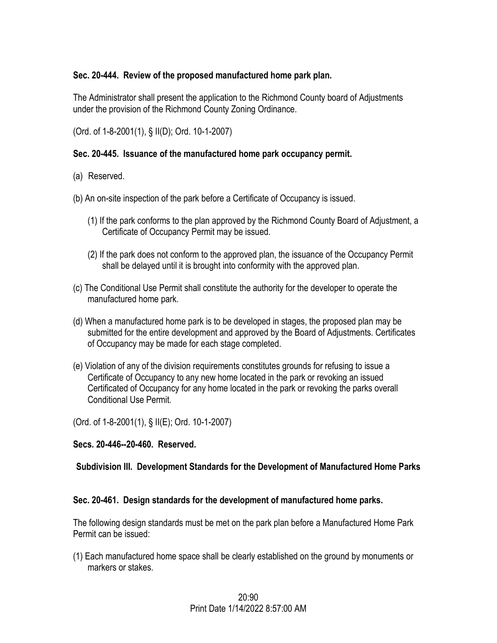## **Sec. 20-444. Review of the proposed manufactured home park plan.**

The Administrator shall present the application to the Richmond County board of Adjustments under the provision of the Richmond County Zoning Ordinance.

(Ord. of 1-8-2001(1), § II(D); Ord. 10-1-2007)

## **Sec. 20-445. Issuance of the manufactured home park occupancy permit.**

- (a) Reserved.
- (b) An on-site inspection of the park before a Certificate of Occupancy is issued.
	- (1) If the park conforms to the plan approved by the Richmond County Board of Adjustment, a Certificate of Occupancy Permit may be issued.
	- (2) If the park does not conform to the approved plan, the issuance of the Occupancy Permit shall be delayed until it is brought into conformity with the approved plan.
- (c) The Conditional Use Permit shall constitute the authority for the developer to operate the manufactured home park.
- (d) When a manufactured home park is to be developed in stages, the proposed plan may be submitted for the entire development and approved by the Board of Adjustments. Certificates of Occupancy may be made for each stage completed.
- (e) Violation of any of the division requirements constitutes grounds for refusing to issue a Certificate of Occupancy to any new home located in the park or revoking an issued Certificated of Occupancy for any home located in the park or revoking the parks overall Conditional Use Permit.

(Ord. of 1-8-2001(1), § II(E); Ord. 10-1-2007)

## **Secs. 20-446--20-460. Reserved.**

## **Subdivision III. Development Standards for the Development of Manufactured Home Parks**

## **Sec. 20-461. Design standards for the development of manufactured home parks.**

The following design standards must be met on the park plan before a Manufactured Home Park Permit can be issued:

(1) Each manufactured home space shall be clearly established on the ground by monuments or markers or stakes.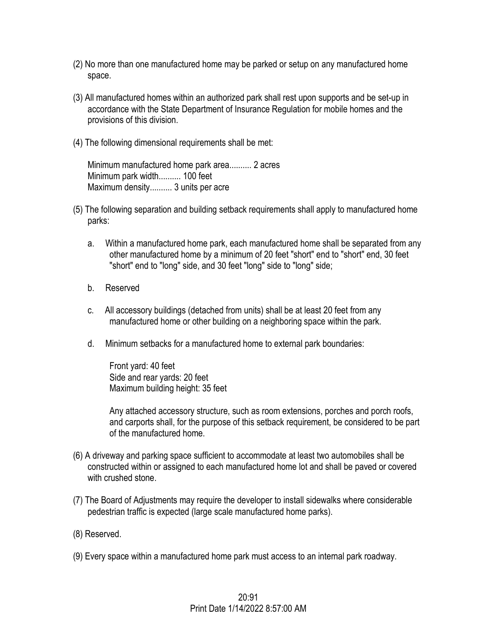- (2) No more than one manufactured home may be parked or setup on any manufactured home space.
- (3) All manufactured homes within an authorized park shall rest upon supports and be set-up in accordance with the State Department of Insurance Regulation for mobile homes and the provisions of this division.
- (4) The following dimensional requirements shall be met:

Minimum manufactured home park area.......... 2 acres Minimum park width.......... 100 feet Maximum density.......... 3 units per acre

- (5) The following separation and building setback requirements shall apply to manufactured home parks:
	- a. Within a manufactured home park, each manufactured home shall be separated from any other manufactured home by a minimum of 20 feet "short" end to "short" end, 30 feet "short" end to "long" side, and 30 feet "long" side to "long" side;
	- b. Reserved
	- c. All accessory buildings (detached from units) shall be at least 20 feet from any manufactured home or other building on a neighboring space within the park.
	- d. Minimum setbacks for a manufactured home to external park boundaries:

Front yard: 40 feet Side and rear yards: 20 feet Maximum building height: 35 feet

Any attached accessory structure, such as room extensions, porches and porch roofs, and carports shall, for the purpose of this setback requirement, be considered to be part of the manufactured home.

- (6) A driveway and parking space sufficient to accommodate at least two automobiles shall be constructed within or assigned to each manufactured home lot and shall be paved or covered with crushed stone.
- (7) The Board of Adjustments may require the developer to install sidewalks where considerable pedestrian traffic is expected (large scale manufactured home parks).
- (8) Reserved.
- (9) Every space within a manufactured home park must access to an internal park roadway.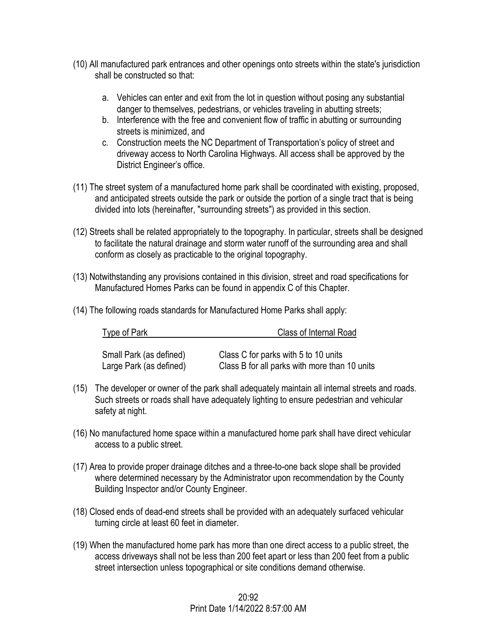- (10) All manufactured park entrances and other openings onto streets within the state's jurisdiction shall be constructed so that:
	- a. Vehicles can enter and exit from the lot in question without posing any substantial danger to themselves, pedestrians, or vehicles traveling in abutting streets;
	- b. Interference with the free and convenient flow of traffic in abutting or surrounding streets is minimized, and
	- c. Construction meets the NC Department of Transportation's policy of street and driveway access to North Carolina Highways. All access shall be approved by the District Engineer's office.
- (11) The street system of a manufactured home park shall be coordinated with existing, proposed, and anticipated streets outside the park or outside the portion of a single tract that is being divided into lots (hereinafter, "surrounding streets") as provided in this section.
- (12) Streets shall be related appropriately to the topography. In particular, streets shall be designed to facilitate the natural drainage and storm water runoff of the surrounding area and shall conform as closely as practicable to the original topography.
- (13) Notwithstanding any provisions contained in this division, street and road specifications for Manufactured Homes Parks can be found in appendix C of this Chapter.
- (14) The following roads standards for Manufactured Home Parks shall apply:

| Type of Park            | Class of Internal Road                        |
|-------------------------|-----------------------------------------------|
|                         |                                               |
| Small Park (as defined) | Class C for parks with 5 to 10 units          |
| Large Park (as defined) | Class B for all parks with more than 10 units |

- (15) The developer or owner of the park shall adequately maintain all internal streets and roads. Such streets or roads shall have adequately lighting to ensure pedestrian and vehicular safety at night.
- (16) No manufactured home space within a manufactured home park shall have direct vehicular access to a public street.
- (17) Area to provide proper drainage ditches and a three-to-one back slope shall be provided where determined necessary by the Administrator upon recommendation by the County Building Inspector and/or County Engineer.
- (18) Closed ends of dead-end streets shall be provided with an adequately surfaced vehicular turning circle at least 60 feet in diameter.
- (19) When the manufactured home park has more than one direct access to a public street, the access driveways shall not be less than 200 feet apart or less than 200 feet from a public street intersection unless topographical or site conditions demand otherwise.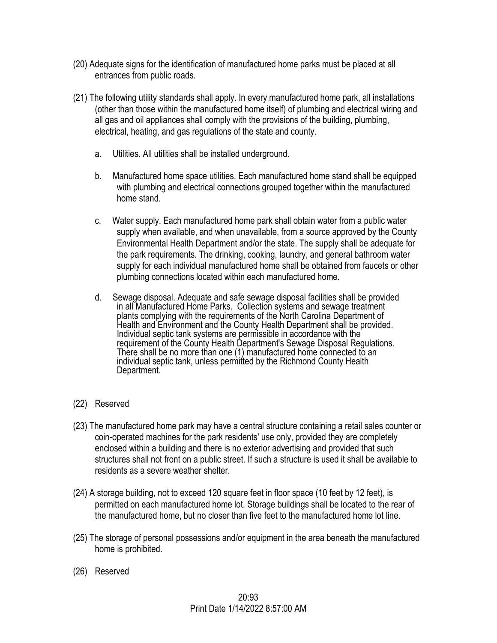- (20) Adequate signs for the identification of manufactured home parks must be placed at all entrances from public roads.
- (21) The following utility standards shall apply. In every manufactured home park, all installations (other than those within the manufactured home itself) of plumbing and electrical wiring and all gas and oil appliances shall comply with the provisions of the building, plumbing, electrical, heating, and gas regulations of the state and county.
	- a. Utilities. All utilities shall be installed underground.
	- b. Manufactured home space utilities. Each manufactured home stand shall be equipped with plumbing and electrical connections grouped together within the manufactured home stand.
	- c. Water supply. Each manufactured home park shall obtain water from a public water supply when available, and when unavailable, from a source approved by the County Environmental Health Department and/or the state. The supply shall be adequate for the park requirements. The drinking, cooking, laundry, and general bathroom water supply for each individual manufactured home shall be obtained from faucets or other plumbing connections located within each manufactured home.
	- d. Sewage disposal. Adequate and safe sewage disposal facilities shall be provided in all Manufactured Home Parks. Collection systems and sewage treatment plants complying with the requirements of the North Carolina Department of Health and Environment and the County Health Department shall be provided. Individual septic tank systems are permissible in accordance with the requirement of the County Health Department's Sewage Disposal Regulations. There shall be no more than one (1) manufactured home connected to an individual septic tank, unless permitted by the Richmond County Health Department.
- (22) Reserved
- (23) The manufactured home park may have a central structure containing a retail sales counter or coin-operated machines for the park residents' use only, provided they are completely enclosed within a building and there is no exterior advertising and provided that such structures shall not front on a public street. If such a structure is used it shall be available to residents as a severe weather shelter.
- (24) A storage building, not to exceed 120 square feet in floor space (10 feet by 12 feet), is permitted on each manufactured home lot. Storage buildings shall be located to the rear of the manufactured home, but no closer than five feet to the manufactured home lot line.
- (25) The storage of personal possessions and/or equipment in the area beneath the manufactured home is prohibited.
- (26) Reserved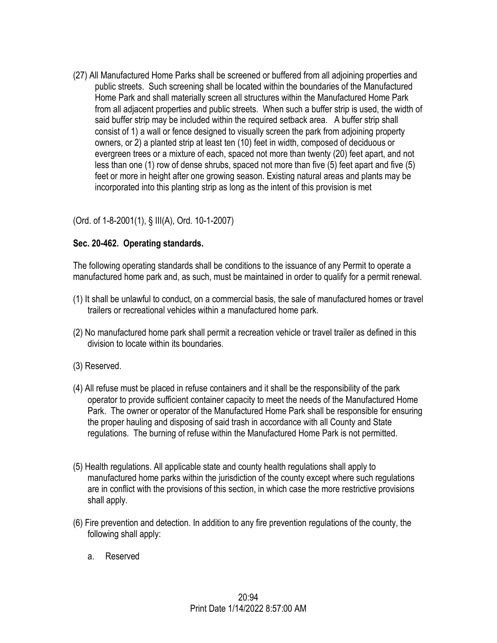(27) All Manufactured Home Parks shall be screened or buffered from all adjoining properties and public streets. Such screening shall be located within the boundaries of the Manufactured Home Park and shall materially screen all structures within the Manufactured Home Park from all adjacent properties and public streets. When such a buffer strip is used, the width of said buffer strip may be included within the required setback area. A buffer strip shall consist of 1) a wall or fence designed to visually screen the park from adjoining property owners, or 2) a planted strip at least ten (10) feet in width, composed of deciduous or evergreen trees or a mixture of each, spaced not more than twenty (20) feet apart, and not less than one (1) row of dense shrubs, spaced not more than five (5) feet apart and five (5) feet or more in height after one growing season. Existing natural areas and plants may be incorporated into this planting strip as long as the intent of this provision is met

# (Ord. of 1-8-2001(1), § III(A), Ord. 10-1-2007)

#### **Sec. 20-462. Operating standards.**

The following operating standards shall be conditions to the issuance of any Permit to operate a manufactured home park and, as such, must be maintained in order to qualify for a permit renewal.

- (1) It shall be unlawful to conduct, on a commercial basis, the sale of manufactured homes or travel trailers or recreational vehicles within a manufactured home park.
- (2) No manufactured home park shall permit a recreation vehicle or travel trailer as defined in this division to locate within its boundaries.
- (3) Reserved.
- (4) All refuse must be placed in refuse containers and it shall be the responsibility of the park operator to provide sufficient container capacity to meet the needs of the Manufactured Home Park. The owner or operator of the Manufactured Home Park shall be responsible for ensuring the proper hauling and disposing of said trash in accordance with all County and State regulations. The burning of refuse within the Manufactured Home Park is not permitted.
- (5) Health regulations. All applicable state and county health regulations shall apply to manufactured home parks within the jurisdiction of the county except where such regulations are in conflict with the provisions of this section, in which case the more restrictive provisions shall apply.
- (6) Fire prevention and detection. In addition to any fire prevention regulations of the county, the following shall apply:
	- a. Reserved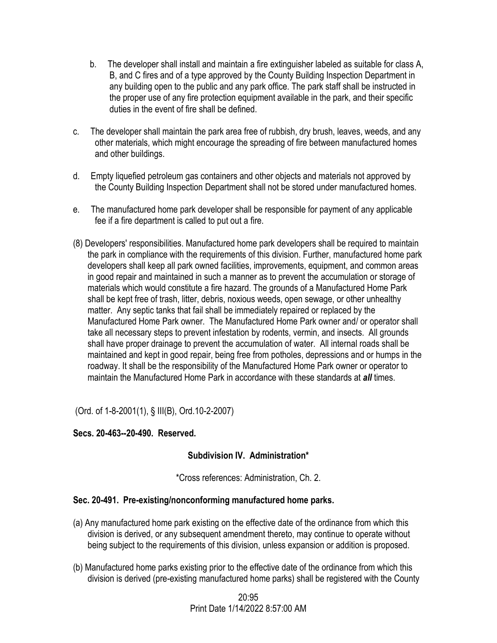- b. The developer shall install and maintain a fire extinguisher labeled as suitable for class A, B, and C fires and of a type approved by the County Building Inspection Department in any building open to the public and any park office. The park staff shall be instructed in the proper use of any fire protection equipment available in the park, and their specific duties in the event of fire shall be defined.
- c. The developer shall maintain the park area free of rubbish, dry brush, leaves, weeds, and any other materials, which might encourage the spreading of fire between manufactured homes and other buildings.
- d. Empty liquefied petroleum gas containers and other objects and materials not approved by the County Building Inspection Department shall not be stored under manufactured homes.
- e. The manufactured home park developer shall be responsible for payment of any applicable fee if a fire department is called to put out a fire.
- (8) Developers' responsibilities. Manufactured home park developers shall be required to maintain the park in compliance with the requirements of this division. Further, manufactured home park developers shall keep all park owned facilities, improvements, equipment, and common areas in good repair and maintained in such a manner as to prevent the accumulation or storage of materials which would constitute a fire hazard. The grounds of a Manufactured Home Park shall be kept free of trash, litter, debris, noxious weeds, open sewage, or other unhealthy matter. Any septic tanks that fail shall be immediately repaired or replaced by the Manufactured Home Park owner. The Manufactured Home Park owner and/ or operator shall take all necessary steps to prevent infestation by rodents, vermin, and insects. All grounds shall have proper drainage to prevent the accumulation of water. All internal roads shall be maintained and kept in good repair, being free from potholes, depressions and or humps in the roadway. It shall be the responsibility of the Manufactured Home Park owner or operator to maintain the Manufactured Home Park in accordance with these standards at *all* times.

(Ord. of 1-8-2001(1), § III(B), Ord.10-2-2007)

## **Secs. 20-463--20-490. Reserved.**

## **Subdivision IV. Administration\***

\*Cross references: Administration, Ch. 2.

## **Sec. 20-491. Pre-existing/nonconforming manufactured home parks.**

- (a) Any manufactured home park existing on the effective date of the ordinance from which this division is derived, or any subsequent amendment thereto, may continue to operate without being subject to the requirements of this division, unless expansion or addition is proposed.
- (b) Manufactured home parks existing prior to the effective date of the ordinance from which this division is derived (pre-existing manufactured home parks) shall be registered with the County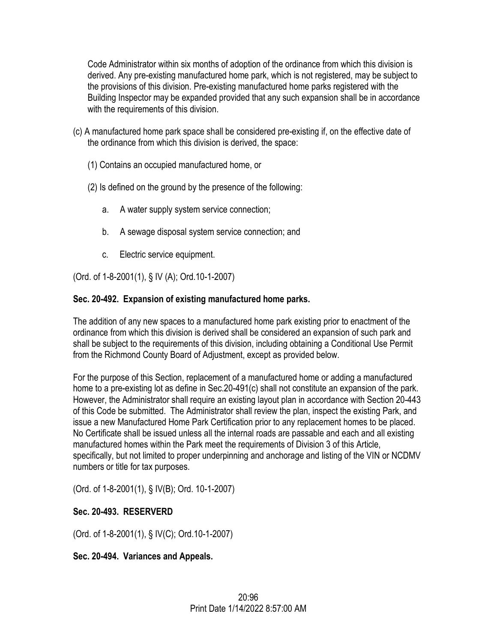Code Administrator within six months of adoption of the ordinance from which this division is derived. Any pre-existing manufactured home park, which is not registered, may be subject to the provisions of this division. Pre-existing manufactured home parks registered with the Building Inspector may be expanded provided that any such expansion shall be in accordance with the requirements of this division.

- (c) A manufactured home park space shall be considered pre-existing if, on the effective date of the ordinance from which this division is derived, the space:
	- (1) Contains an occupied manufactured home, or
	- (2) Is defined on the ground by the presence of the following:
		- a. A water supply system service connection;
		- b. A sewage disposal system service connection; and
		- c. Electric service equipment.

(Ord. of 1-8-2001(1), § IV (A); Ord.10-1-2007)

# **Sec. 20-492. Expansion of existing manufactured home parks.**

The addition of any new spaces to a manufactured home park existing prior to enactment of the ordinance from which this division is derived shall be considered an expansion of such park and shall be subject to the requirements of this division, including obtaining a Conditional Use Permit from the Richmond County Board of Adjustment, except as provided below.

For the purpose of this Section, replacement of a manufactured home or adding a manufactured home to a pre-existing lot as define in Sec.20-491(c) shall not constitute an expansion of the park. However, the Administrator shall require an existing layout plan in accordance with Section 20-443 of this Code be submitted. The Administrator shall review the plan, inspect the existing Park, and issue a new Manufactured Home Park Certification prior to any replacement homes to be placed. No Certificate shall be issued unless all the internal roads are passable and each and all existing manufactured homes within the Park meet the requirements of Division 3 of this Article, specifically, but not limited to proper underpinning and anchorage and listing of the VIN or NCDMV numbers or title for tax purposes.

(Ord. of 1-8-2001(1), § IV(B); Ord. 10-1-2007)

# **Sec. 20-493. RESERVERD**

(Ord. of 1-8-2001(1), § IV(C); Ord.10-1-2007)

**Sec. 20-494. Variances and Appeals.**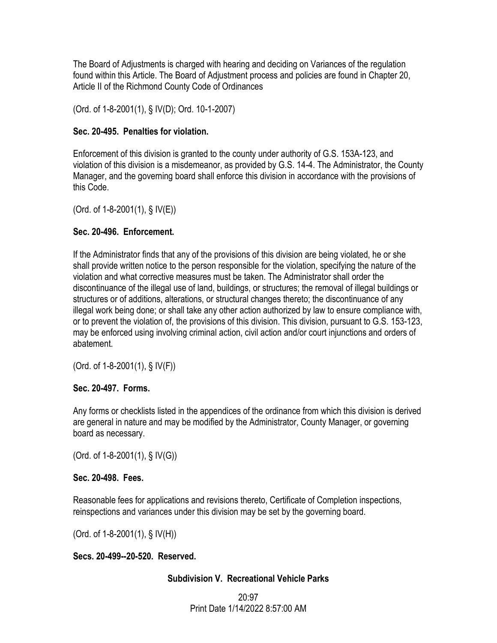The Board of Adjustments is charged with hearing and deciding on Variances of the regulation found within this Article. The Board of Adjustment process and policies are found in Chapter 20, Article II of the Richmond County Code of Ordinances

(Ord. of 1-8-2001(1), § IV(D); Ord. 10-1-2007)

## **Sec. 20-495. Penalties for violation.**

Enforcement of this division is granted to the county under authority of G.S. 153A-123, and violation of this division is a misdemeanor, as provided by G.S. 14-4. The Administrator, the County Manager, and the governing board shall enforce this division in accordance with the provisions of this Code.

(Ord. of 1-8-2001(1), § IV(E))

# **Sec. 20-496. Enforcement.**

If the Administrator finds that any of the provisions of this division are being violated, he or she shall provide written notice to the person responsible for the violation, specifying the nature of the violation and what corrective measures must be taken. The Administrator shall order the discontinuance of the illegal use of land, buildings, or structures; the removal of illegal buildings or structures or of additions, alterations, or structural changes thereto; the discontinuance of any illegal work being done; or shall take any other action authorized by law to ensure compliance with, or to prevent the violation of, the provisions of this division. This division, pursuant to G.S. 153-123, may be enforced using involving criminal action, civil action and/or court injunctions and orders of abatement.

(Ord. of 1-8-2001(1), § IV(F))

# **Sec. 20-497. Forms.**

Any forms or checklists listed in the appendices of the ordinance from which this division is derived are general in nature and may be modified by the Administrator, County Manager, or governing board as necessary.

(Ord. of 1-8-2001(1), § IV(G))

## **Sec. 20-498. Fees.**

Reasonable fees for applications and revisions thereto, Certificate of Completion inspections, reinspections and variances under this division may be set by the governing board.

(Ord. of  $1-8-2001(1)$ , § IV(H))

# **Secs. 20-499--20-520. Reserved.**

## **Subdivision V. Recreational Vehicle Parks**

20:97 Print Date 1/14/2022 8:57:00 AM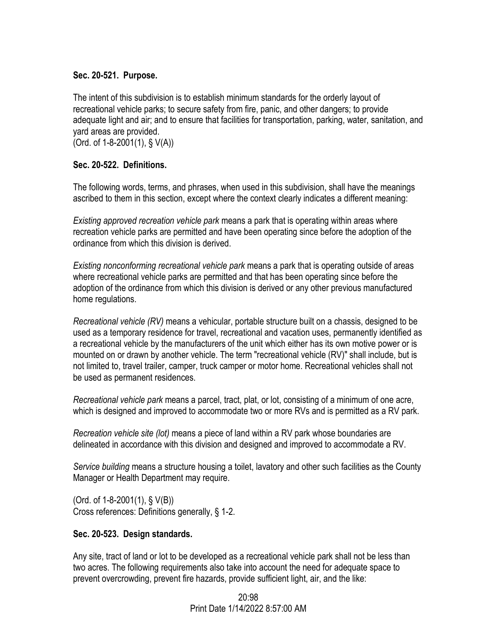## **Sec. 20-521. Purpose.**

The intent of this subdivision is to establish minimum standards for the orderly layout of recreational vehicle parks; to secure safety from fire, panic, and other dangers; to provide adequate light and air; and to ensure that facilities for transportation, parking, water, sanitation, and yard areas are provided.

(Ord. of 1-8-2001(1), § V(A))

## **Sec. 20-522. Definitions.**

The following words, terms, and phrases, when used in this subdivision, shall have the meanings ascribed to them in this section, except where the context clearly indicates a different meaning:

*Existing approved recreation vehicle park* means a park that is operating within areas where recreation vehicle parks are permitted and have been operating since before the adoption of the ordinance from which this division is derived.

*Existing nonconforming recreational vehicle park* means a park that is operating outside of areas where recreational vehicle parks are permitted and that has been operating since before the adoption of the ordinance from which this division is derived or any other previous manufactured home regulations.

*Recreational vehicle (RV)* means a vehicular, portable structure built on a chassis, designed to be used as a temporary residence for travel, recreational and vacation uses, permanently identified as a recreational vehicle by the manufacturers of the unit which either has its own motive power or is mounted on or drawn by another vehicle. The term "recreational vehicle (RV)" shall include, but is not limited to, travel trailer, camper, truck camper or motor home. Recreational vehicles shall not be used as permanent residences.

*Recreational vehicle park* means a parcel, tract, plat, or lot, consisting of a minimum of one acre, which is designed and improved to accommodate two or more RVs and is permitted as a RV park.

*Recreation vehicle site (lot)* means a piece of land within a RV park whose boundaries are delineated in accordance with this division and designed and improved to accommodate a RV.

*Service building* means a structure housing a toilet, lavatory and other such facilities as the County Manager or Health Department may require.

(Ord. of 1-8-2001(1), § V(B)) Cross references: Definitions generally, § 1-2.

## **Sec. 20-523. Design standards.**

Any site, tract of land or lot to be developed as a recreational vehicle park shall not be less than two acres. The following requirements also take into account the need for adequate space to prevent overcrowding, prevent fire hazards, provide sufficient light, air, and the like:

> 20:98 Print Date 1/14/2022 8:57:00 AM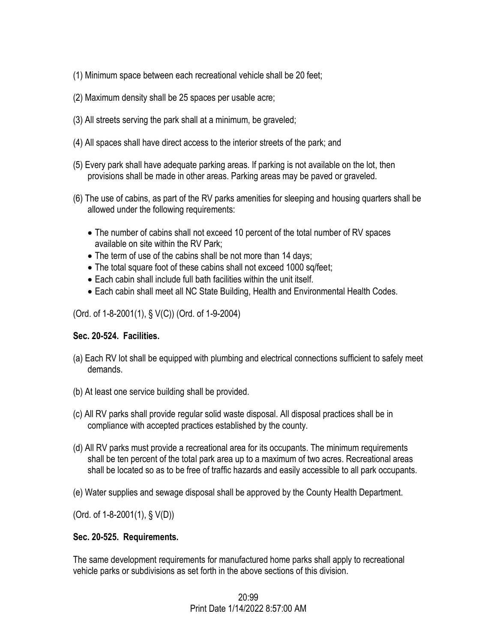- (1) Minimum space between each recreational vehicle shall be 20 feet;
- (2) Maximum density shall be 25 spaces per usable acre;
- (3) All streets serving the park shall at a minimum, be graveled;
- (4) All spaces shall have direct access to the interior streets of the park; and
- (5) Every park shall have adequate parking areas. If parking is not available on the lot, then provisions shall be made in other areas. Parking areas may be paved or graveled.
- (6) The use of cabins, as part of the RV parks amenities for sleeping and housing quarters shall be allowed under the following requirements:
	- The number of cabins shall not exceed 10 percent of the total number of RV spaces available on site within the RV Park;
	- The term of use of the cabins shall be not more than 14 days;
	- The total square foot of these cabins shall not exceed 1000 sq/feet;
	- Each cabin shall include full bath facilities within the unit itself.
	- Each cabin shall meet all NC State Building, Health and Environmental Health Codes.

(Ord. of 1-8-2001(1), § V(C)) (Ord. of 1-9-2004)

## **Sec. 20-524. Facilities.**

- (a) Each RV lot shall be equipped with plumbing and electrical connections sufficient to safely meet demands.
- (b) At least one service building shall be provided.
- (c) All RV parks shall provide regular solid waste disposal. All disposal practices shall be in compliance with accepted practices established by the county.
- (d) All RV parks must provide a recreational area for its occupants. The minimum requirements shall be ten percent of the total park area up to a maximum of two acres. Recreational areas shall be located so as to be free of traffic hazards and easily accessible to all park occupants.
- (e) Water supplies and sewage disposal shall be approved by the County Health Department.

(Ord. of 1-8-2001(1), § V(D))

## **Sec. 20-525. Requirements.**

The same development requirements for manufactured home parks shall apply to recreational vehicle parks or subdivisions as set forth in the above sections of this division.

## 20:99 Print Date 1/14/2022 8:57:00 AM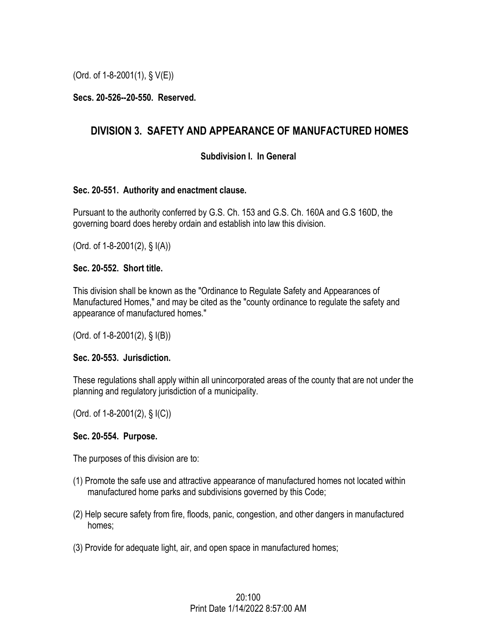(Ord. of 1-8-2001(1), § V(E))

## **Secs. 20-526--20-550. Reserved.**

# **DIVISION 3. SAFETY AND APPEARANCE OF MANUFACTURED HOMES**

#### **Subdivision I. In General**

#### **Sec. 20-551. Authority and enactment clause.**

Pursuant to the authority conferred by G.S. Ch. 153 and G.S. Ch. 160A and G.S 160D, the governing board does hereby ordain and establish into law this division.

(Ord. of 1-8-2001(2), § I(A))

#### **Sec. 20-552. Short title.**

This division shall be known as the "Ordinance to Regulate Safety and Appearances of Manufactured Homes," and may be cited as the "county ordinance to regulate the safety and appearance of manufactured homes."

(Ord. of 1-8-2001(2), § I(B))

#### **Sec. 20-553. Jurisdiction.**

These regulations shall apply within all unincorporated areas of the county that are not under the planning and regulatory jurisdiction of a municipality.

(Ord. of 1-8-2001(2), § I(C))

#### **Sec. 20-554. Purpose.**

The purposes of this division are to:

- (1) Promote the safe use and attractive appearance of manufactured homes not located within manufactured home parks and subdivisions governed by this Code;
- (2) Help secure safety from fire, floods, panic, congestion, and other dangers in manufactured homes;
- (3) Provide for adequate light, air, and open space in manufactured homes;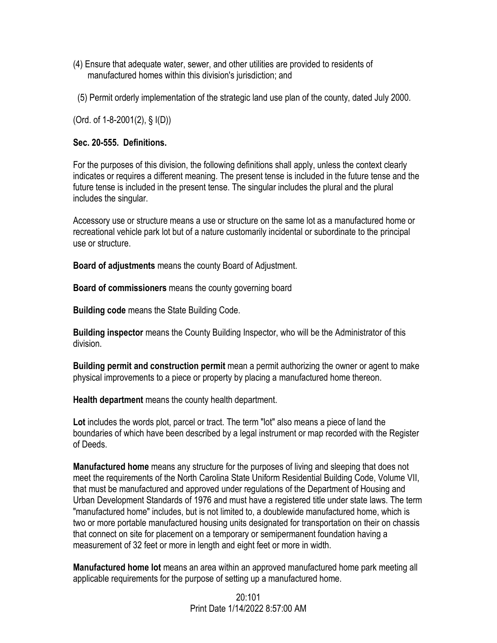- (4) Ensure that adequate water, sewer, and other utilities are provided to residents of manufactured homes within this division's jurisdiction; and
- (5) Permit orderly implementation of the strategic land use plan of the county, dated July 2000.

(Ord. of 1-8-2001(2), § I(D))

#### **Sec. 20-555. Definitions.**

For the purposes of this division, the following definitions shall apply, unless the context clearly indicates or requires a different meaning. The present tense is included in the future tense and the future tense is included in the present tense. The singular includes the plural and the plural includes the singular.

Accessory use or structure means a use or structure on the same lot as a manufactured home or recreational vehicle park lot but of a nature customarily incidental or subordinate to the principal use or structure.

**Board of adjustments** means the county Board of Adjustment.

**Board of commissioners** means the county governing board

**Building code** means the State Building Code.

**Building inspector** means the County Building Inspector, who will be the Administrator of this division.

**Building permit and construction permit** mean a permit authorizing the owner or agent to make physical improvements to a piece or property by placing a manufactured home thereon.

**Health department** means the county health department.

**Lot** includes the words plot, parcel or tract. The term "lot" also means a piece of land the boundaries of which have been described by a legal instrument or map recorded with the Register of Deeds.

**Manufactured home** means any structure for the purposes of living and sleeping that does not meet the requirements of the North Carolina State Uniform Residential Building Code, Volume VII, that must be manufactured and approved under regulations of the Department of Housing and Urban Development Standards of 1976 and must have a registered title under state laws. The term "manufactured home" includes, but is not limited to, a doublewide manufactured home, which is two or more portable manufactured housing units designated for transportation on their on chassis that connect on site for placement on a temporary or semipermanent foundation having a measurement of 32 feet or more in length and eight feet or more in width.

**Manufactured home lot** means an area within an approved manufactured home park meeting all applicable requirements for the purpose of setting up a manufactured home.

> 20:101 Print Date 1/14/2022 8:57:00 AM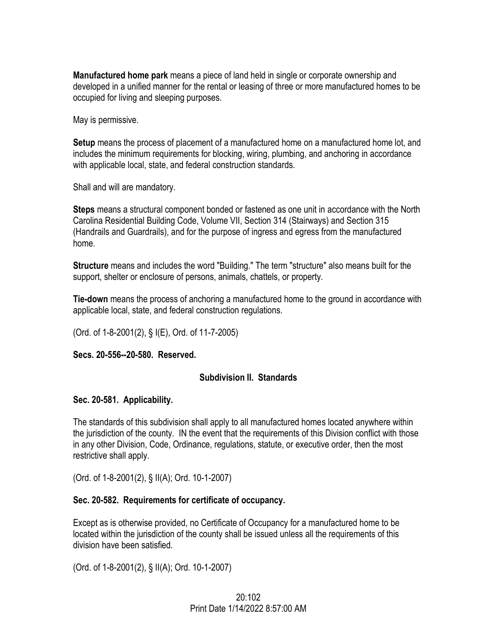**Manufactured home park** means a piece of land held in single or corporate ownership and developed in a unified manner for the rental or leasing of three or more manufactured homes to be occupied for living and sleeping purposes.

May is permissive.

**Setup** means the process of placement of a manufactured home on a manufactured home lot, and includes the minimum requirements for blocking, wiring, plumbing, and anchoring in accordance with applicable local, state, and federal construction standards.

Shall and will are mandatory.

**Steps** means a structural component bonded or fastened as one unit in accordance with the North Carolina Residential Building Code, Volume VII, Section 314 (Stairways) and Section 315 (Handrails and Guardrails), and for the purpose of ingress and egress from the manufactured home.

**Structure** means and includes the word "Building." The term "structure" also means built for the support, shelter or enclosure of persons, animals, chattels, or property.

**Tie-down** means the process of anchoring a manufactured home to the ground in accordance with applicable local, state, and federal construction regulations.

(Ord. of 1-8-2001(2), § I(E), Ord. of 11-7-2005)

**Secs. 20-556--20-580. Reserved.** 

#### **Subdivision II. Standards**

#### **Sec. 20-581. Applicability.**

The standards of this subdivision shall apply to all manufactured homes located anywhere within the jurisdiction of the county. IN the event that the requirements of this Division conflict with those in any other Division, Code, Ordinance, regulations, statute, or executive order, then the most restrictive shall apply.

(Ord. of 1-8-2001(2), § II(A); Ord. 10-1-2007)

## **Sec. 20-582. Requirements for certificate of occupancy.**

Except as is otherwise provided, no Certificate of Occupancy for a manufactured home to be located within the jurisdiction of the county shall be issued unless all the requirements of this division have been satisfied.

(Ord. of 1-8-2001(2), § II(A); Ord. 10-1-2007)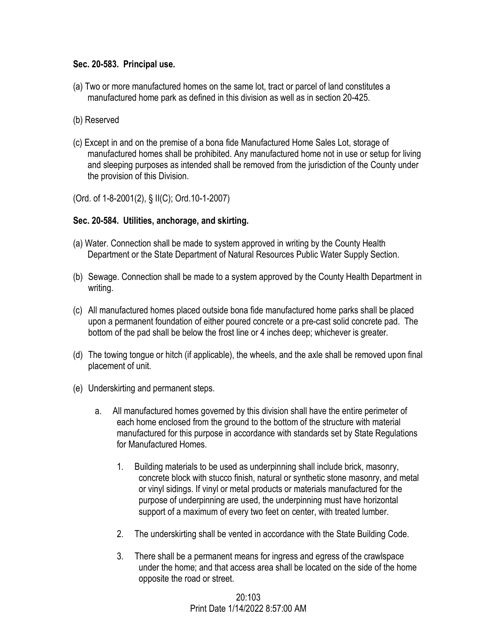#### **Sec. 20-583. Principal use.**

- (a) Two or more manufactured homes on the same lot, tract or parcel of land constitutes a manufactured home park as defined in this division as well as in section 20-425.
- (b) Reserved
- (c) Except in and on the premise of a bona fide Manufactured Home Sales Lot, storage of manufactured homes shall be prohibited. Any manufactured home not in use or setup for living and sleeping purposes as intended shall be removed from the jurisdiction of the County under the provision of this Division.
- (Ord. of 1-8-2001(2), § II(C); Ord.10-1-2007)

## **Sec. 20-584. Utilities, anchorage, and skirting.**

- (a) Water. Connection shall be made to system approved in writing by the County Health Department or the State Department of Natural Resources Public Water Supply Section.
- (b) Sewage. Connection shall be made to a system approved by the County Health Department in writing.
- (c) All manufactured homes placed outside bona fide manufactured home parks shall be placed upon a permanent foundation of either poured concrete or a pre-cast solid concrete pad. The bottom of the pad shall be below the frost line or 4 inches deep; whichever is greater.
- (d) The towing tongue or hitch (if applicable), the wheels, and the axle shall be removed upon final placement of unit.
- (e) Underskirting and permanent steps.
	- a. All manufactured homes governed by this division shall have the entire perimeter of each home enclosed from the ground to the bottom of the structure with material manufactured for this purpose in accordance with standards set by State Regulations for Manufactured Homes.
		- 1. Building materials to be used as underpinning shall include brick, masonry, concrete block with stucco finish, natural or synthetic stone masonry, and metal or vinyl sidings. If vinyl or metal products or materials manufactured for the purpose of underpinning are used, the underpinning must have horizontal support of a maximum of every two feet on center, with treated lumber.
		- 2. The underskirting shall be vented in accordance with the State Building Code.
		- 3. There shall be a permanent means for ingress and egress of the crawlspace under the home; and that access area shall be located on the side of the home opposite the road or street.

20:103 Print Date 1/14/2022 8:57:00 AM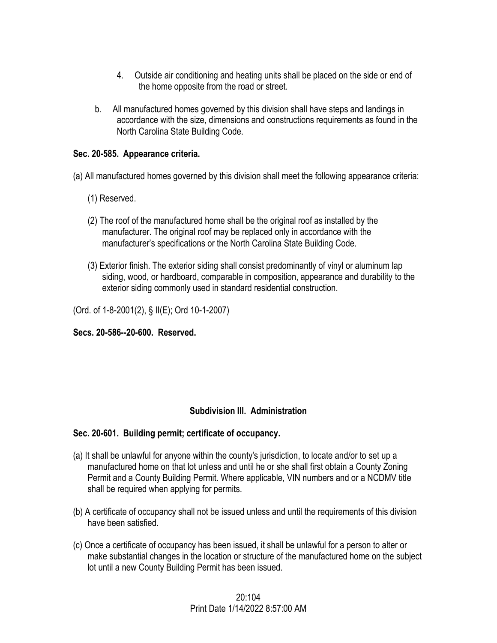- 4. Outside air conditioning and heating units shall be placed on the side or end of the home opposite from the road or street.
- b. All manufactured homes governed by this division shall have steps and landings in accordance with the size, dimensions and constructions requirements as found in the North Carolina State Building Code.

## **Sec. 20-585. Appearance criteria.**

(a) All manufactured homes governed by this division shall meet the following appearance criteria:

- (1) Reserved.
- (2) The roof of the manufactured home shall be the original roof as installed by the manufacturer. The original roof may be replaced only in accordance with the manufacturer's specifications or the North Carolina State Building Code.
- (3) Exterior finish. The exterior siding shall consist predominantly of vinyl or aluminum lap siding, wood, or hardboard, comparable in composition, appearance and durability to the exterior siding commonly used in standard residential construction.

(Ord. of 1-8-2001(2), § II(E); Ord 10-1-2007)

**Secs. 20-586--20-600. Reserved.** 

## **Subdivision III. Administration**

## **Sec. 20-601. Building permit; certificate of occupancy.**

- (a) It shall be unlawful for anyone within the county's jurisdiction, to locate and/or to set up a manufactured home on that lot unless and until he or she shall first obtain a County Zoning Permit and a County Building Permit. Where applicable, VIN numbers and or a NCDMV title shall be required when applying for permits.
- (b) A certificate of occupancy shall not be issued unless and until the requirements of this division have been satisfied.
- (c) Once a certificate of occupancy has been issued, it shall be unlawful for a person to alter or make substantial changes in the location or structure of the manufactured home on the subject lot until a new County Building Permit has been issued.